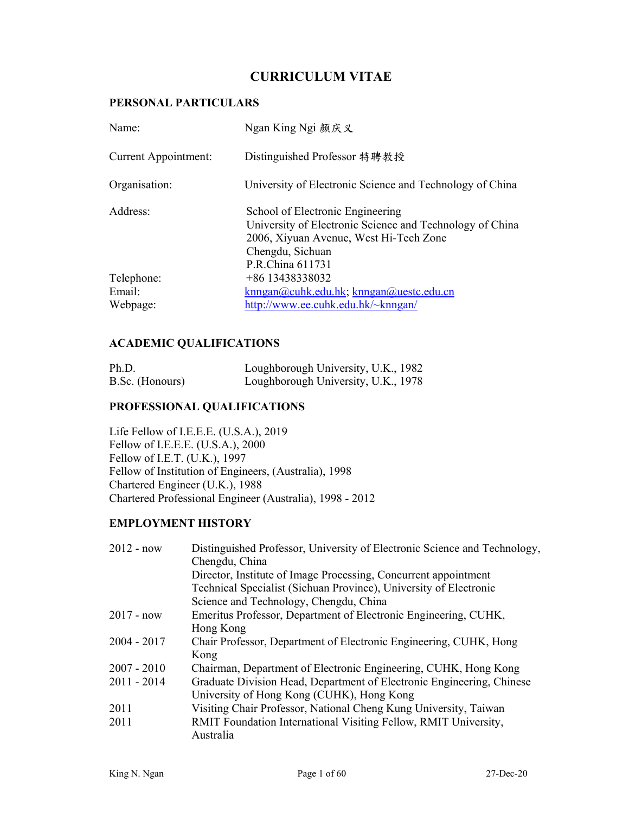# **CURRICULUM VITAE**

#### **PERSONAL PARTICULARS**

| Name:                            | Ngan King Ngi 颜庆义                                                                                                                                                              |
|----------------------------------|--------------------------------------------------------------------------------------------------------------------------------------------------------------------------------|
| <b>Current Appointment:</b>      | Distinguished Professor 特聘教授                                                                                                                                                   |
| Organisation:                    | University of Electronic Science and Technology of China                                                                                                                       |
| Address:                         | School of Electronic Engineering<br>University of Electronic Science and Technology of China<br>2006, Xiyuan Avenue, West Hi-Tech Zone<br>Chengdu, Sichuan<br>P.R.China 611731 |
| Telephone:<br>Email:<br>Webpage: | +86 13438338032<br>$knngan@cuhk.edu.hk; knngan@uestc.edu.cn$<br>http://www.ee.cuhk.edu.hk/~knngan/                                                                             |

#### **ACADEMIC QUALIFICATIONS**

| Ph.D.           | Loughborough University, U.K., 1982 |  |
|-----------------|-------------------------------------|--|
| B.Sc. (Honours) | Loughborough University, U.K., 1978 |  |

#### **PROFESSIONAL QUALIFICATIONS**

Life Fellow of I.E.E.E. (U.S.A.), 2019 Fellow of I.E.E.E. (U.S.A.), 2000 Fellow of I.E.T. (U.K.), 1997 Fellow of Institution of Engineers, (Australia), 1998 Chartered Engineer (U.K.), 1988 Chartered Professional Engineer (Australia), 1998 - 2012

### **EMPLOYMENT HISTORY**

| $2012 - now$  | Distinguished Professor, University of Electronic Science and Technology, |
|---------------|---------------------------------------------------------------------------|
|               | Chengdu, China                                                            |
|               | Director, Institute of Image Processing, Concurrent appointment           |
|               | Technical Specialist (Sichuan Province), University of Electronic         |
|               | Science and Technology, Chengdu, China                                    |
| $2017 - now$  | Emeritus Professor, Department of Electronic Engineering, CUHK,           |
|               | Hong Kong                                                                 |
| $2004 - 2017$ | Chair Professor, Department of Electronic Engineering, CUHK, Hong         |
|               | Kong                                                                      |
| $2007 - 2010$ | Chairman, Department of Electronic Engineering, CUHK, Hong Kong           |
| $2011 - 2014$ | Graduate Division Head, Department of Electronic Engineering, Chinese     |
|               | University of Hong Kong (CUHK), Hong Kong                                 |
| 2011          | Visiting Chair Professor, National Cheng Kung University, Taiwan          |
| 2011          | RMIT Foundation International Visiting Fellow, RMIT University,           |
|               | Australia                                                                 |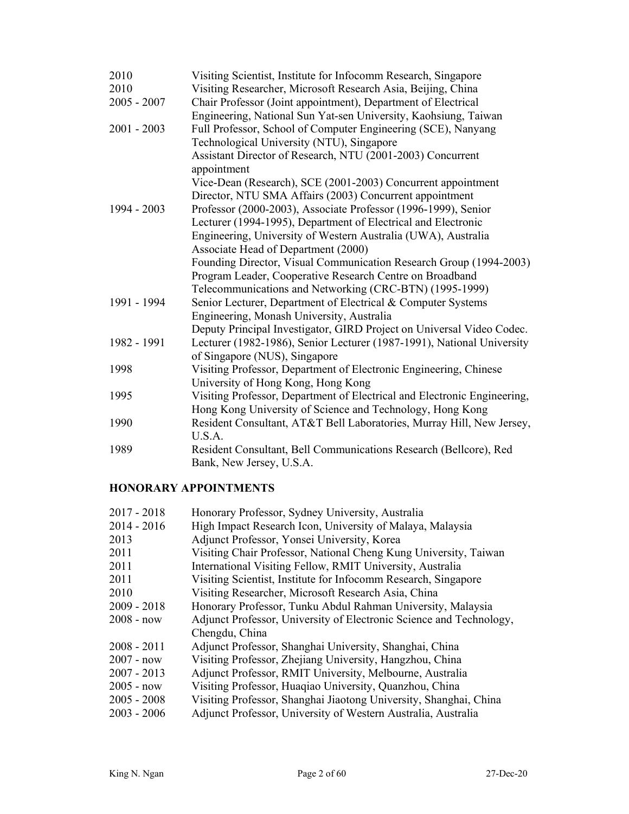| 2010<br>2010<br>$2005 - 2007$ | Visiting Scientist, Institute for Infocomm Research, Singapore<br>Visiting Researcher, Microsoft Research Asia, Beijing, China<br>Chair Professor (Joint appointment), Department of Electrical |
|-------------------------------|-------------------------------------------------------------------------------------------------------------------------------------------------------------------------------------------------|
|                               | Engineering, National Sun Yat-sen University, Kaohsiung, Taiwan                                                                                                                                 |
| $2001 - 2003$                 | Full Professor, School of Computer Engineering (SCE), Nanyang                                                                                                                                   |
|                               | Technological University (NTU), Singapore                                                                                                                                                       |
|                               | Assistant Director of Research, NTU (2001-2003) Concurrent<br>appointment                                                                                                                       |
|                               | Vice-Dean (Research), SCE (2001-2003) Concurrent appointment                                                                                                                                    |
|                               | Director, NTU SMA Affairs (2003) Concurrent appointment                                                                                                                                         |
| 1994 - 2003                   | Professor (2000-2003), Associate Professor (1996-1999), Senior                                                                                                                                  |
|                               | Lecturer (1994-1995), Department of Electrical and Electronic                                                                                                                                   |
|                               | Engineering, University of Western Australia (UWA), Australia                                                                                                                                   |
|                               | Associate Head of Department (2000)                                                                                                                                                             |
|                               | Founding Director, Visual Communication Research Group (1994-2003)                                                                                                                              |
|                               | Program Leader, Cooperative Research Centre on Broadband                                                                                                                                        |
|                               | Telecommunications and Networking (CRC-BTN) (1995-1999)                                                                                                                                         |
| 1991 - 1994                   | Senior Lecturer, Department of Electrical & Computer Systems                                                                                                                                    |
|                               | Engineering, Monash University, Australia                                                                                                                                                       |
|                               | Deputy Principal Investigator, GIRD Project on Universal Video Codec.                                                                                                                           |
| 1982 - 1991                   | Lecturer (1982-1986), Senior Lecturer (1987-1991), National University<br>of Singapore (NUS), Singapore                                                                                         |
| 1998                          | Visiting Professor, Department of Electronic Engineering, Chinese                                                                                                                               |
|                               | University of Hong Kong, Hong Kong                                                                                                                                                              |
| 1995                          | Visiting Professor, Department of Electrical and Electronic Engineering,                                                                                                                        |
|                               | Hong Kong University of Science and Technology, Hong Kong                                                                                                                                       |
| 1990                          | Resident Consultant, AT&T Bell Laboratories, Murray Hill, New Jersey,                                                                                                                           |
|                               | U.S.A.                                                                                                                                                                                          |
| 1989                          | Resident Consultant, Bell Communications Research (Bellcore), Red                                                                                                                               |
|                               | Bank, New Jersey, U.S.A.                                                                                                                                                                        |

## **HONORARY APPOINTMENTS**

| $2017 - 2018$ | Honorary Professor, Sydney University, Australia                    |
|---------------|---------------------------------------------------------------------|
| $2014 - 2016$ | High Impact Research Icon, University of Malaya, Malaysia           |
| 2013          | Adjunct Professor, Yonsei University, Korea                         |
| 2011          | Visiting Chair Professor, National Cheng Kung University, Taiwan    |
| 2011          | International Visiting Fellow, RMIT University, Australia           |
| 2011          | Visiting Scientist, Institute for Infocomm Research, Singapore      |
| 2010          | Visiting Researcher, Microsoft Research Asia, China                 |
| $2009 - 2018$ | Honorary Professor, Tunku Abdul Rahman University, Malaysia         |
| $2008 - now$  | Adjunct Professor, University of Electronic Science and Technology, |
|               | Chengdu, China                                                      |
| $2008 - 2011$ | Adjunct Professor, Shanghai University, Shanghai, China             |
| $2007 - now$  | Visiting Professor, Zhejiang University, Hangzhou, China            |
| $2007 - 2013$ | Adjunct Professor, RMIT University, Melbourne, Australia            |
| $2005 - now$  | Visiting Professor, Huaqiao University, Quanzhou, China             |
| $2005 - 2008$ | Visiting Professor, Shanghai Jiaotong University, Shanghai, China   |
| $2003 - 2006$ | Adjunct Professor, University of Western Australia, Australia       |
|               |                                                                     |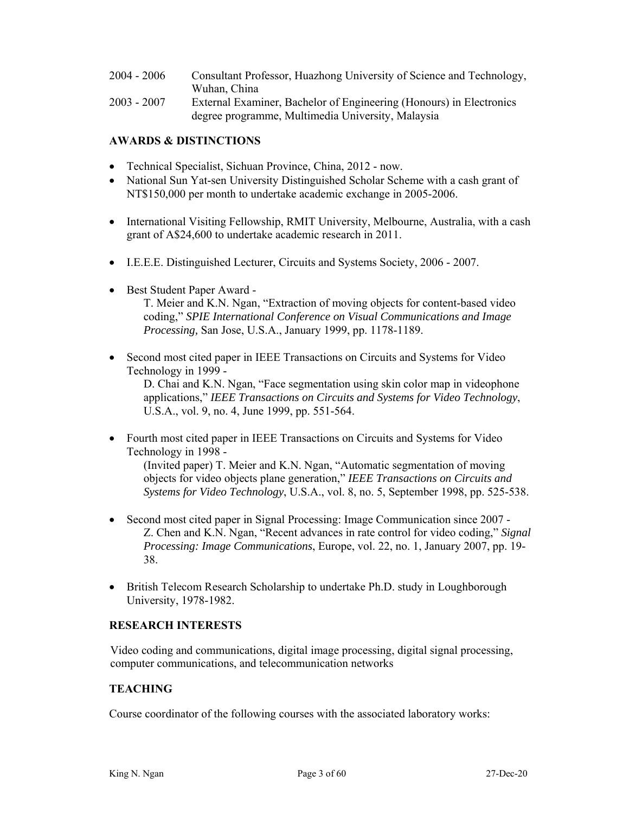| $2004 - 2006$ | Consultant Professor, Huazhong University of Science and Technology, |
|---------------|----------------------------------------------------------------------|
|               | Wuhan, China                                                         |
| $2003 - 2007$ | External Examiner, Bachelor of Engineering (Honours) in Electronics  |

degree programme, Multimedia University, Malaysia

#### **AWARDS & DISTINCTIONS**

- Technical Specialist, Sichuan Province, China, 2012 now.
- National Sun Yat-sen University Distinguished Scholar Scheme with a cash grant of NT\$150,000 per month to undertake academic exchange in 2005-2006.
- International Visiting Fellowship, RMIT University, Melbourne, Australia, with a cash grant of A\$24,600 to undertake academic research in 2011.
- I.E.E.E. Distinguished Lecturer, Circuits and Systems Society, 2006 2007.
- Best Student Paper Award -

T. Meier and K.N. Ngan, "Extraction of moving objects for content-based video coding," *SPIE International Conference on Visual Communications and Image Processing,* San Jose, U.S.A., January 1999, pp. 1178-1189.

 Second most cited paper in IEEE Transactions on Circuits and Systems for Video Technology in 1999 -

D. Chai and K.N. Ngan, "Face segmentation using skin color map in videophone applications," *IEEE Transactions on Circuits and Systems for Video Technology*, U.S.A., vol. 9, no. 4, June 1999, pp. 551-564.

- Fourth most cited paper in IEEE Transactions on Circuits and Systems for Video Technology in 1998 - (Invited paper) T. Meier and K.N. Ngan, "Automatic segmentation of moving objects for video objects plane generation," *IEEE Transactions on Circuits and Systems for Video Technology*, U.S.A., vol. 8, no. 5, September 1998, pp. 525-538.
- Second most cited paper in Signal Processing: Image Communication since 2007 Z. Chen and K.N. Ngan, "Recent advances in rate control for video coding," *Signal Processing: Image Communications*, Europe, vol. 22, no. 1, January 2007, pp. 19- 38.
- British Telecom Research Scholarship to undertake Ph.D. study in Loughborough University, 1978-1982.

#### **RESEARCH INTERESTS**

Video coding and communications, digital image processing, digital signal processing, computer communications, and telecommunication networks

#### **TEACHING**

Course coordinator of the following courses with the associated laboratory works: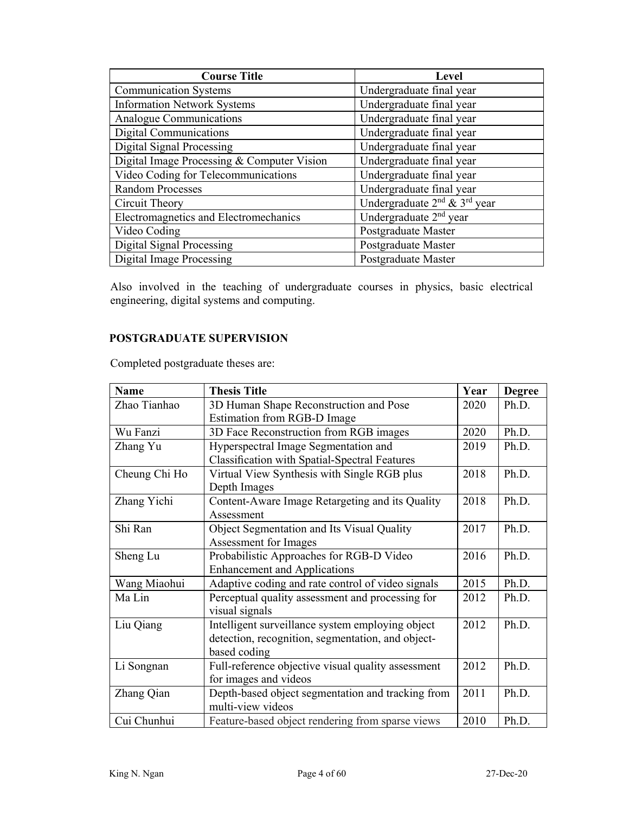| <b>Course Title</b>                        | Level                                                |
|--------------------------------------------|------------------------------------------------------|
| <b>Communication Systems</b>               | Undergraduate final year                             |
| <b>Information Network Systems</b>         | Undergraduate final year                             |
| Analogue Communications                    | Undergraduate final year                             |
| <b>Digital Communications</b>              | Undergraduate final year                             |
| <b>Digital Signal Processing</b>           | Undergraduate final year                             |
| Digital Image Processing & Computer Vision | Undergraduate final year                             |
| Video Coding for Telecommunications        | Undergraduate final year                             |
| <b>Random Processes</b>                    | Undergraduate final year                             |
| Circuit Theory                             | Undergraduate 2 <sup>nd</sup> & 3 <sup>rd</sup> year |
| Electromagnetics and Electromechanics      | Undergraduate 2 <sup>nd</sup> year                   |
| Video Coding                               | Postgraduate Master                                  |
| <b>Digital Signal Processing</b>           | Postgraduate Master                                  |
| <b>Digital Image Processing</b>            | Postgraduate Master                                  |

Also involved in the teaching of undergraduate courses in physics, basic electrical engineering, digital systems and computing.

#### **POSTGRADUATE SUPERVISION**

Completed postgraduate theses are:

| <b>Name</b>   | <b>Thesis Title</b>                                  | Year | <b>Degree</b> |
|---------------|------------------------------------------------------|------|---------------|
| Zhao Tianhao  | 3D Human Shape Reconstruction and Pose               | 2020 | Ph.D.         |
|               | Estimation from RGB-D Image                          |      |               |
| Wu Fanzi      | 3D Face Reconstruction from RGB images               | 2020 | Ph.D.         |
| Zhang Yu      | Hyperspectral Image Segmentation and                 | 2019 | Ph.D.         |
|               | <b>Classification with Spatial-Spectral Features</b> |      |               |
| Cheung Chi Ho | Virtual View Synthesis with Single RGB plus          | 2018 | Ph.D.         |
|               | Depth Images                                         |      |               |
| Zhang Yichi   | Content-Aware Image Retargeting and its Quality      | 2018 | Ph.D.         |
|               | Assessment                                           |      |               |
| Shi Ran       | Object Segmentation and Its Visual Quality           | 2017 | Ph.D.         |
|               | Assessment for Images                                |      |               |
| Sheng Lu      | Probabilistic Approaches for RGB-D Video             | 2016 | Ph.D.         |
|               | <b>Enhancement and Applications</b>                  |      |               |
| Wang Miaohui  | Adaptive coding and rate control of video signals    | 2015 | Ph.D.         |
| Ma Lin        | Perceptual quality assessment and processing for     | 2012 | Ph.D.         |
|               | visual signals                                       |      |               |
| Liu Qiang     | Intelligent surveillance system employing object     | 2012 | Ph.D.         |
|               | detection, recognition, segmentation, and object-    |      |               |
|               | based coding                                         |      |               |
| Li Songnan    | Full-reference objective visual quality assessment   | 2012 | Ph.D.         |
|               | for images and videos                                |      |               |
| Zhang Qian    | Depth-based object segmentation and tracking from    | 2011 | Ph.D.         |
|               | multi-view videos                                    |      |               |
| Cui Chunhui   | Feature-based object rendering from sparse views     | 2010 | Ph.D.         |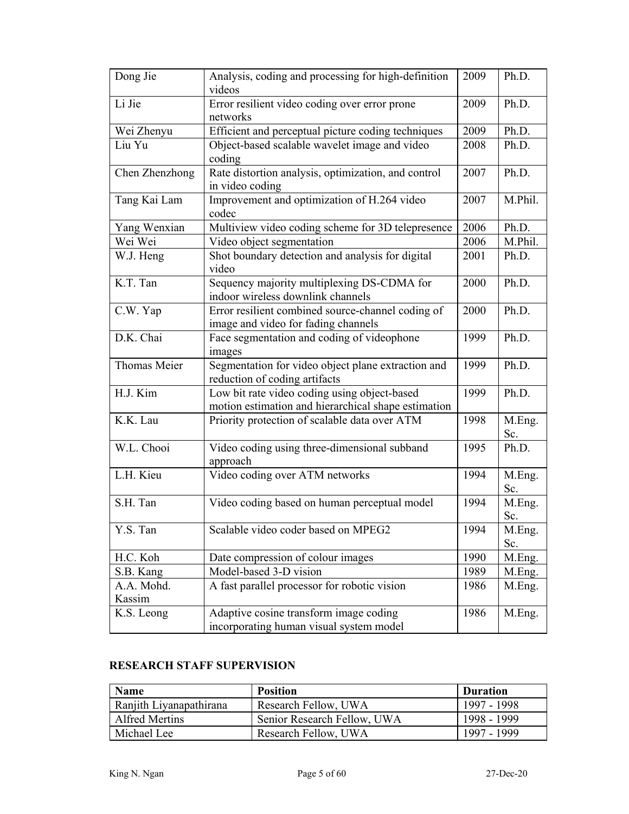| Dong Jie             | Analysis, coding and processing for high-definition<br>videos                                       | 2009 | Ph.D.         |
|----------------------|-----------------------------------------------------------------------------------------------------|------|---------------|
| Li Jie               | Error resilient video coding over error prone<br>networks                                           | 2009 | Ph.D.         |
| Wei Zhenyu           | Efficient and perceptual picture coding techniques                                                  | 2009 | Ph.D.         |
| Liu Yu               | Object-based scalable wavelet image and video<br>coding                                             | 2008 | Ph.D.         |
| Chen Zhenzhong       | Rate distortion analysis, optimization, and control<br>in video coding                              | 2007 | Ph.D.         |
| Tang Kai Lam         | Improvement and optimization of H.264 video<br>codec                                                | 2007 | M.Phil.       |
| Yang Wenxian         | Multiview video coding scheme for 3D telepresence                                                   | 2006 | Ph.D.         |
| Wei Wei              | Video object segmentation                                                                           | 2006 | M.Phil.       |
| W.J. Heng            | Shot boundary detection and analysis for digital<br>video                                           | 2001 | Ph.D.         |
| K.T. Tan             | Sequency majority multiplexing DS-CDMA for<br>indoor wireless downlink channels                     | 2000 | Ph.D.         |
| C.W. Yap             | Error resilient combined source-channel coding of<br>image and video for fading channels            | 2000 | Ph.D.         |
| D.K. Chai            | Face segmentation and coding of videophone<br>images                                                | 1999 | Ph.D.         |
| Thomas Meier         | Segmentation for video object plane extraction and<br>reduction of coding artifacts                 | 1999 | Ph.D.         |
| H.J. Kim             | Low bit rate video coding using object-based<br>motion estimation and hierarchical shape estimation | 1999 | Ph.D.         |
| K.K. Lau             | Priority protection of scalable data over ATM                                                       | 1998 | M.Eng.<br>Sc. |
| W.L. Chooi           | Video coding using three-dimensional subband<br>approach                                            | 1995 | Ph.D.         |
| L.H. Kieu            | Video coding over ATM networks                                                                      | 1994 | M.Eng.<br>Sc. |
| S.H. Tan             | Video coding based on human perceptual model                                                        | 1994 | M.Eng.<br>Sc. |
| Y.S. Tan             | Scalable video coder based on MPEG2                                                                 | 1994 | M.Eng.<br>Sc. |
| H.C. Koh             | Date compression of colour images                                                                   | 1990 | M.Eng.        |
| S.B. Kang            | Model-based 3-D vision                                                                              | 1989 | M.Eng.        |
| A.A. Mohd.<br>Kassim | A fast parallel processor for robotic vision                                                        | 1986 | M.Eng.        |
| K.S. Leong           | Adaptive cosine transform image coding<br>incorporating human visual system model                   | 1986 | M.Eng.        |

# **RESEARCH STAFF SUPERVISION**

| <b>Name</b>             | <b>Position</b>             | <b>Duration</b> |
|-------------------------|-----------------------------|-----------------|
| Ranjith Liyanapathirana | Research Fellow, UWA        | 1997 - 1998     |
| Alfred Mertins          | Senior Research Fellow, UWA | 1998 - 1999     |
| Michael Lee             | Research Fellow, UWA        | 1997 - 1999     |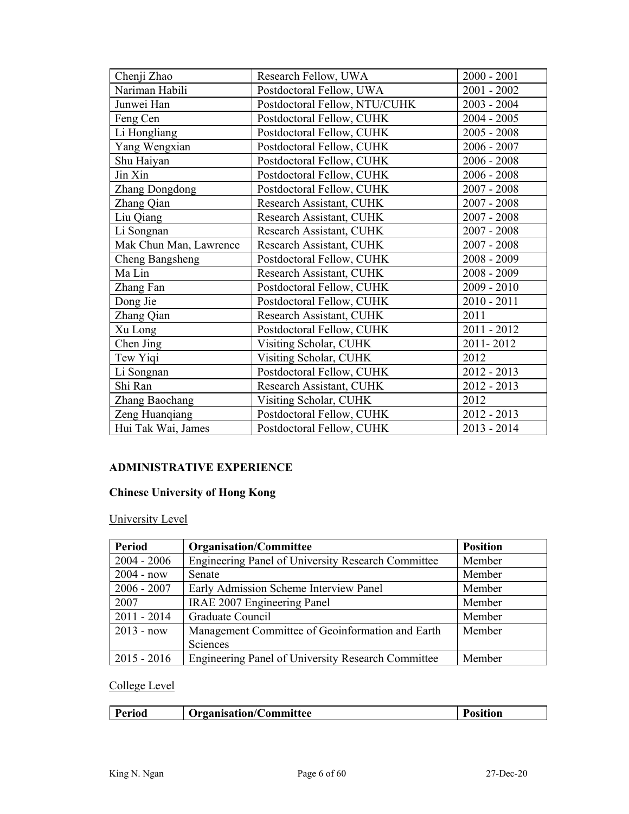| Chenji Zhao            | Research Fellow, UWA          | $2000 - 2001$ |
|------------------------|-------------------------------|---------------|
| Nariman Habili         | Postdoctoral Fellow, UWA      | $2001 - 2002$ |
| Junwei Han             | Postdoctoral Fellow, NTU/CUHK | $2003 - 2004$ |
| Feng Cen               | Postdoctoral Fellow, CUHK     | $2004 - 2005$ |
| Li Hongliang           | Postdoctoral Fellow, CUHK     | $2005 - 2008$ |
| Yang Wengxian          | Postdoctoral Fellow, CUHK     | $2006 - 2007$ |
| Shu Haiyan             | Postdoctoral Fellow, CUHK     | $2006 - 2008$ |
| Jin Xin                | Postdoctoral Fellow, CUHK     | $2006 - 2008$ |
| <b>Zhang Dongdong</b>  | Postdoctoral Fellow, CUHK     | $2007 - 2008$ |
| Zhang Qian             | Research Assistant, CUHK      | $2007 - 2008$ |
| Liu Qiang              | Research Assistant, CUHK      | $2007 - 2008$ |
| Li Songnan             | Research Assistant, CUHK      | $2007 - 2008$ |
| Mak Chun Man, Lawrence | Research Assistant, CUHK      | $2007 - 2008$ |
| <b>Cheng Bangsheng</b> | Postdoctoral Fellow, CUHK     | 2008 - 2009   |
| Ma Lin                 | Research Assistant, CUHK      | $2008 - 2009$ |
| Zhang Fan              | Postdoctoral Fellow, CUHK     | $2009 - 2010$ |
| Dong Jie               | Postdoctoral Fellow, CUHK     | $2010 - 2011$ |
| Zhang Qian             | Research Assistant, CUHK      | 2011          |
| Xu Long                | Postdoctoral Fellow, CUHK     | $2011 - 2012$ |
| Chen Jing              | Visiting Scholar, CUHK        | 2011-2012     |
| Tew Yiqi               | Visiting Scholar, CUHK        | 2012          |
| Li Songnan             | Postdoctoral Fellow, CUHK     | 2012 - 2013   |
| Shi Ran                | Research Assistant, CUHK      | 2012 - 2013   |
| Zhang Baochang         | Visiting Scholar, CUHK        | 2012          |
| Zeng Huanqiang         | Postdoctoral Fellow, CUHK     | 2012 - 2013   |
| Hui Tak Wai, James     | Postdoctoral Fellow, CUHK     | $2013 - 2014$ |

# **ADMINISTRATIVE EXPERIENCE**

# **Chinese University of Hong Kong**

University Level

| <b>Period</b> | <b>Organisation/Committee</b>                      | <b>Position</b> |
|---------------|----------------------------------------------------|-----------------|
| $2004 - 2006$ | Engineering Panel of University Research Committee | Member          |
| $2004 - now$  | Senate                                             | Member          |
| $2006 - 2007$ | Early Admission Scheme Interview Panel             | Member          |
| 2007          | IRAE 2007 Engineering Panel                        | Member          |
| $2011 - 2014$ | Graduate Council                                   | Member          |
| $2013 - now$  | Management Committee of Geoinformation and Earth   | Member          |
|               | Sciences                                           |                 |
| $2015 - 2016$ | Engineering Panel of University Research Committee | Member          |

# College Level

| 'erıod | <b>Preanisation/Co</b><br>/Committee | 'osıtıon |
|--------|--------------------------------------|----------|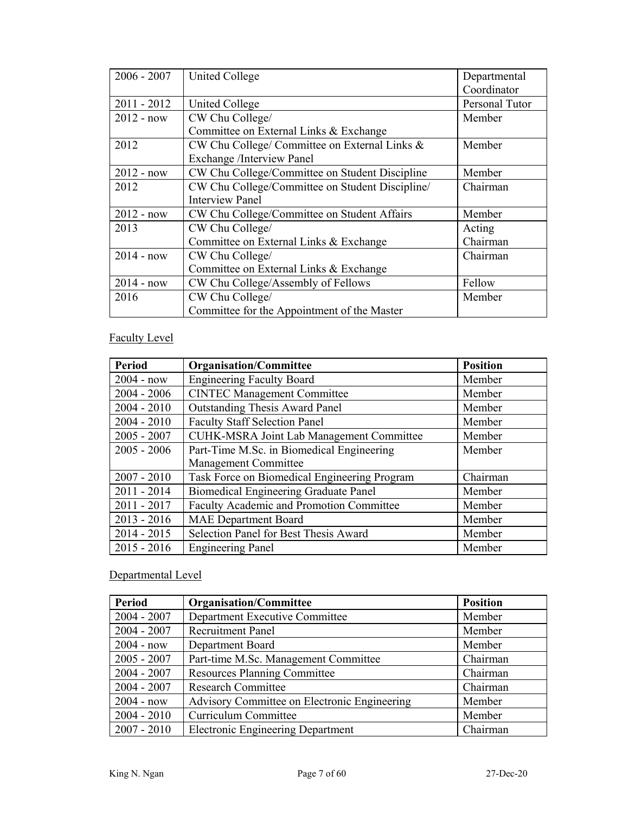| $2006 - 2007$ | <b>United College</b>                           | Departmental   |
|---------------|-------------------------------------------------|----------------|
|               |                                                 | Coordinator    |
| $2011 - 2012$ | United College                                  | Personal Tutor |
| $2012 - now$  | CW Chu College/                                 | Member         |
|               | Committee on External Links & Exchange          |                |
| 2012          | CW Chu College/ Committee on External Links &   | Member         |
|               | Exchange /Interview Panel                       |                |
| $2012 - now$  | CW Chu College/Committee on Student Discipline  | Member         |
| 2012          | CW Chu College/Committee on Student Discipline/ | Chairman       |
|               | <b>Interview Panel</b>                          |                |
| $2012 - now$  | CW Chu College/Committee on Student Affairs     | Member         |
| 2013          | CW Chu College/                                 | Acting         |
|               | Committee on External Links & Exchange          | Chairman       |
| $2014 - now$  | CW Chu College/                                 | Chairman       |
|               | Committee on External Links & Exchange          |                |
| $2014 - now$  | CW Chu College/Assembly of Fellows              | Fellow         |
| 2016          | CW Chu College/                                 | Member         |
|               | Committee for the Appointment of the Master     |                |

# Faculty Level

| <b>Period</b> | <b>Organisation/Committee</b>                | <b>Position</b> |
|---------------|----------------------------------------------|-----------------|
| $2004 - now$  | <b>Engineering Faculty Board</b>             | Member          |
| $2004 - 2006$ | <b>CINTEC Management Committee</b>           | Member          |
| $2004 - 2010$ | <b>Outstanding Thesis Award Panel</b>        | Member          |
| $2004 - 2010$ | <b>Faculty Staff Selection Panel</b>         | Member          |
| $2005 - 2007$ | CUHK-MSRA Joint Lab Management Committee     | Member          |
| $2005 - 2006$ | Part-Time M.Sc. in Biomedical Engineering    | Member          |
|               | Management Committee                         |                 |
| $2007 - 2010$ | Task Force on Biomedical Engineering Program | Chairman        |
| $2011 - 2014$ | <b>Biomedical Engineering Graduate Panel</b> | Member          |
| $2011 - 2017$ | Faculty Academic and Promotion Committee     | Member          |
| $2013 - 2016$ | <b>MAE</b> Department Board                  | Member          |
| $2014 - 2015$ | Selection Panel for Best Thesis Award        | Member          |
| $2015 - 2016$ | <b>Engineering Panel</b>                     | Member          |

# Departmental Level

| <b>Period</b> | <b>Organisation/Committee</b>                | <b>Position</b> |
|---------------|----------------------------------------------|-----------------|
| $2004 - 2007$ | Department Executive Committee               | Member          |
| $2004 - 2007$ | <b>Recruitment Panel</b>                     | Member          |
| $2004 - now$  | Department Board                             | Member          |
| $2005 - 2007$ | Part-time M.Sc. Management Committee         | Chairman        |
| $2004 - 2007$ | <b>Resources Planning Committee</b>          | Chairman        |
| $2004 - 2007$ | <b>Research Committee</b>                    | Chairman        |
| $2004 - now$  | Advisory Committee on Electronic Engineering | Member          |
| $2004 - 2010$ | Curriculum Committee                         | Member          |
| $2007 - 2010$ | <b>Electronic Engineering Department</b>     | Chairman        |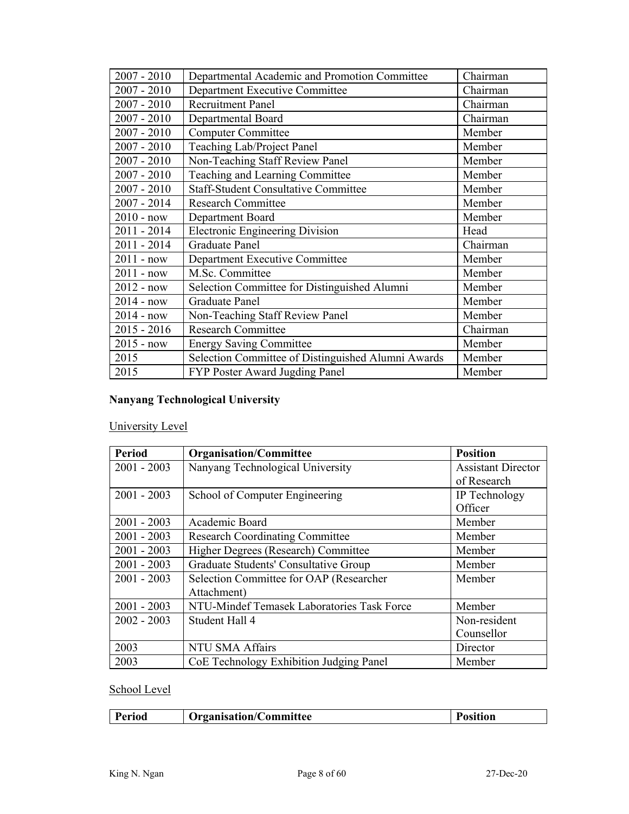| $2007 - 2010$ | Departmental Academic and Promotion Committee      | Chairman |
|---------------|----------------------------------------------------|----------|
| $2007 - 2010$ | Department Executive Committee                     | Chairman |
| $2007 - 2010$ | <b>Recruitment Panel</b>                           | Chairman |
| $2007 - 2010$ | Departmental Board                                 | Chairman |
| $2007 - 2010$ | <b>Computer Committee</b>                          | Member   |
| $2007 - 2010$ | Teaching Lab/Project Panel                         | Member   |
| $2007 - 2010$ | Non-Teaching Staff Review Panel                    | Member   |
| $2007 - 2010$ | Teaching and Learning Committee                    | Member   |
| $2007 - 2010$ | <b>Staff-Student Consultative Committee</b>        | Member   |
| 2007 - 2014   | <b>Research Committee</b>                          | Member   |
| $2010 - now$  | Department Board                                   | Member   |
| $2011 - 2014$ | <b>Electronic Engineering Division</b>             | Head     |
| $2011 - 2014$ | <b>Graduate Panel</b>                              | Chairman |
| $2011 - now$  | Department Executive Committee                     | Member   |
| $2011 - now$  | M.Sc. Committee                                    | Member   |
| $2012 - now$  | Selection Committee for Distinguished Alumni       | Member   |
| $2014 - now$  | <b>Graduate Panel</b>                              | Member   |
| $2014 - now$  | Non-Teaching Staff Review Panel                    | Member   |
| $2015 - 2016$ | <b>Research Committee</b>                          | Chairman |
| $2015 - now$  | <b>Energy Saving Committee</b>                     | Member   |
| 2015          | Selection Committee of Distinguished Alumni Awards | Member   |
| 2015          | FYP Poster Award Jugding Panel                     | Member   |

# **Nanyang Technological University**

# University Level

| <b>Period</b> | <b>Organisation/Committee</b>              | <b>Position</b>           |
|---------------|--------------------------------------------|---------------------------|
| $2001 - 2003$ | Nanyang Technological University           | <b>Assistant Director</b> |
|               |                                            | of Research               |
| $2001 - 2003$ | School of Computer Engineering             | IP Technology             |
|               |                                            | Officer                   |
| $2001 - 2003$ | Academic Board                             | Member                    |
| $2001 - 2003$ | <b>Research Coordinating Committee</b>     | Member                    |
| $2001 - 2003$ | Higher Degrees (Research) Committee        | Member                    |
| $2001 - 2003$ | Graduate Students' Consultative Group      | Member                    |
| $2001 - 2003$ | Selection Committee for OAP (Researcher    | Member                    |
|               | Attachment)                                |                           |
| $2001 - 2003$ | NTU-Mindef Temasek Laboratories Task Force | Member                    |
| $2002 - 2003$ | Student Hall 4                             | Non-resident              |
|               |                                            | Counsellor                |
| 2003          | <b>NTU SMA Affairs</b>                     | Director                  |
| 2003          | CoE Technology Exhibition Judging Panel    | Member                    |

## School Level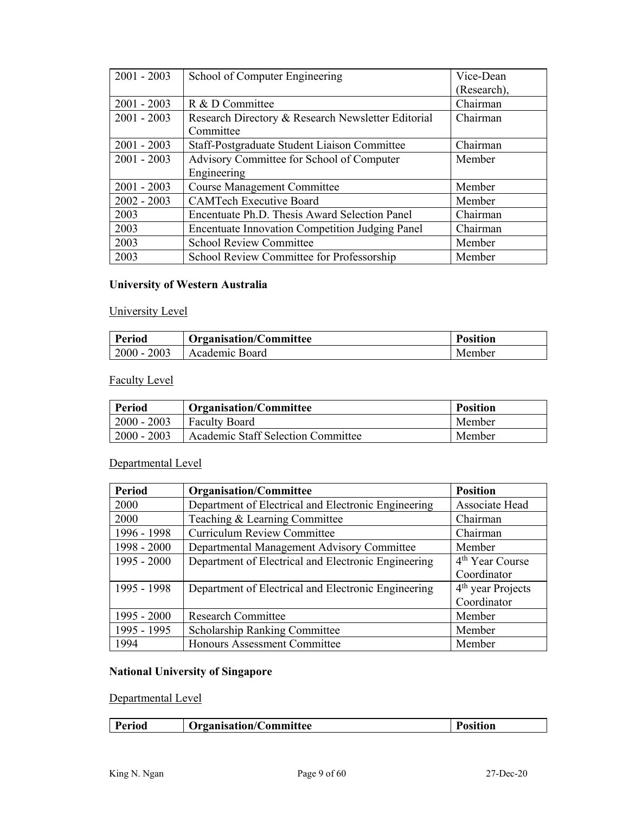| $2001 - 2003$ | School of Computer Engineering                         | Vice-Dean   |
|---------------|--------------------------------------------------------|-------------|
|               |                                                        | (Research), |
| $2001 - 2003$ | R & D Committee                                        | Chairman    |
| $2001 - 2003$ | Research Directory & Research Newsletter Editorial     | Chairman    |
|               | Committee                                              |             |
| $2001 - 2003$ | Staff-Postgraduate Student Liaison Committee           | Chairman    |
| $2001 - 2003$ | Advisory Committee for School of Computer              | Member      |
|               | Engineering                                            |             |
| $2001 - 2003$ | <b>Course Management Committee</b>                     | Member      |
| $2002 - 2003$ | <b>CAMTech Executive Board</b>                         | Member      |
| 2003          | Encentuate Ph.D. Thesis Award Selection Panel          | Chairman    |
| 2003          | <b>Encentuate Innovation Competition Judging Panel</b> | Chairman    |
| 2003          | <b>School Review Committee</b>                         | Member      |
| 2003          | School Review Committee for Professorship              | Member      |

# **University of Western Australia**

# University Level

| Period        | <b>Organisation/Committee</b> | <b>Position</b> |
|---------------|-------------------------------|-----------------|
| $2000 - 2003$ | Academic Board                | Member          |

# Faculty Level

| <b>Period</b> | <b>Organisation/Committee</b>             | <b>Position</b> |
|---------------|-------------------------------------------|-----------------|
| $2000 - 2003$ | <b>Faculty Board</b>                      | Member          |
| $2000 - 2003$ | <b>Academic Staff Selection Committee</b> | Member          |

# Departmental Level

| <b>Period</b> | <b>Organisation/Committee</b>                       | <b>Position</b>               |
|---------------|-----------------------------------------------------|-------------------------------|
| 2000          | Department of Electrical and Electronic Engineering | Associate Head                |
| 2000          | Teaching & Learning Committee                       | Chairman                      |
| 1996 - 1998   | <b>Curriculum Review Committee</b>                  | Chairman                      |
| 1998 - 2000   | Departmental Management Advisory Committee          | Member                        |
| $1995 - 2000$ | Department of Electrical and Electronic Engineering | 4 <sup>th</sup> Year Course   |
|               |                                                     | Coordinator                   |
| 1995 - 1998   | Department of Electrical and Electronic Engineering | 4 <sup>th</sup> year Projects |
|               |                                                     | Coordinator                   |
| $1995 - 2000$ | <b>Research Committee</b>                           | Member                        |
| 1995 - 1995   | <b>Scholarship Ranking Committee</b>                | Member                        |
| 1994          | Honours Assessment Committee                        | Member                        |

# **National University of Singapore**

# Departmental Level

| <b>Trganisation/C</b> |  | Period | <b>Committee</b> | osition |
|-----------------------|--|--------|------------------|---------|
|-----------------------|--|--------|------------------|---------|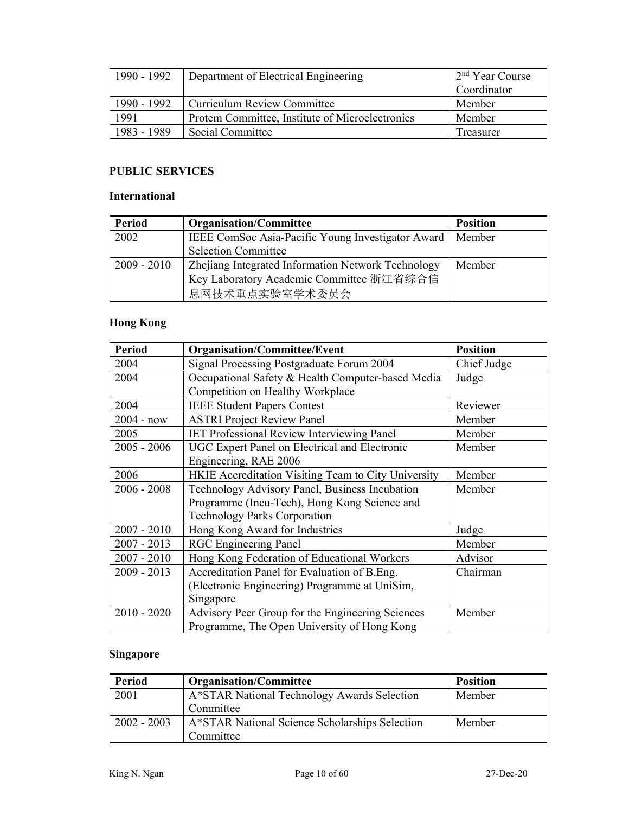| 1990 - 1992 | Department of Electrical Engineering                   | 2 <sup>nd</sup> Year Course |
|-------------|--------------------------------------------------------|-----------------------------|
|             |                                                        | Coordinator                 |
| 1990 - 1992 | Curriculum Review Committee                            | Member                      |
| 1991        | <b>Protem Committee, Institute of Microelectronics</b> | Member                      |
| 1983 - 1989 | Social Committee                                       | Treasurer                   |

# **PUBLIC SERVICES**

#### **International**

| <b>Period</b> | <b>Organisation/Committee</b>                              | <b>Position</b> |
|---------------|------------------------------------------------------------|-----------------|
| 2002          | IEEE ComSoc Asia-Pacific Young Investigator Award   Member |                 |
|               | <b>Selection Committee</b>                                 |                 |
| $2009 - 2010$ | Zhejiang Integrated Information Network Technology         | Member          |
|               | Key Laboratory Academic Committee 浙江省综合信                   |                 |
|               | 息网技术重点实验室学术委员会                                             |                 |

# **Hong Kong**

| <b>Period</b> | <b>Organisation/Committee/Event</b>                 | <b>Position</b> |
|---------------|-----------------------------------------------------|-----------------|
| 2004          | Signal Processing Postgraduate Forum 2004           | Chief Judge     |
| 2004          | Occupational Safety & Health Computer-based Media   | Judge           |
|               | Competition on Healthy Workplace                    |                 |
| 2004          | <b>IEEE Student Papers Contest</b>                  | Reviewer        |
| $2004 - now$  | <b>ASTRI Project Review Panel</b>                   | Member          |
| 2005          | <b>IET Professional Review Interviewing Panel</b>   | Member          |
| $2005 - 2006$ | UGC Expert Panel on Electrical and Electronic       | Member          |
|               | Engineering, RAE 2006                               |                 |
| 2006          | HKIE Accreditation Visiting Team to City University | Member          |
| $2006 - 2008$ | Technology Advisory Panel, Business Incubation      | Member          |
|               | Programme (Incu-Tech), Hong Kong Science and        |                 |
|               | <b>Technology Parks Corporation</b>                 |                 |
| $2007 - 2010$ | Hong Kong Award for Industries                      | Judge           |
| $2007 - 2013$ | <b>RGC</b> Engineering Panel                        | Member          |
| $2007 - 2010$ | Hong Kong Federation of Educational Workers         | Advisor         |
| $2009 - 2013$ | Accreditation Panel for Evaluation of B.Eng.        | Chairman        |
|               | (Electronic Engineering) Programme at UniSim,       |                 |
|               | Singapore                                           |                 |
| $2010 - 2020$ | Advisory Peer Group for the Engineering Sciences    | Member          |
|               | Programme, The Open University of Hong Kong         |                 |

# **Singapore**

| <b>Period</b> | <b>Organisation/Committee</b>                  | <b>Position</b> |
|---------------|------------------------------------------------|-----------------|
| 2001          | A*STAR National Technology Awards Selection    | Member          |
|               | Committee                                      |                 |
| $2002 - 2003$ | A*STAR National Science Scholarships Selection | Member          |
|               | Committee                                      |                 |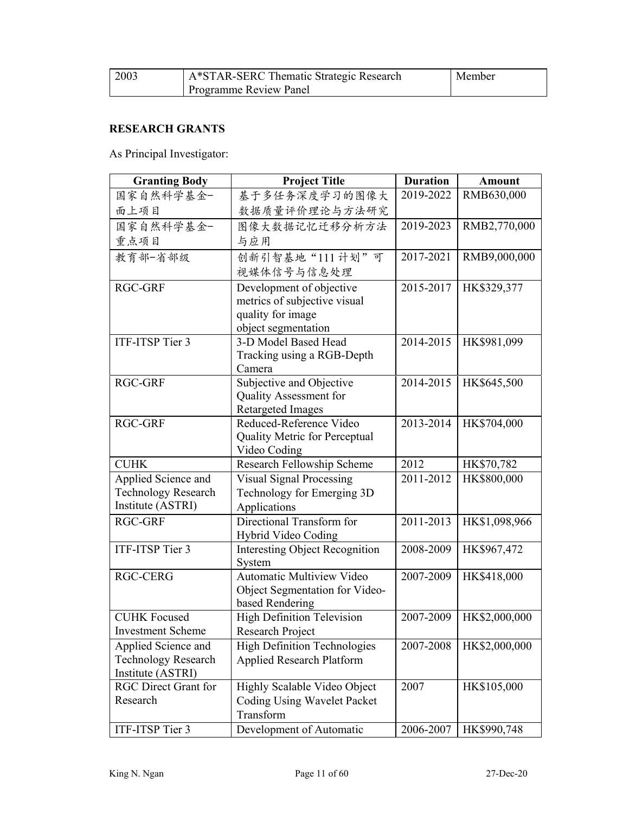| 2003 | A*STAR-SERC Thematic Strategic Research | Member |
|------|-----------------------------------------|--------|
|      | Programme Review Panel                  |        |

## **RESEARCH GRANTS**

As Principal Investigator:

| <b>Granting Body</b>        | <b>Project Title</b>                  | <b>Duration</b> | Amount        |
|-----------------------------|---------------------------------------|-----------------|---------------|
| 国家自然科学基金-                   | 基于多任务深度学习的图像大                         | 2019-2022       | RMB630,000    |
| 面上项目                        | 数据质量评价理论与方法研究                         |                 |               |
| 国家自然科学基金-                   | 图像大数据记忆迁移分析方法                         | 2019-2023       | RMB2,770,000  |
| 重点项目                        | 与应用                                   |                 |               |
| 教育部-省部级                     | 创新引智基地"111计划"可                        | 2017-2021       | RMB9,000,000  |
|                             | 视媒体信号与信息处理                            |                 |               |
| <b>RGC-GRF</b>              | Development of objective              | 2015-2017       | HK\$329,377   |
|                             | metrics of subjective visual          |                 |               |
|                             | quality for image                     |                 |               |
|                             | object segmentation                   |                 |               |
| ITF-ITSP Tier 3             | 3-D Model Based Head                  | 2014-2015       | HK\$981,099   |
|                             | Tracking using a RGB-Depth            |                 |               |
|                             | Camera                                |                 |               |
| <b>RGC-GRF</b>              | Subjective and Objective              | 2014-2015       | HK\$645,500   |
|                             | Quality Assessment for                |                 |               |
|                             | <b>Retargeted Images</b>              |                 |               |
| <b>RGC-GRF</b>              | Reduced-Reference Video               | 2013-2014       | HK\$704,000   |
|                             | Quality Metric for Perceptual         |                 |               |
|                             | Video Coding                          |                 |               |
| <b>CUHK</b>                 | Research Fellowship Scheme            | 2012            | HK\$70,782    |
| Applied Science and         | <b>Visual Signal Processing</b>       | 2011-2012       | HK\$800,000   |
| <b>Technology Research</b>  | Technology for Emerging 3D            |                 |               |
| Institute (ASTRI)           | Applications                          |                 |               |
| <b>RGC-GRF</b>              | Directional Transform for             | 2011-2013       | HK\$1,098,966 |
|                             | Hybrid Video Coding                   |                 |               |
| ITF-ITSP Tier 3             | <b>Interesting Object Recognition</b> | 2008-2009       | HK\$967,472   |
|                             | System                                |                 |               |
| <b>RGC-CERG</b>             | Automatic Multiview Video             | 2007-2009       | HK\$418,000   |
|                             | Object Segmentation for Video-        |                 |               |
|                             | based Rendering                       |                 |               |
| <b>CUHK Focused</b>         | <b>High Definition Television</b>     | 2007-2009       | HK\$2,000,000 |
| <b>Investment Scheme</b>    | Research Project                      |                 |               |
| Applied Science and         | <b>High Definition Technologies</b>   | 2007-2008       | HK\$2,000,000 |
| <b>Technology Research</b>  | <b>Applied Research Platform</b>      |                 |               |
| Institute (ASTRI)           |                                       |                 |               |
| <b>RGC Direct Grant for</b> | Highly Scalable Video Object          | 2007            | HK\$105,000   |
| Research                    | Coding Using Wavelet Packet           |                 |               |
|                             | Transform                             |                 |               |
| ITF-ITSP Tier 3             | Development of Automatic              | 2006-2007       | HK\$990,748   |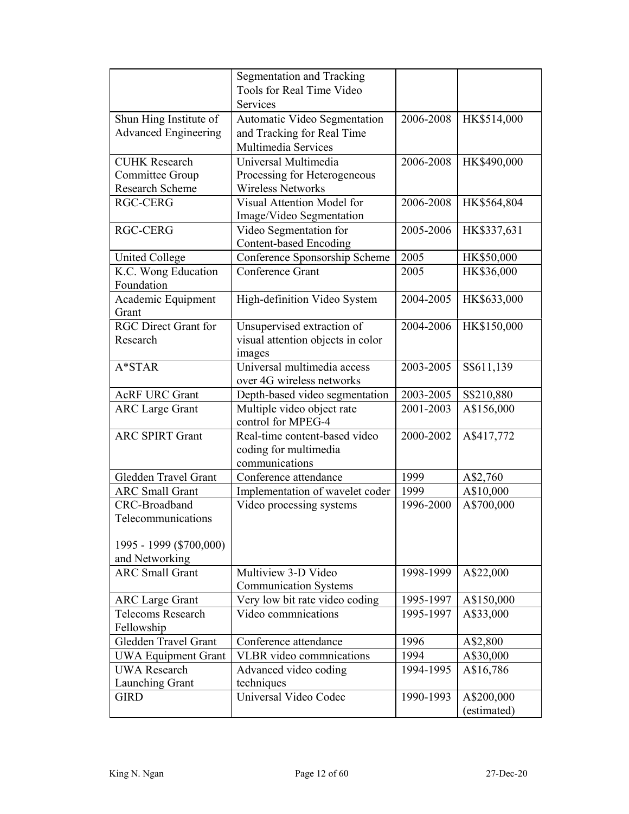|                             | <b>Segmentation and Tracking</b>  |           |             |
|-----------------------------|-----------------------------------|-----------|-------------|
|                             | Tools for Real Time Video         |           |             |
|                             | Services                          |           |             |
| Shun Hing Institute of      | Automatic Video Segmentation      | 2006-2008 | HK\$514,000 |
| <b>Advanced Engineering</b> | and Tracking for Real Time        |           |             |
|                             | Multimedia Services               |           |             |
| <b>CUHK Research</b>        | Universal Multimedia              | 2006-2008 | HK\$490,000 |
| Committee Group             | Processing for Heterogeneous      |           |             |
| <b>Research Scheme</b>      | <b>Wireless Networks</b>          |           |             |
| <b>RGC-CERG</b>             | Visual Attention Model for        | 2006-2008 | HK\$564,804 |
|                             | Image/Video Segmentation          |           |             |
| <b>RGC-CERG</b>             | Video Segmentation for            | 2005-2006 | HK\$337,631 |
|                             | <b>Content-based Encoding</b>     |           |             |
| <b>United College</b>       | Conference Sponsorship Scheme     | 2005      | HK\$50,000  |
| K.C. Wong Education         | <b>Conference Grant</b>           | 2005      | HK\$36,000  |
| Foundation                  |                                   |           |             |
| Academic Equipment          | High-definition Video System      | 2004-2005 | HK\$633,000 |
| Grant                       |                                   |           |             |
| <b>RGC Direct Grant for</b> | Unsupervised extraction of        | 2004-2006 | HK\$150,000 |
| Research                    | visual attention objects in color |           |             |
|                             | images                            |           |             |
| $A*STAR$                    | Universal multimedia access       | 2003-2005 | S\$611,139  |
|                             | over 4G wireless networks         |           |             |
| <b>AcRF URC Grant</b>       | Depth-based video segmentation    | 2003-2005 | S\$210,880  |
| <b>ARC Large Grant</b>      | Multiple video object rate        | 2001-2003 | A\$156,000  |
|                             | control for MPEG-4                |           |             |
| <b>ARC SPIRT Grant</b>      | Real-time content-based video     | 2000-2002 | A\$417,772  |
|                             | coding for multimedia             |           |             |
|                             | communications                    |           |             |
| Gledden Travel Grant        | Conference attendance             | 1999      | A\$2,760    |
| <b>ARC</b> Small Grant      | Implementation of wavelet coder   | 1999      | A\$10,000   |
| CRC-Broadband               | Video processing systems          | 1996-2000 | A\$700,000  |
| Telecommunications          |                                   |           |             |
|                             |                                   |           |             |
| 1995 - 1999 (\$700,000)     |                                   |           |             |
| and Networking              |                                   |           |             |
| <b>ARC</b> Small Grant      | Multiview 3-D Video               | 1998-1999 | A\$22,000   |
|                             | <b>Communication Systems</b>      |           |             |
| <b>ARC</b> Large Grant      | Very low bit rate video coding    | 1995-1997 | A\$150,000  |
| <b>Telecoms Research</b>    | Video commnications               | 1995-1997 | A\$33,000   |
| Fellowship                  |                                   |           |             |
| Gledden Travel Grant        | Conference attendance             | 1996      | A\$2,800    |
| <b>UWA Equipment Grant</b>  | <b>VLBR</b> video commnications   | 1994      | A\$30,000   |
| <b>UWA Research</b>         | Advanced video coding             | 1994-1995 | A\$16,786   |
| Launching Grant             | techniques                        |           |             |
| <b>GIRD</b>                 | Universal Video Codec             | 1990-1993 | A\$200,000  |
|                             |                                   |           | (estimated) |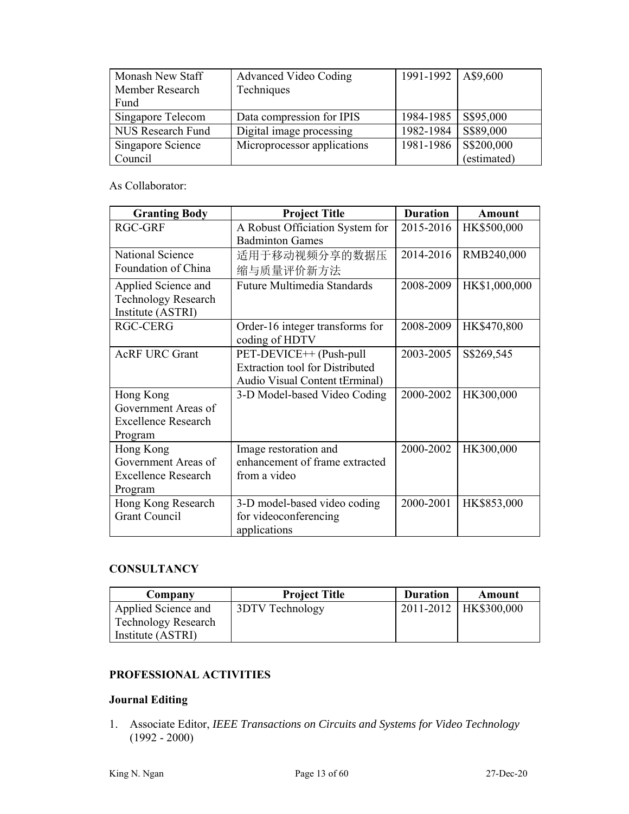| Monash New Staff  | Advanced Video Coding       | 1991-1992   A\$9,600 |             |
|-------------------|-----------------------------|----------------------|-------------|
| Member Research   | Techniques                  |                      |             |
| Fund              |                             |                      |             |
| Singapore Telecom | Data compression for IPIS   | 1984-1985            | S\$95,000   |
| NUS Research Fund | Digital image processing    | 1982-1984            | S\$89,000   |
| Singapore Science | Microprocessor applications | 1981-1986            | S\$200,000  |
| Council           |                             |                      | (estimated) |

#### As Collaborator:

| <b>Granting Body</b>       | <b>Project Title</b>                   | <b>Duration</b> | Amount        |
|----------------------------|----------------------------------------|-----------------|---------------|
| <b>RGC-GRF</b>             | A Robust Officiation System for        | 2015-2016       | HK\$500,000   |
|                            | <b>Badminton Games</b>                 |                 |               |
| National Science           | 适用于移动视频分享的数据压                          | 2014-2016       | RMB240,000    |
| Foundation of China        | 缩与质量评价新方法                              |                 |               |
| Applied Science and        | Future Multimedia Standards            | 2008-2009       | HK\$1,000,000 |
| <b>Technology Research</b> |                                        |                 |               |
| Institute (ASTRI)          |                                        |                 |               |
| <b>RGC-CERG</b>            | Order-16 integer transforms for        | 2008-2009       | HK\$470,800   |
|                            | coding of HDTV                         |                 |               |
| <b>AcRF URC Grant</b>      | PET-DEVICE++ (Push-pull                | 2003-2005       | S\$269,545    |
|                            | <b>Extraction tool for Distributed</b> |                 |               |
|                            | Audio Visual Content tErminal)         |                 |               |
| Hong Kong                  | 3-D Model-based Video Coding           | 2000-2002       | HK300,000     |
| Government Areas of        |                                        |                 |               |
| Excellence Research        |                                        |                 |               |
| Program                    |                                        |                 |               |
| Hong Kong                  | Image restoration and                  | 2000-2002       | HK300,000     |
| Government Areas of        | enhancement of frame extracted         |                 |               |
| <b>Excellence Research</b> | from a video                           |                 |               |
| Program                    |                                        |                 |               |
| Hong Kong Research         | 3-D model-based video coding           | 2000-2001       | HK\$853,000   |
| <b>Grant Council</b>       | for videoconferencing                  |                 |               |
|                            | applications                           |                 |               |

#### **CONSULTANCY**

| Company             | <b>Project Title</b> | <b>Duration</b> | Amount                  |
|---------------------|----------------------|-----------------|-------------------------|
| Applied Science and | 3DTV Technology      |                 | 2011-2012   HK\$300,000 |
| Technology Research |                      |                 |                         |
| Institute (ASTRI)   |                      |                 |                         |

### **PROFESSIONAL ACTIVITIES**

## **Journal Editing**

1. Associate Editor, *IEEE Transactions on Circuits and Systems for Video Technology* (1992 - 2000)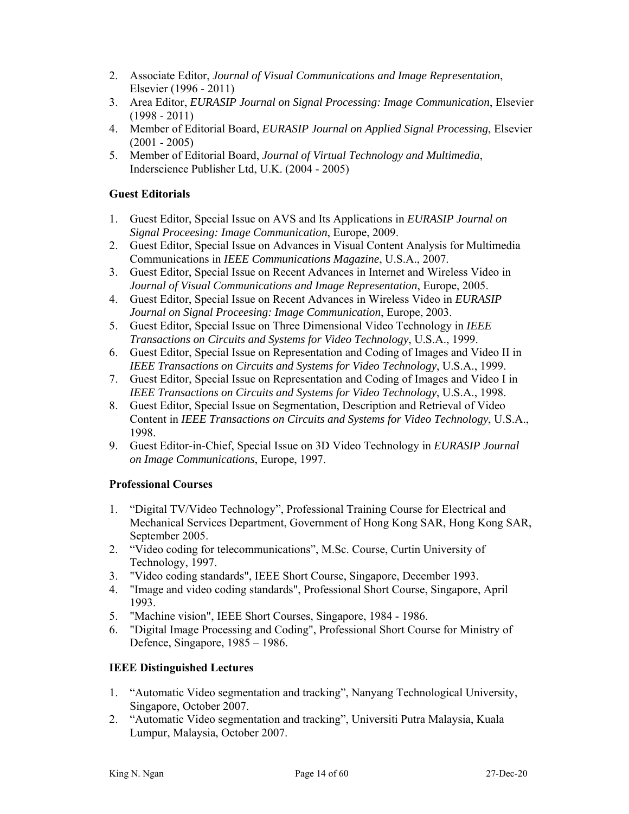- 2. Associate Editor, *Journal of Visual Communications and Image Representation*, Elsevier (1996 - 2011)
- 3. Area Editor, *EURASIP Journal on Signal Processing: Image Communication*, Elsevier  $(1998 - 2011)$
- 4. Member of Editorial Board, *EURASIP Journal on Applied Signal Processing*, Elsevier  $(2001 - 2005)$
- 5. Member of Editorial Board, *Journal of Virtual Technology and Multimedia*, Inderscience Publisher Ltd, U.K. (2004 - 2005)

#### **Guest Editorials**

- 1. Guest Editor, Special Issue on AVS and Its Applications in *EURASIP Journal on Signal Proceesing: Image Communication*, Europe, 2009.
- 2. Guest Editor, Special Issue on Advances in Visual Content Analysis for Multimedia Communications in *IEEE Communications Magazine*, U.S.A., 2007.
- 3. Guest Editor, Special Issue on Recent Advances in Internet and Wireless Video in *Journal of Visual Communications and Image Representation*, Europe, 2005.
- 4. Guest Editor, Special Issue on Recent Advances in Wireless Video in *EURASIP Journal on Signal Proceesing: Image Communication*, Europe, 2003.
- 5. Guest Editor, Special Issue on Three Dimensional Video Technology in *IEEE Transactions on Circuits and Systems for Video Technology*, U.S.A., 1999.
- 6. Guest Editor, Special Issue on Representation and Coding of Images and Video II in *IEEE Transactions on Circuits and Systems for Video Technology*, U.S.A., 1999.
- 7. Guest Editor, Special Issue on Representation and Coding of Images and Video I in *IEEE Transactions on Circuits and Systems for Video Technology*, U.S.A., 1998.
- 8. Guest Editor, Special Issue on Segmentation, Description and Retrieval of Video Content in *IEEE Transactions on Circuits and Systems for Video Technology*, U.S.A., 1998.
- 9. Guest Editor-in-Chief, Special Issue on 3D Video Technology in *EURASIP Journal on Image Communications*, Europe, 1997.

### **Professional Courses**

- 1. "Digital TV/Video Technology", Professional Training Course for Electrical and Mechanical Services Department, Government of Hong Kong SAR, Hong Kong SAR, September 2005.
- 2. "Video coding for telecommunications", M.Sc. Course, Curtin University of Technology, 1997.
- 3. "Video coding standards", IEEE Short Course, Singapore, December 1993.
- 4. "Image and video coding standards", Professional Short Course, Singapore, April 1993.
- 5. "Machine vision", IEEE Short Courses, Singapore, 1984 1986.
- 6. "Digital Image Processing and Coding", Professional Short Course for Ministry of Defence, Singapore, 1985 – 1986.

### **IEEE Distinguished Lectures**

- 1. "Automatic Video segmentation and tracking", Nanyang Technological University, Singapore, October 2007.
- 2. "Automatic Video segmentation and tracking", Universiti Putra Malaysia, Kuala Lumpur, Malaysia, October 2007.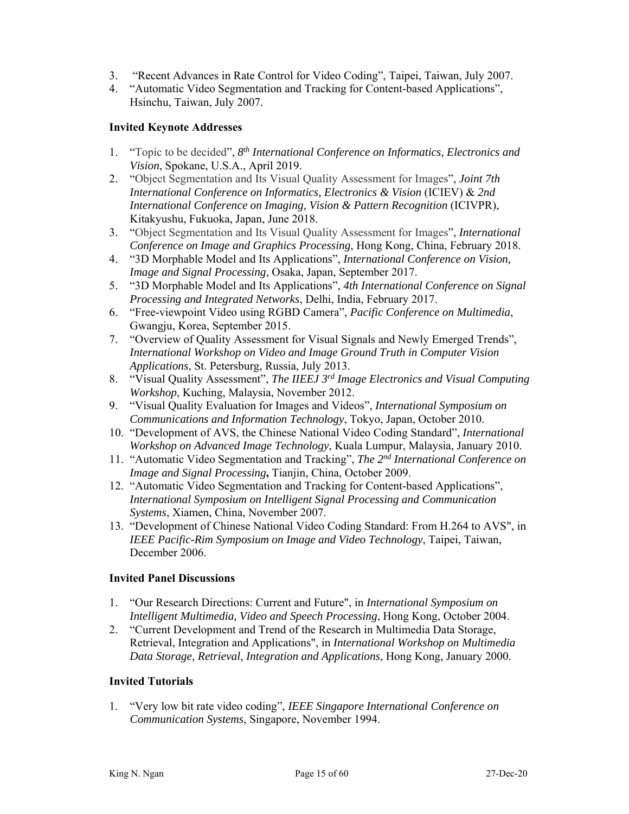- 3. "Recent Advances in Rate Control for Video Coding", Taipei, Taiwan, July 2007.
- 4. "Automatic Video Segmentation and Tracking for Content-based Applications", Hsinchu, Taiwan, July 2007.

#### **Invited Keynote Addresses**

- 1. "Topic to be decided", *8th International Conference on Informatics, Electronics and Vision*, Spokane, U.S.A., April 2019.
- 2. "Object Segmentation and Its Visual Quality Assessment for Images", *Joint 7th International Conference on Informatics, Electronics & Vision* (ICIEV) & *2nd International Conference on Imaging, Vision & Pattern Recognition (ICIVPR),* Kitakyushu, Fukuoka, Japan, June 2018.
- 3. "Object Segmentation and Its Visual Quality Assessment for Images", *International Conference on Image and Graphics Processing*, Hong Kong, China, February 2018.
- 4. "3D Morphable Model and Its Applications", *International Conference on Vision, Image and Signal Processing*, Osaka, Japan, September 2017.
- 5. "3D Morphable Model and Its Applications", *4th International Conference on Signal Processing and Integrated Networks*, Delhi, India, February 2017.
- 6. "Free-viewpoint Video using RGBD Camera", *Pacific Conference on Multimedia*, Gwangju, Korea, September 2015.
- 7. "Overview of Quality Assessment for Visual Signals and Newly Emerged Trends", *International Workshop on Video and Image Ground Truth in Computer Vision Applications*, St. Petersburg, Russia, July 2013.
- 8. "Visual Quality Assessment", *The IIEEJ 3rd Image Electronics and Visual Computing Workshop*, Kuching, Malaysia, November 2012.
- 9. "Visual Quality Evaluation for Images and Videos", *International Symposium on Communications and Information Technology*, Tokyo, Japan, October 2010.
- 10. "Development of AVS, the Chinese National Video Coding Standard", *International Workshop on Advanced Image Technology*, Kuala Lumpur, Malaysia, January 2010.
- 11. "Automatic Video Segmentation and Tracking", *The 2nd International Conference on Image and Signal Processing***,** Tianjin, China, October 2009.
- 12. "Automatic Video Segmentation and Tracking for Content-based Applications", *International Symposium on Intelligent Signal Processing and Communication Systems*, Xiamen, China, November 2007.
- 13. "Development of Chinese National Video Coding Standard: From H.264 to AVS", in *IEEE Pacific-Rim Symposium on Image and Video Technology*, Taipei, Taiwan, December 2006.

#### **Invited Panel Discussions**

- 1. "Our Research Directions: Current and Future", in *International Symposium on Intelligent Multimedia, Video and Speech Processing*, Hong Kong, October 2004.
- 2. "Current Development and Trend of the Research in Multimedia Data Storage, Retrieval, Integration and Applications", in *International Workshop on Multimedia Data Storage, Retrieval, Integration and Applications*, Hong Kong, January 2000.

#### **Invited Tutorials**

1. "Very low bit rate video coding", *IEEE Singapore International Conference on Communication Systems*, Singapore, November 1994.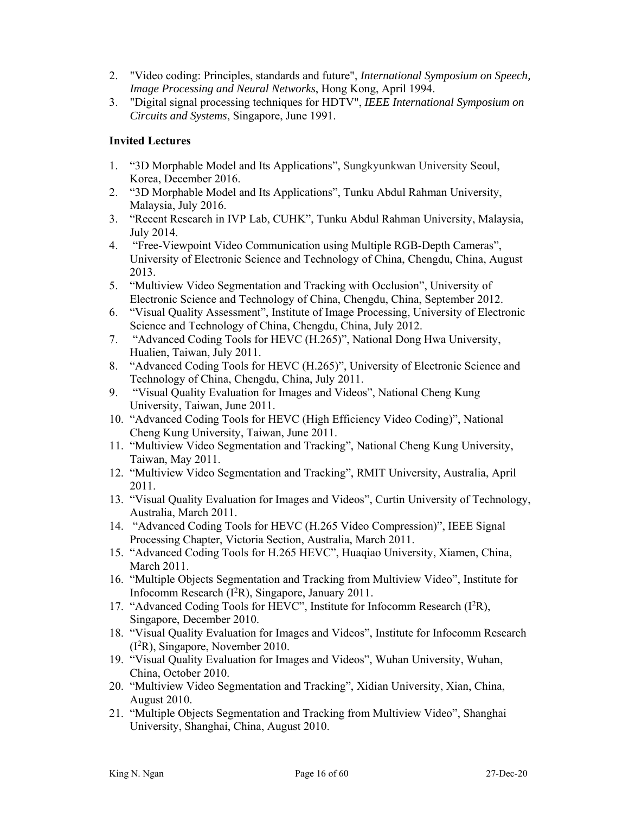- 2. "Video coding: Principles, standards and future", *International Symposium on Speech, Image Processing and Neural Networks*, Hong Kong, April 1994.
- 3. "Digital signal processing techniques for HDTV", *IEEE International Symposium on Circuits and Systems*, Singapore, June 1991.

### **Invited Lectures**

- 1. "3D Morphable Model and Its Applications", Sungkyunkwan University Seoul, Korea, December 2016.
- 2. "3D Morphable Model and Its Applications", Tunku Abdul Rahman University, Malaysia, July 2016.
- 3. "Recent Research in IVP Lab, CUHK", Tunku Abdul Rahman University, Malaysia, July 2014.
- 4. "Free-Viewpoint Video Communication using Multiple RGB-Depth Cameras", University of Electronic Science and Technology of China, Chengdu, China, August 2013.
- 5. "Multiview Video Segmentation and Tracking with Occlusion", University of Electronic Science and Technology of China, Chengdu, China, September 2012.
- 6. "Visual Quality Assessment", Institute of Image Processing, University of Electronic Science and Technology of China, Chengdu, China, July 2012.
- 7. "Advanced Coding Tools for HEVC (H.265)", National Dong Hwa University, Hualien, Taiwan, July 2011.
- 8. "Advanced Coding Tools for HEVC (H.265)", University of Electronic Science and Technology of China, Chengdu, China, July 2011.
- 9. "Visual Quality Evaluation for Images and Videos", National Cheng Kung University, Taiwan, June 2011.
- 10. "Advanced Coding Tools for HEVC (High Efficiency Video Coding)", National Cheng Kung University, Taiwan, June 2011.
- 11. "Multiview Video Segmentation and Tracking", National Cheng Kung University, Taiwan, May 2011.
- 12. "Multiview Video Segmentation and Tracking", RMIT University, Australia, April 2011.
- 13. "Visual Quality Evaluation for Images and Videos", Curtin University of Technology, Australia, March 2011.
- 14. "Advanced Coding Tools for HEVC (H.265 Video Compression)", IEEE Signal Processing Chapter, Victoria Section, Australia, March 2011.
- 15. "Advanced Coding Tools for H.265 HEVC", Huaqiao University, Xiamen, China, March 2011.
- 16. "Multiple Objects Segmentation and Tracking from Multiview Video", Institute for Infocomm Research (I2R), Singapore, January 2011.
- 17. "Advanced Coding Tools for HEVC", Institute for Infocomm Research (I2R), Singapore, December 2010.
- 18. "Visual Quality Evaluation for Images and Videos", Institute for Infocomm Research (I2R), Singapore, November 2010.
- 19. "Visual Quality Evaluation for Images and Videos", Wuhan University, Wuhan, China, October 2010.
- 20. "Multiview Video Segmentation and Tracking", Xidian University, Xian, China, August 2010.
- 21. "Multiple Objects Segmentation and Tracking from Multiview Video", Shanghai University, Shanghai, China, August 2010.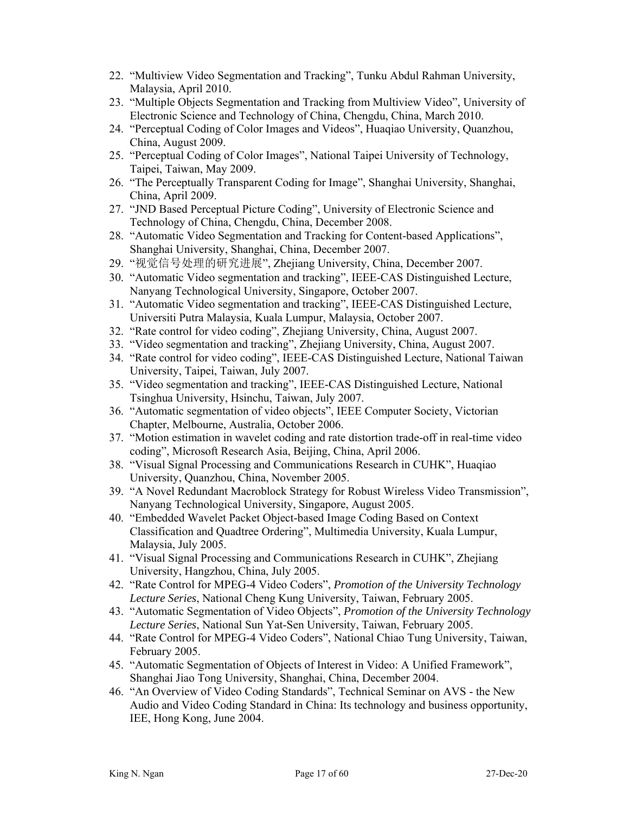- 22. "Multiview Video Segmentation and Tracking", Tunku Abdul Rahman University, Malaysia, April 2010.
- 23. "Multiple Objects Segmentation and Tracking from Multiview Video", University of Electronic Science and Technology of China, Chengdu, China, March 2010.
- 24. "Perceptual Coding of Color Images and Videos", Huaqiao University, Quanzhou, China, August 2009.
- 25. "Perceptual Coding of Color Images", National Taipei University of Technology, Taipei, Taiwan, May 2009.
- 26. "The Perceptually Transparent Coding for Image", Shanghai University, Shanghai, China, April 2009.
- 27. "JND Based Perceptual Picture Coding", University of Electronic Science and Technology of China, Chengdu, China, December 2008.
- 28. "Automatic Video Segmentation and Tracking for Content-based Applications", Shanghai University, Shanghai, China, December 2007.
- 29. "视觉信号处理的研究进展", Zhejiang University, China, December 2007.
- 30. "Automatic Video segmentation and tracking", IEEE-CAS Distinguished Lecture, Nanyang Technological University, Singapore, October 2007.
- 31. "Automatic Video segmentation and tracking", IEEE-CAS Distinguished Lecture, Universiti Putra Malaysia, Kuala Lumpur, Malaysia, October 2007.
- 32. "Rate control for video coding", Zhejiang University, China, August 2007.
- 33. "Video segmentation and tracking", Zhejiang University, China, August 2007.
- 34. "Rate control for video coding", IEEE-CAS Distinguished Lecture, National Taiwan University, Taipei, Taiwan, July 2007.
- 35. "Video segmentation and tracking", IEEE-CAS Distinguished Lecture, National Tsinghua University, Hsinchu, Taiwan, July 2007.
- 36. "Automatic segmentation of video objects", IEEE Computer Society, Victorian Chapter, Melbourne, Australia, October 2006.
- 37. "Motion estimation in wavelet coding and rate distortion trade-off in real-time video coding", Microsoft Research Asia, Beijing, China, April 2006.
- 38. "Visual Signal Processing and Communications Research in CUHK", Huaqiao University, Quanzhou, China, November 2005.
- 39. "A Novel Redundant Macroblock Strategy for Robust Wireless Video Transmission", Nanyang Technological University, Singapore, August 2005.
- 40. "Embedded Wavelet Packet Object-based Image Coding Based on Context Classification and Quadtree Ordering", Multimedia University, Kuala Lumpur, Malaysia, July 2005.
- 41. "Visual Signal Processing and Communications Research in CUHK", Zhejiang University, Hangzhou, China, July 2005.
- 42. "Rate Control for MPEG-4 Video Coders", *Promotion of the University Technology Lecture Series*, National Cheng Kung University, Taiwan, February 2005.
- 43. "Automatic Segmentation of Video Objects", *Promotion of the University Technology Lecture Series*, National Sun Yat-Sen University, Taiwan, February 2005.
- 44. "Rate Control for MPEG-4 Video Coders", National Chiao Tung University, Taiwan, February 2005.
- 45. "Automatic Segmentation of Objects of Interest in Video: A Unified Framework", Shanghai Jiao Tong University, Shanghai, China, December 2004.
- 46. "An Overview of Video Coding Standards", Technical Seminar on AVS the New Audio and Video Coding Standard in China: Its technology and business opportunity, IEE, Hong Kong, June 2004.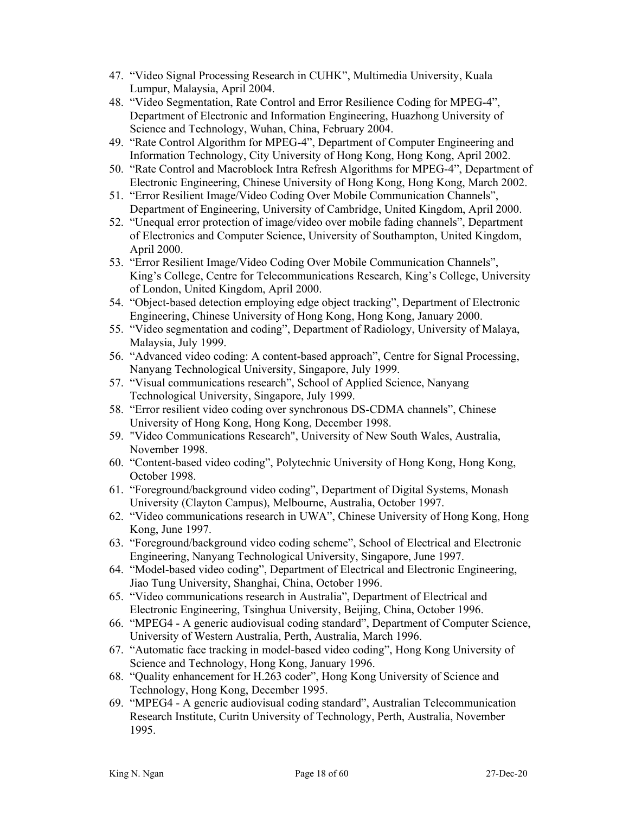- 47. "Video Signal Processing Research in CUHK", Multimedia University, Kuala Lumpur, Malaysia, April 2004.
- 48. "Video Segmentation, Rate Control and Error Resilience Coding for MPEG-4", Department of Electronic and Information Engineering, Huazhong University of Science and Technology, Wuhan, China, February 2004.
- 49. "Rate Control Algorithm for MPEG-4", Department of Computer Engineering and Information Technology, City University of Hong Kong, Hong Kong, April 2002.
- 50. "Rate Control and Macroblock Intra Refresh Algorithms for MPEG-4", Department of Electronic Engineering, Chinese University of Hong Kong, Hong Kong, March 2002.
- 51. "Error Resilient Image/Video Coding Over Mobile Communication Channels", Department of Engineering, University of Cambridge, United Kingdom, April 2000.
- 52. "Unequal error protection of image/video over mobile fading channels", Department of Electronics and Computer Science, University of Southampton, United Kingdom, April 2000.
- 53. "Error Resilient Image/Video Coding Over Mobile Communication Channels", King's College, Centre for Telecommunications Research, King's College, University of London, United Kingdom, April 2000.
- 54. "Object-based detection employing edge object tracking", Department of Electronic Engineering, Chinese University of Hong Kong, Hong Kong, January 2000.
- 55. "Video segmentation and coding", Department of Radiology, University of Malaya, Malaysia, July 1999.
- 56. "Advanced video coding: A content-based approach", Centre for Signal Processing, Nanyang Technological University, Singapore, July 1999.
- 57. "Visual communications research", School of Applied Science, Nanyang Technological University, Singapore, July 1999.
- 58. "Error resilient video coding over synchronous DS-CDMA channels", Chinese University of Hong Kong, Hong Kong, December 1998.
- 59. "Video Communications Research", University of New South Wales, Australia, November 1998.
- 60. "Content-based video coding", Polytechnic University of Hong Kong, Hong Kong, October 1998.
- 61. "Foreground/background video coding", Department of Digital Systems, Monash University (Clayton Campus), Melbourne, Australia, October 1997.
- 62. "Video communications research in UWA", Chinese University of Hong Kong, Hong Kong, June 1997.
- 63. "Foreground/background video coding scheme", School of Electrical and Electronic Engineering, Nanyang Technological University, Singapore, June 1997.
- 64. "Model-based video coding", Department of Electrical and Electronic Engineering, Jiao Tung University, Shanghai, China, October 1996.
- 65. "Video communications research in Australia", Department of Electrical and Electronic Engineering, Tsinghua University, Beijing, China, October 1996.
- 66. "MPEG4 A generic audiovisual coding standard", Department of Computer Science, University of Western Australia, Perth, Australia, March 1996.
- 67. "Automatic face tracking in model-based video coding", Hong Kong University of Science and Technology, Hong Kong, January 1996.
- 68. "Quality enhancement for H.263 coder", Hong Kong University of Science and Technology, Hong Kong, December 1995.
- 69. "MPEG4 A generic audiovisual coding standard", Australian Telecommunication Research Institute, Curitn University of Technology, Perth, Australia, November 1995.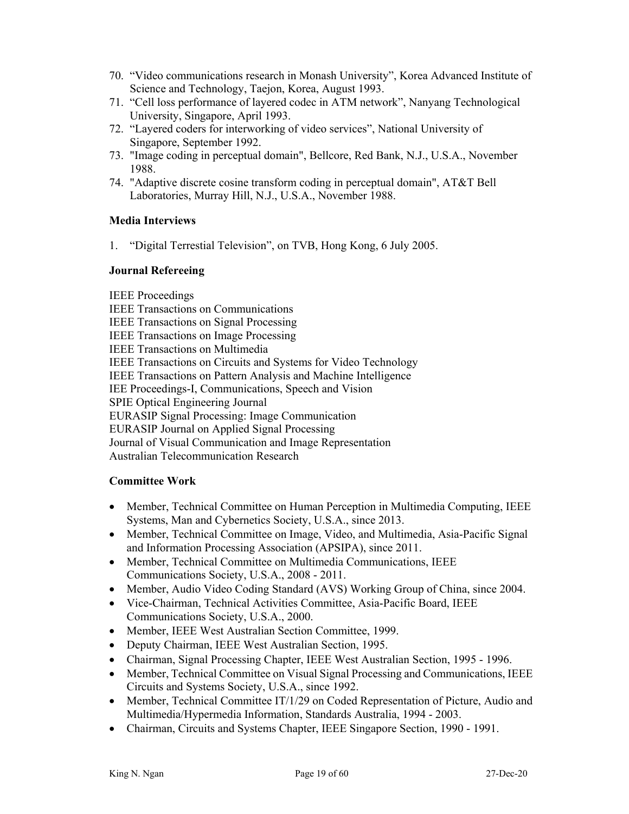- 70. "Video communications research in Monash University", Korea Advanced Institute of Science and Technology, Taejon, Korea, August 1993.
- 71. "Cell loss performance of layered codec in ATM network", Nanyang Technological University, Singapore, April 1993.
- 72. "Layered coders for interworking of video services", National University of Singapore, September 1992.
- 73. "Image coding in perceptual domain", Bellcore, Red Bank, N.J., U.S.A., November 1988.
- 74. "Adaptive discrete cosine transform coding in perceptual domain", AT&T Bell Laboratories, Murray Hill, N.J., U.S.A., November 1988.

### **Media Interviews**

1. "Digital Terrestial Television", on TVB, Hong Kong, 6 July 2005.

#### **Journal Refereeing**

IEEE Proceedings IEEE Transactions on Communications IEEE Transactions on Signal Processing IEEE Transactions on Image Processing IEEE Transactions on Multimedia IEEE Transactions on Circuits and Systems for Video Technology IEEE Transactions on Pattern Analysis and Machine Intelligence IEE Proceedings-I, Communications, Speech and Vision SPIE Optical Engineering Journal EURASIP Signal Processing: Image Communication EURASIP Journal on Applied Signal Processing Journal of Visual Communication and Image Representation Australian Telecommunication Research

### **Committee Work**

- Member, Technical Committee on Human Perception in Multimedia Computing, IEEE Systems, Man and Cybernetics Society, U.S.A., since 2013.
- Member, Technical Committee on Image, Video, and Multimedia, Asia-Pacific Signal and Information Processing Association (APSIPA), since 2011.
- Member, Technical Committee on Multimedia Communications, IEEE Communications Society, U.S.A., 2008 - 2011.
- Member, Audio Video Coding Standard (AVS) Working Group of China, since 2004.
- Vice-Chairman, Technical Activities Committee, Asia-Pacific Board, IEEE Communications Society, U.S.A., 2000.
- Member, IEEE West Australian Section Committee, 1999.
- Deputy Chairman, IEEE West Australian Section, 1995.
- Chairman, Signal Processing Chapter, IEEE West Australian Section, 1995 1996.
- Member, Technical Committee on Visual Signal Processing and Communications, IEEE Circuits and Systems Society, U.S.A., since 1992.
- Member, Technical Committee IT/1/29 on Coded Representation of Picture, Audio and Multimedia/Hypermedia Information, Standards Australia, 1994 - 2003.
- Chairman, Circuits and Systems Chapter, IEEE Singapore Section, 1990 1991.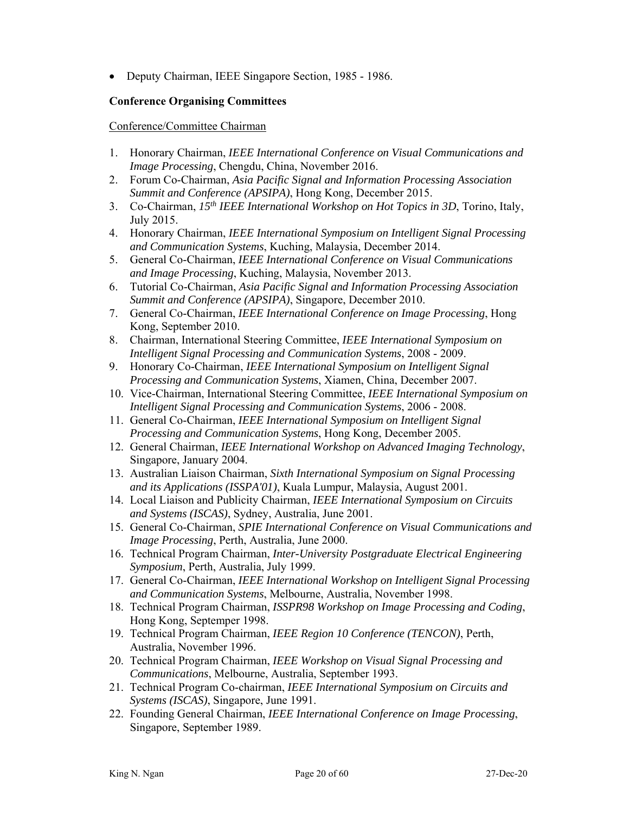Deputy Chairman, IEEE Singapore Section, 1985 - 1986.

#### **Conference Organising Committees**

Conference/Committee Chairman

- 1. Honorary Chairman, *IEEE International Conference on Visual Communications and Image Processing*, Chengdu, China, November 2016.
- 2. Forum Co-Chairman, *Asia Pacific Signal and Information Processing Association Summit and Conference (APSIPA)*, Hong Kong, December 2015.
- 3. Co-Chairman, *15th IEEE International Workshop on Hot Topics in 3D*, Torino, Italy, July 2015.
- 4. Honorary Chairman, *IEEE International Symposium on Intelligent Signal Processing and Communication Systems*, Kuching, Malaysia, December 2014.
- 5. General Co-Chairman, *IEEE International Conference on Visual Communications and Image Processing*, Kuching, Malaysia, November 2013.
- 6. Tutorial Co-Chairman, *Asia Pacific Signal and Information Processing Association Summit and Conference (APSIPA)*, Singapore, December 2010.
- 7. General Co-Chairman, *IEEE International Conference on Image Processing*, Hong Kong, September 2010.
- 8. Chairman, International Steering Committee, *IEEE International Symposium on Intelligent Signal Processing and Communication Systems*, 2008 - 2009.
- 9. Honorary Co-Chairman, *IEEE International Symposium on Intelligent Signal Processing and Communication Systems*, Xiamen, China, December 2007.
- 10. Vice-Chairman, International Steering Committee, *IEEE International Symposium on Intelligent Signal Processing and Communication Systems*, 2006 - 2008.
- 11. General Co-Chairman, *IEEE International Symposium on Intelligent Signal Processing and Communication Systems*, Hong Kong, December 2005.
- 12. General Chairman, *IEEE International Workshop on Advanced Imaging Technology*, Singapore, January 2004.
- 13. Australian Liaison Chairman, *Sixth International Symposium on Signal Processing and its Applications (ISSPA'01)*, Kuala Lumpur, Malaysia, August 2001.
- 14. Local Liaison and Publicity Chairman, *IEEE International Symposium on Circuits and Systems (ISCAS)*, Sydney, Australia, June 2001.
- 15. General Co-Chairman, *SPIE International Conference on Visual Communications and Image Processing*, Perth, Australia, June 2000.
- 16. Technical Program Chairman, *Inter-University Postgraduate Electrical Engineering Symposium*, Perth, Australia, July 1999.
- 17. General Co-Chairman, *IEEE International Workshop on Intelligent Signal Processing and Communication Systems*, Melbourne, Australia, November 1998.
- 18. Technical Program Chairman, *ISSPR98 Workshop on Image Processing and Coding*, Hong Kong, Septemper 1998.
- 19. Technical Program Chairman, *IEEE Region 10 Conference (TENCON)*, Perth, Australia, November 1996.
- 20. Technical Program Chairman, *IEEE Workshop on Visual Signal Processing and Communications*, Melbourne, Australia, September 1993.
- 21. Technical Program Co-chairman, *IEEE International Symposium on Circuits and Systems (ISCAS)*, Singapore, June 1991.
- 22. Founding General Chairman, *IEEE International Conference on Image Processing*, Singapore, September 1989.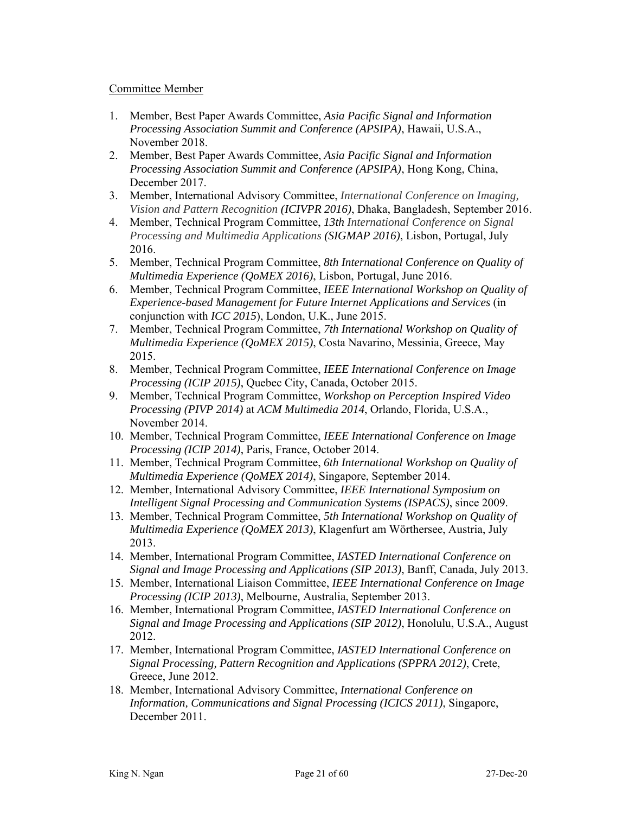#### Committee Member

- 1. Member, Best Paper Awards Committee, *Asia Pacific Signal and Information Processing Association Summit and Conference (APSIPA)*, Hawaii, U.S.A., November 2018.
- 2. Member, Best Paper Awards Committee, *Asia Pacific Signal and Information Processing Association Summit and Conference (APSIPA)*, Hong Kong, China, December 2017.
- 3. Member, International Advisory Committee, *International Conference on Imaging, Vision and Pattern Recognition (ICIVPR 2016)*, Dhaka, Bangladesh, September 2016.
- 4. Member, Technical Program Committee, *13th International Conference on Signal Processing and Multimedia Applications (SIGMAP 2016)*, Lisbon, Portugal, July 2016.
- 5. Member, Technical Program Committee, *8th International Conference on Quality of Multimedia Experience (QoMEX 2016)*, Lisbon, Portugal, June 2016.
- 6. Member, Technical Program Committee, *IEEE International Workshop on Quality of Experience-based Management for Future Internet Applications and Services* (in conjunction with *ICC 2015*), London, U.K., June 2015.
- 7. Member, Technical Program Committee, *7th International Workshop on Quality of Multimedia Experience (QoMEX 2015)*, Costa Navarino, Messinia, Greece, May 2015.
- 8. Member, Technical Program Committee, *IEEE International Conference on Image Processing (ICIP 2015)*, Quebec City, Canada, October 2015.
- 9. Member, Technical Program Committee, *Workshop on Perception Inspired Video Processing (PIVP 2014)* at *ACM Multimedia 2014*, Orlando, Florida, U.S.A., November 2014.
- 10. Member, Technical Program Committee, *IEEE International Conference on Image Processing (ICIP 2014)*, Paris, France, October 2014.
- 11. Member, Technical Program Committee, *6th International Workshop on Quality of Multimedia Experience (QoMEX 2014)*, Singapore, September 2014.
- 12. Member, International Advisory Committee, *IEEE International Symposium on Intelligent Signal Processing and Communication Systems (ISPACS)*, since 2009.
- 13. Member, Technical Program Committee, *5th International Workshop on Quality of Multimedia Experience (QoMEX 2013)*, Klagenfurt am Wörthersee, Austria, July 2013.
- 14. Member, International Program Committee, *IASTED International Conference on Signal and Image Processing and Applications (SIP 2013)*, Banff, Canada, July 2013.
- 15. Member, International Liaison Committee, *IEEE International Conference on Image Processing (ICIP 2013)*, Melbourne, Australia, September 2013.
- 16. Member, International Program Committee, *IASTED International Conference on Signal and Image Processing and Applications (SIP 2012)*, Honolulu, U.S.A., August 2012.
- 17. Member, International Program Committee, *IASTED International Conference on Signal Processing, Pattern Recognition and Applications (SPPRA 2012)*, Crete, Greece, June 2012.
- 18. Member, International Advisory Committee, *International Conference on Information, Communications and Signal Processing (ICICS 2011)*, Singapore, December 2011.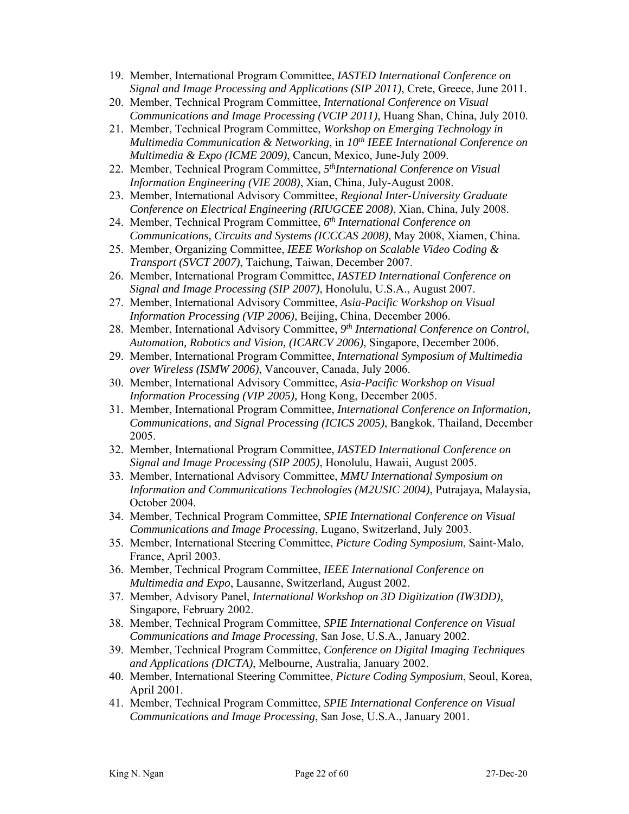- 19. Member, International Program Committee, *IASTED International Conference on Signal and Image Processing and Applications (SIP 2011)*, Crete, Greece, June 2011.
- 20. Member, Technical Program Committee, *International Conference on Visual Communications and Image Processing (VCIP 2011)*, Huang Shan, China, July 2010.
- 21. Member, Technical Program Committee, *Workshop on Emerging Technology in Multimedia Communication & Networking*, in *10th IEEE International Conference on Multimedia & Expo (ICME 2009)*, Cancun, Mexico, June-July 2009.
- 22. Member, Technical Program Committee, 5<sup>th</sup>International Conference on Visual *Information Engineering (VIE 2008)*, Xian, China, July-August 2008.
- 23. Member, International Advisory Committee, *Regional Inter-University Graduate Conference on Electrical Engineering (RIUGCEE 2008)*, Xian, China, July 2008.
- 24. Member, Technical Program Committee, *6th International Conference on Communications, Circuits and Systems (ICCCAS 2008)*, May 2008, Xiamen, China.
- 25. Member, Organizing Committee, *IEEE Workshop on Scalable Video Coding & Transport (SVCT 2007)*, Taichung, Taiwan, December 2007.
- 26. Member, International Program Committee, *IASTED International Conference on Signal and Image Processing (SIP 2007)*, Honolulu, U.S.A., August 2007.
- 27. Member, International Advisory Committee, *Asia-Pacific Workshop on Visual Information Processing (VIP 2006),* Beijing, China, December 2006.
- 28. Member, International Advisory Committee, *9th International Conference on Control, Automation, Robotics and Vision, (ICARCV 2006)*, Singapore, December 2006.
- 29. Member, International Program Committee, *International Symposium of Multimedia over Wireless (ISMW 2006)*, Vancouver, Canada, July 2006.
- 30. Member, International Advisory Committee, *Asia-Pacific Workshop on Visual Information Processing (VIP 2005),* Hong Kong, December 2005.
- 31. Member, International Program Committee, *International Conference on Information, Communications, and Signal Processing (ICICS 2005)*, Bangkok, Thailand, December 2005.
- 32. Member, International Program Committee, *IASTED International Conference on Signal and Image Processing (SIP 2005)*, Honolulu, Hawaii, August 2005.
- 33. Member, International Advisory Committee, *MMU International Symposium on Information and Communications Technologies (M2USIC 2004)*, Putrajaya, Malaysia, October 2004.
- 34. Member, Technical Program Committee, *SPIE International Conference on Visual Communications and Image Processing*, Lugano, Switzerland, July 2003.
- 35. Member, International Steering Committee, *Picture Coding Symposium*, Saint-Malo, France, April 2003.
- 36. Member, Technical Program Committee, *IEEE International Conference on Multimedia and Expo*, Lausanne, Switzerland, August 2002.
- 37. Member, Advisory Panel, *International Workshop on 3D Digitization (IW3DD),* Singapore, February 2002.
- 38. Member, Technical Program Committee, *SPIE International Conference on Visual Communications and Image Processing*, San Jose, U.S.A., January 2002.
- 39. Member, Technical Program Committee, *Conference on Digital Imaging Techniques and Applications (DICTA)*, Melbourne, Australia, January 2002.
- 40. Member, International Steering Committee, *Picture Coding Symposium*, Seoul, Korea, April 2001.
- 41. Member, Technical Program Committee, *SPIE International Conference on Visual Communications and Image Processing*, San Jose, U.S.A., January 2001.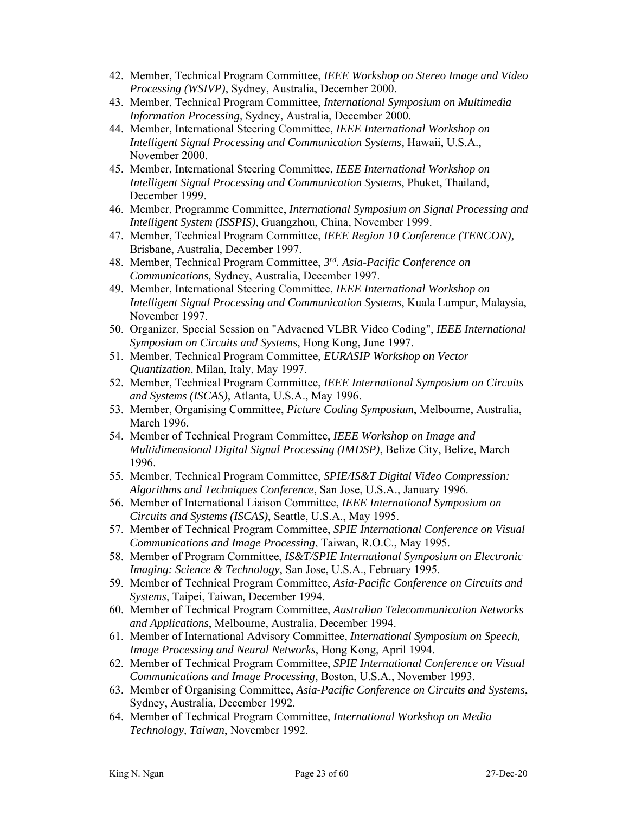- 42. Member, Technical Program Committee, *IEEE Workshop on Stereo Image and Video Processing (WSIVP)*, Sydney, Australia, December 2000.
- 43. Member, Technical Program Committee, *International Symposium on Multimedia Information Processing*, Sydney, Australia, December 2000.
- 44. Member, International Steering Committee, *IEEE International Workshop on Intelligent Signal Processing and Communication Systems*, Hawaii, U.S.A., November 2000.
- 45. Member, International Steering Committee, *IEEE International Workshop on Intelligent Signal Processing and Communication Systems*, Phuket, Thailand, December 1999.
- 46. Member, Programme Committee, *International Symposium on Signal Processing and Intelligent System (ISSPIS)*, Guangzhou, China, November 1999.
- 47. Member, Technical Program Committee, *IEEE Region 10 Conference (TENCON),* Brisbane, Australia, December 1997.
- 48. Member, Technical Program Committee, *3rd. Asia-Pacific Conference on Communications,* Sydney, Australia, December 1997.
- 49. Member, International Steering Committee, *IEEE International Workshop on Intelligent Signal Processing and Communication Systems*, Kuala Lumpur, Malaysia, November 1997.
- 50. Organizer, Special Session on "Advacned VLBR Video Coding", *IEEE International Symposium on Circuits and Systems*, Hong Kong, June 1997.
- 51. Member, Technical Program Committee, *EURASIP Workshop on Vector Quantization*, Milan, Italy, May 1997.
- 52. Member, Technical Program Committee, *IEEE International Symposium on Circuits and Systems (ISCAS)*, Atlanta, U.S.A., May 1996.
- 53. Member, Organising Committee, *Picture Coding Symposium*, Melbourne, Australia, March 1996.
- 54. Member of Technical Program Committee, *IEEE Workshop on Image and Multidimensional Digital Signal Processing (IMDSP)*, Belize City, Belize, March 1996.
- 55. Member, Technical Program Committee, *SPIE/IS&T Digital Video Compression: Algorithms and Techniques Conference*, San Jose, U.S.A., January 1996.
- 56. Member of International Liaison Committee, *IEEE International Symposium on Circuits and Systems (ISCAS)*, Seattle, U.S.A., May 1995.
- 57. Member of Technical Program Committee, *SPIE International Conference on Visual Communications and Image Processing*, Taiwan, R.O.C., May 1995.
- 58. Member of Program Committee, *IS&T/SPIE International Symposium on Electronic Imaging: Science & Technology*, San Jose, U.S.A., February 1995.
- 59. Member of Technical Program Committee, *Asia-Pacific Conference on Circuits and Systems*, Taipei, Taiwan, December 1994.
- 60. Member of Technical Program Committee, *Australian Telecommunication Networks and Applications*, Melbourne, Australia, December 1994.
- 61. Member of International Advisory Committee, *International Symposium on Speech, Image Processing and Neural Networks*, Hong Kong, April 1994.
- 62. Member of Technical Program Committee, *SPIE International Conference on Visual Communications and Image Processing*, Boston, U.S.A., November 1993.
- 63. Member of Organising Committee, *Asia-Pacific Conference on Circuits and Systems*, Sydney, Australia, December 1992.
- 64. Member of Technical Program Committee, *International Workshop on Media Technology, Taiwan*, November 1992.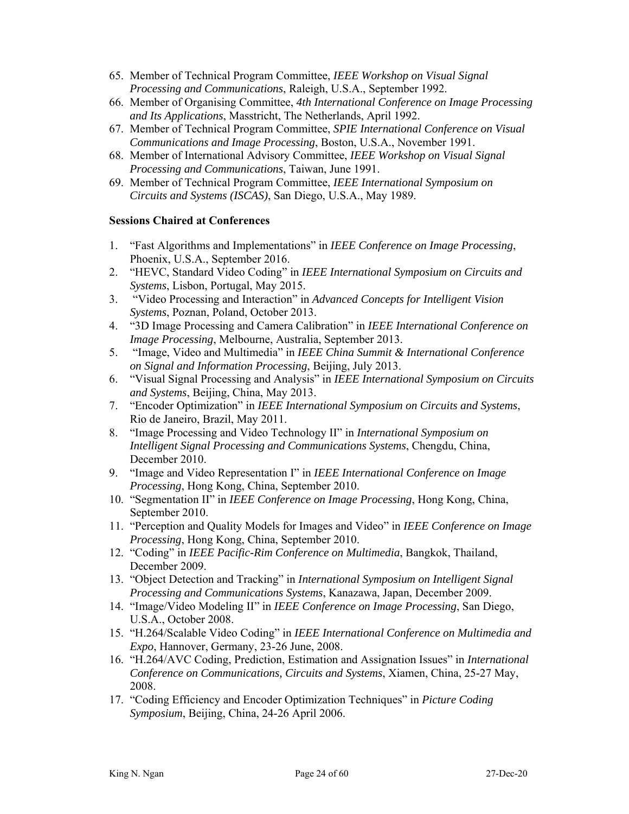- 65. Member of Technical Program Committee, *IEEE Workshop on Visual Signal Processing and Communications*, Raleigh, U.S.A., September 1992.
- 66. Member of Organising Committee, *4th International Conference on Image Processing and Its Applications*, Masstricht, The Netherlands, April 1992.
- 67. Member of Technical Program Committee, *SPIE International Conference on Visual Communications and Image Processing*, Boston, U.S.A., November 1991.
- 68. Member of International Advisory Committee, *IEEE Workshop on Visual Signal Processing and Communications*, Taiwan, June 1991.
- 69. Member of Technical Program Committee, *IEEE International Symposium on Circuits and Systems (ISCAS)*, San Diego, U.S.A., May 1989.

#### **Sessions Chaired at Conferences**

- 1. "Fast Algorithms and Implementations" in *IEEE Conference on Image Processing*, Phoenix, U.S.A., September 2016.
- 2. "HEVC, Standard Video Coding" in *IEEE International Symposium on Circuits and Systems*, Lisbon, Portugal, May 2015.
- 3. "Video Processing and Interaction" in *Advanced Concepts for Intelligent Vision Systems*, Poznan, Poland, October 2013.
- 4. "3D Image Processing and Camera Calibration" in *IEEE International Conference on Image Processing*, Melbourne, Australia, September 2013.
- 5. "Image, Video and Multimedia" in *IEEE China Summit & International Conference on Signal and Information Processing*, Beijing, July 2013.
- 6. "Visual Signal Processing and Analysis" in *IEEE International Symposium on Circuits and Systems*, Beijing, China, May 2013.
- 7. "Encoder Optimization" in *IEEE International Symposium on Circuits and Systems*, Rio de Janeiro, Brazil, May 2011.
- 8. "Image Processing and Video Technology II" in *International Symposium on Intelligent Signal Processing and Communications Systems*, Chengdu, China, December 2010.
- 9. "Image and Video Representation I" in *IEEE International Conference on Image Processing*, Hong Kong, China, September 2010.
- 10. "Segmentation II" in *IEEE Conference on Image Processing*, Hong Kong, China, September 2010.
- 11. "Perception and Quality Models for Images and Video" in *IEEE Conference on Image Processing*, Hong Kong, China, September 2010.
- 12. "Coding" in *IEEE Pacific-Rim Conference on Multimedia*, Bangkok, Thailand, December 2009.
- 13. "Object Detection and Tracking" in *International Symposium on Intelligent Signal Processing and Communications Systems*, Kanazawa, Japan, December 2009.
- 14. "Image/Video Modeling II" in *IEEE Conference on Image Processing*, San Diego, U.S.A., October 2008.
- 15. "H.264/Scalable Video Coding" in *IEEE International Conference on Multimedia and Expo*, Hannover, Germany, 23-26 June, 2008.
- 16. "H.264/AVC Coding, Prediction, Estimation and Assignation Issues" in *International Conference on Communications, Circuits and Systems*, Xiamen, China, 25-27 May, 2008.
- 17. "Coding Efficiency and Encoder Optimization Techniques" in *Picture Coding Symposium*, Beijing, China, 24-26 April 2006.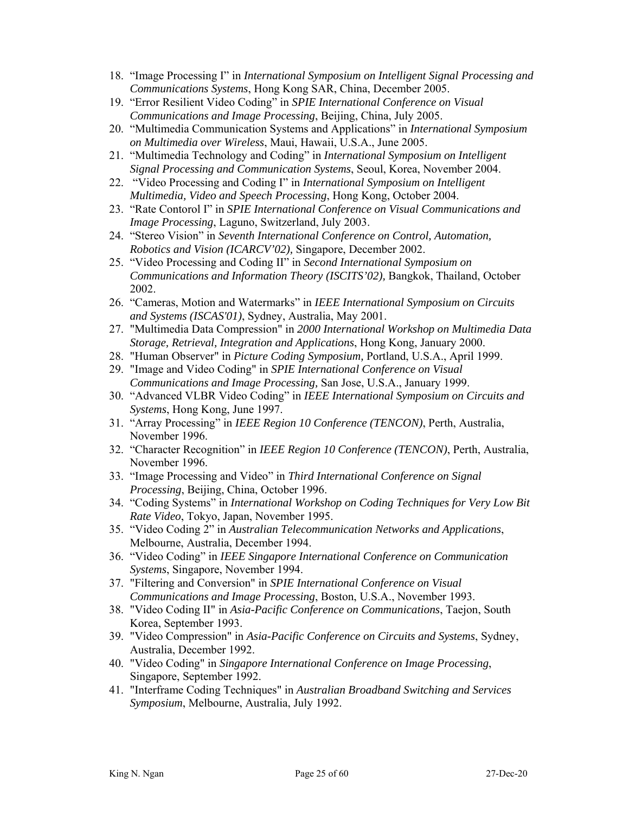- 18. "Image Processing I" in *International Symposium on Intelligent Signal Processing and Communications Systems*, Hong Kong SAR, China, December 2005.
- 19. "Error Resilient Video Coding" in *SPIE International Conference on Visual Communications and Image Processing*, Beijing, China, July 2005.
- 20. "Multimedia Communication Systems and Applications" in *International Symposium on Multimedia over Wireless*, Maui, Hawaii, U.S.A., June 2005.
- 21. "Multimedia Technology and Coding" in *International Symposium on Intelligent Signal Processing and Communication Systems*, Seoul, Korea, November 2004.
- 22. "Video Processing and Coding I" in *International Symposium on Intelligent Multimedia, Video and Speech Processing*, Hong Kong, October 2004.
- 23. "Rate Contorol I" in *SPIE International Conference on Visual Communications and Image Processing*, Laguno, Switzerland, July 2003.
- 24. "Stereo Vision" in *Seventh International Conference on Control, Automation, Robotics and Vision (ICARCV'02),* Singapore, December 2002.
- 25. "Video Processing and Coding II" in *Second International Symposium on Communications and Information Theory (ISCITS'02),* Bangkok, Thailand, October 2002.
- 26. "Cameras, Motion and Watermarks" in *IEEE International Symposium on Circuits and Systems (ISCAS'01)*, Sydney, Australia, May 2001.
- 27. "Multimedia Data Compression" in *2000 International Workshop on Multimedia Data Storage, Retrieval, Integration and Applications*, Hong Kong, January 2000.
- 28. "Human Observer" in *Picture Coding Symposium,* Portland, U.S.A., April 1999.
- 29. "Image and Video Coding" in *SPIE International Conference on Visual Communications and Image Processing,* San Jose, U.S.A., January 1999.
- 30. "Advanced VLBR Video Coding" in *IEEE International Symposium on Circuits and Systems*, Hong Kong, June 1997.
- 31. "Array Processing" in *IEEE Region 10 Conference (TENCON)*, Perth, Australia, November 1996.
- 32. "Character Recognition" in *IEEE Region 10 Conference (TENCON)*, Perth, Australia, November 1996.
- 33. "Image Processing and Video" in *Third International Conference on Signal Processing*, Beijing, China, October 1996.
- 34. "Coding Systems" in *International Workshop on Coding Techniques for Very Low Bit Rate Video*, Tokyo, Japan, November 1995.
- 35. "Video Coding 2" in *Australian Telecommunication Networks and Applications*, Melbourne, Australia, December 1994.
- 36. "Video Coding" in *IEEE Singapore International Conference on Communication Systems*, Singapore, November 1994.
- 37. "Filtering and Conversion" in *SPIE International Conference on Visual Communications and Image Processing*, Boston, U.S.A., November 1993.
- 38. "Video Coding II" in *Asia-Pacific Conference on Communications*, Taejon, South Korea, September 1993.
- 39. "Video Compression" in *Asia-Pacific Conference on Circuits and Systems*, Sydney, Australia, December 1992.
- 40. "Video Coding" in *Singapore International Conference on Image Processing*, Singapore, September 1992.
- 41. "Interframe Coding Techniques" in *Australian Broadband Switching and Services Symposium*, Melbourne, Australia, July 1992.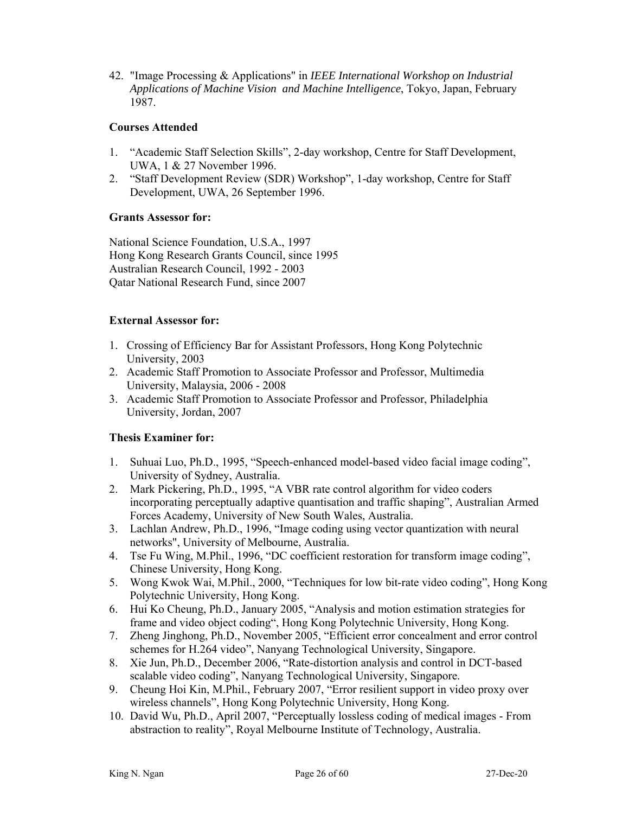42. "Image Processing & Applications" in *IEEE International Workshop on Industrial Applications of Machine Vision and Machine Intelligence*, Tokyo, Japan, February 1987.

#### **Courses Attended**

- 1. "Academic Staff Selection Skills", 2-day workshop, Centre for Staff Development, UWA, 1 & 27 November 1996.
- 2. "Staff Development Review (SDR) Workshop", 1-day workshop, Centre for Staff Development, UWA, 26 September 1996.

### **Grants Assessor for:**

National Science Foundation, U.S.A., 1997 Hong Kong Research Grants Council, since 1995 Australian Research Council, 1992 - 2003 Qatar National Research Fund, since 2007

#### **External Assessor for:**

- 1. Crossing of Efficiency Bar for Assistant Professors, Hong Kong Polytechnic University, 2003
- 2. Academic Staff Promotion to Associate Professor and Professor, Multimedia University, Malaysia, 2006 - 2008
- 3. Academic Staff Promotion to Associate Professor and Professor, Philadelphia University, Jordan, 2007

### **Thesis Examiner for:**

- 1. Suhuai Luo, Ph.D., 1995, "Speech-enhanced model-based video facial image coding", University of Sydney, Australia.
- 2. Mark Pickering, Ph.D., 1995, "A VBR rate control algorithm for video coders incorporating perceptually adaptive quantisation and traffic shaping", Australian Armed Forces Academy, University of New South Wales, Australia.
- 3. Lachlan Andrew, Ph.D., 1996, "Image coding using vector quantization with neural networks", University of Melbourne, Australia.
- 4. Tse Fu Wing, M.Phil., 1996, "DC coefficient restoration for transform image coding", Chinese University, Hong Kong.
- 5. Wong Kwok Wai, M.Phil., 2000, "Techniques for low bit-rate video coding", Hong Kong Polytechnic University, Hong Kong.
- 6. Hui Ko Cheung, Ph.D., January 2005, "Analysis and motion estimation strategies for frame and video object coding", Hong Kong Polytechnic University, Hong Kong.
- 7. Zheng Jinghong, Ph.D., November 2005, "Efficient error concealment and error control schemes for H.264 video", Nanyang Technological University, Singapore.
- 8. Xie Jun, Ph.D., December 2006, "Rate-distortion analysis and control in DCT-based scalable video coding", Nanyang Technological University, Singapore.
- 9. Cheung Hoi Kin, M.Phil., February 2007, "Error resilient support in video proxy over wireless channels", Hong Kong Polytechnic University, Hong Kong.
- 10. David Wu, Ph.D., April 2007, "Perceptually lossless coding of medical images From abstraction to reality", Royal Melbourne Institute of Technology, Australia.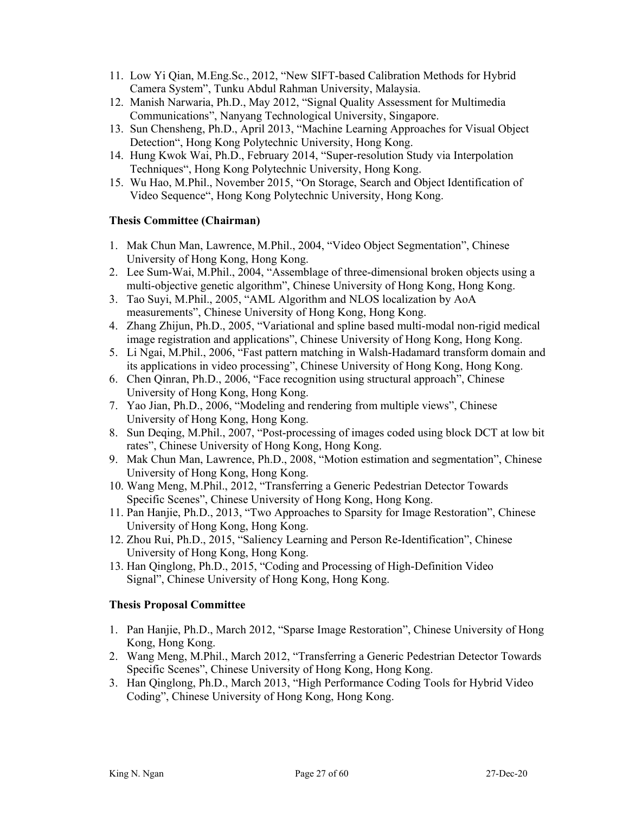- 11. Low Yi Qian, M.Eng.Sc., 2012, "New SIFT-based Calibration Methods for Hybrid Camera System", Tunku Abdul Rahman University, Malaysia.
- 12. Manish Narwaria, Ph.D., May 2012, "Signal Quality Assessment for Multimedia Communications", Nanyang Technological University, Singapore.
- 13. Sun Chensheng, Ph.D., April 2013, "Machine Learning Approaches for Visual Object Detection", Hong Kong Polytechnic University, Hong Kong.
- 14. Hung Kwok Wai, Ph.D., February 2014, "Super-resolution Study via Interpolation Techniques", Hong Kong Polytechnic University, Hong Kong.
- 15. Wu Hao, M.Phil., November 2015, "On Storage, Search and Object Identification of Video Sequence", Hong Kong Polytechnic University, Hong Kong.

## **Thesis Committee (Chairman)**

- 1. Mak Chun Man, Lawrence, M.Phil., 2004, "Video Object Segmentation", Chinese University of Hong Kong, Hong Kong.
- 2. Lee Sum-Wai, M.Phil., 2004, "Assemblage of three-dimensional broken objects using a multi-objective genetic algorithm", Chinese University of Hong Kong, Hong Kong.
- 3. Tao Suyi, M.Phil., 2005, "AML Algorithm and NLOS localization by AoA measurements", Chinese University of Hong Kong, Hong Kong.
- 4. Zhang Zhijun, Ph.D., 2005, "Variational and spline based multi-modal non-rigid medical image registration and applications", Chinese University of Hong Kong, Hong Kong.
- 5. Li Ngai, M.Phil., 2006, "Fast pattern matching in Walsh-Hadamard transform domain and its applications in video processing", Chinese University of Hong Kong, Hong Kong.
- 6. Chen Qinran, Ph.D., 2006, "Face recognition using structural approach", Chinese University of Hong Kong, Hong Kong.
- 7. Yao Jian, Ph.D., 2006, "Modeling and rendering from multiple views", Chinese University of Hong Kong, Hong Kong.
- 8. Sun Deqing, M.Phil., 2007, "Post-processing of images coded using block DCT at low bit rates", Chinese University of Hong Kong, Hong Kong.
- 9. Mak Chun Man, Lawrence, Ph.D., 2008, "Motion estimation and segmentation", Chinese University of Hong Kong, Hong Kong.
- 10. Wang Meng, M.Phil., 2012, "Transferring a Generic Pedestrian Detector Towards Specific Scenes", Chinese University of Hong Kong, Hong Kong.
- 11. Pan Hanjie, Ph.D., 2013, "Two Approaches to Sparsity for Image Restoration", Chinese University of Hong Kong, Hong Kong.
- 12. Zhou Rui, Ph.D., 2015, "Saliency Learning and Person Re-Identification", Chinese University of Hong Kong, Hong Kong.
- 13. Han Qinglong, Ph.D., 2015, "Coding and Processing of High-Definition Video Signal", Chinese University of Hong Kong, Hong Kong.

### **Thesis Proposal Committee**

- 1. Pan Hanjie, Ph.D., March 2012, "Sparse Image Restoration", Chinese University of Hong Kong, Hong Kong.
- 2. Wang Meng, M.Phil., March 2012, "Transferring a Generic Pedestrian Detector Towards Specific Scenes", Chinese University of Hong Kong, Hong Kong.
- 3. Han Qinglong, Ph.D., March 2013, "High Performance Coding Tools for Hybrid Video Coding", Chinese University of Hong Kong, Hong Kong.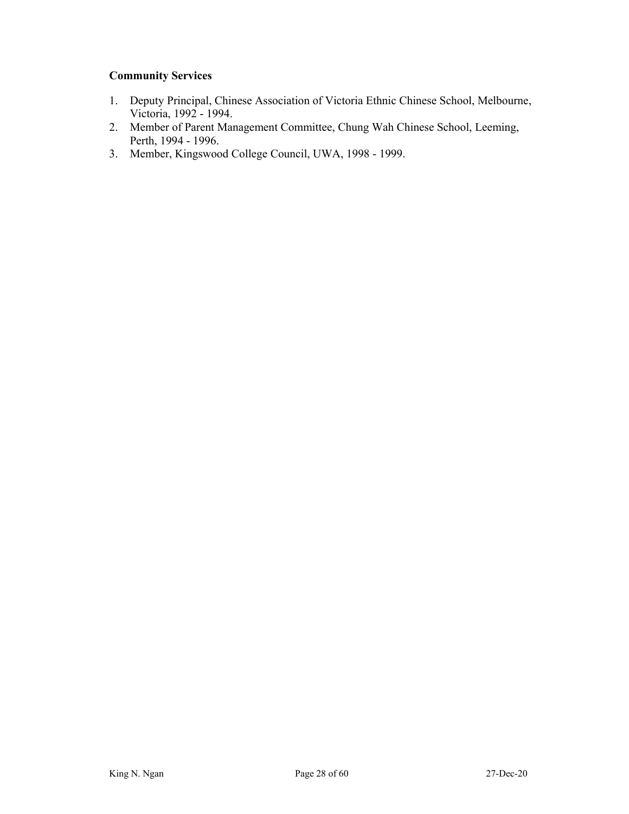## **Community Services**

- 1. Deputy Principal, Chinese Association of Victoria Ethnic Chinese School, Melbourne, Victoria, 1992 - 1994.
- 2. Member of Parent Management Committee, Chung Wah Chinese School, Leeming, Perth, 1994 - 1996.
- 3. Member, Kingswood College Council, UWA, 1998 1999.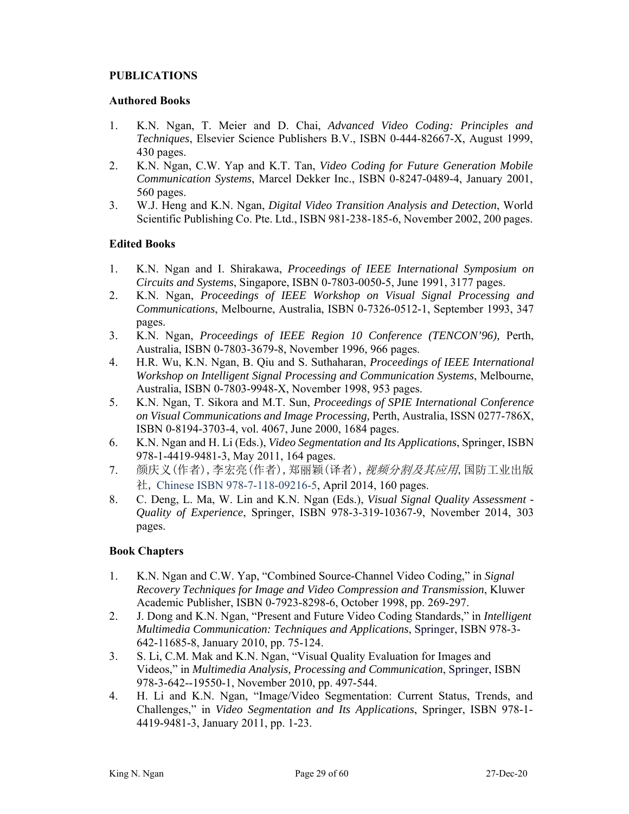#### **PUBLICATIONS**

#### **Authored Books**

- 1. K.N. Ngan, T. Meier and D. Chai, *Advanced Video Coding: Principles and Techniques*, Elsevier Science Publishers B.V., ISBN 0-444-82667-X, August 1999, 430 pages.
- 2. K.N. Ngan, C.W. Yap and K.T. Tan, *Video Coding for Future Generation Mobile Communication Systems*, Marcel Dekker Inc., ISBN 0-8247-0489-4, January 2001, 560 pages.
- 3. W.J. Heng and K.N. Ngan, *Digital Video Transition Analysis and Detection*, World Scientific Publishing Co. Pte. Ltd., ISBN 981-238-185-6, November 2002, 200 pages.

#### **Edited Books**

- 1. K.N. Ngan and I. Shirakawa, *Proceedings of IEEE International Symposium on Circuits and Systems*, Singapore, ISBN 0-7803-0050-5, June 1991, 3177 pages.
- 2. K.N. Ngan, *Proceedings of IEEE Workshop on Visual Signal Processing and Communications*, Melbourne, Australia, ISBN 0-7326-0512-1, September 1993, 347 pages.
- 3. K.N. Ngan, *Proceedings of IEEE Region 10 Conference (TENCON'96),* Perth, Australia, ISBN 0-7803-3679-8, November 1996, 966 pages.
- 4. H.R. Wu, K.N. Ngan, B. Qiu and S. Suthaharan, *Proceedings of IEEE International Workshop on Intelligent Signal Processing and Communication Systems*, Melbourne, Australia, ISBN 0-7803-9948-X, November 1998, 953 pages.
- 5. K.N. Ngan, T. Sikora and M.T. Sun, *Proceedings of SPIE International Conference on Visual Communications and Image Processing,* Perth, Australia, ISSN 0277-786X, ISBN 0-8194-3703-4, vol. 4067, June 2000, 1684 pages.
- 6. K.N. Ngan and H. Li (Eds.), *Video Segmentation and Its Applications*, Springer, ISBN 978-1-4419-9481-3, May 2011, 164 pages.
- 7. 颜庆义(作者),李宏亮(作者),郑丽颖(译者), 视频分割及其应用,国防工业出版 社, Chinese ISBN 978-7-118-09216-5, April 2014, 160 pages.
- 8. C. Deng, L. Ma, W. Lin and K.N. Ngan (Eds.), *Visual Signal Quality Assessment Quality of Experience*, Springer, ISBN 978-3-319-10367-9, November 2014, 303 pages.

### **Book Chapters**

- 1. K.N. Ngan and C.W. Yap, "Combined Source-Channel Video Coding," in *Signal Recovery Techniques for Image and Video Compression and Transmission*, Kluwer Academic Publisher, ISBN 0-7923-8298-6, October 1998, pp. 269-297.
- 2. J. Dong and K.N. Ngan, "Present and Future Video Coding Standards," in *Intelligent Multimedia Communication: Techniques and Applications*, Springer, ISBN 978-3- 642-11685-8, January 2010, pp. 75-124.
- 3. S. Li, C.M. Mak and K.N. Ngan, "Visual Quality Evaluation for Images and Videos," in *Multimedia Analysis, Processing and Communication*, Springer, ISBN 978-3-642--19550-1, November 2010, pp. 497-544.
- 4. H. Li and K.N. Ngan, "Image/Video Segmentation: Current Status, Trends, and Challenges," in *Video Segmentation and Its Applications*, Springer, ISBN 978-1- 4419-9481-3, January 2011, pp. 1-23.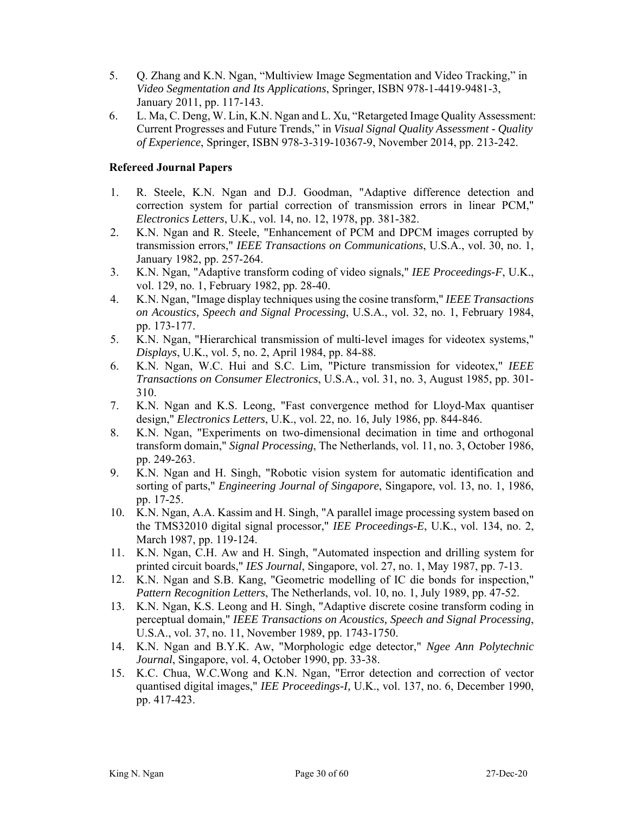- 5. Q. Zhang and K.N. Ngan, "Multiview Image Segmentation and Video Tracking," in *Video Segmentation and Its Applications*, Springer, ISBN 978-1-4419-9481-3, January 2011, pp. 117-143.
- 6. L. Ma, C. Deng, W. Lin, K.N. Ngan and L. Xu, "Retargeted Image Quality Assessment: Current Progresses and Future Trends," in *Visual Signal Quality Assessment - Quality of Experience*, Springer, ISBN 978-3-319-10367-9, November 2014, pp. 213-242.

#### **Refereed Journal Papers**

- 1. R. Steele, K.N. Ngan and D.J. Goodman, "Adaptive difference detection and correction system for partial correction of transmission errors in linear PCM," *Electronics Letters*, U.K., vol. 14, no. 12, 1978, pp. 381-382.
- 2. K.N. Ngan and R. Steele, "Enhancement of PCM and DPCM images corrupted by transmission errors," *IEEE Transactions on Communications*, U.S.A., vol. 30, no. 1, January 1982, pp. 257-264.
- 3. K.N. Ngan, "Adaptive transform coding of video signals," *IEE Proceedings-F*, U.K., vol. 129, no. 1, February 1982, pp. 28-40.
- 4. K.N. Ngan, "Image display techniques using the cosine transform," *IEEE Transactions on Acoustics, Speech and Signal Processing*, U.S.A., vol. 32, no. 1, February 1984, pp. 173-177.
- 5. K.N. Ngan, "Hierarchical transmission of multi-level images for videotex systems," *Displays*, U.K., vol. 5, no. 2, April 1984, pp. 84-88.
- 6. K.N. Ngan, W.C. Hui and S.C. Lim, "Picture transmission for videotex," *IEEE Transactions on Consumer Electronics*, U.S.A., vol. 31, no. 3, August 1985, pp. 301- 310.
- 7. K.N. Ngan and K.S. Leong, "Fast convergence method for Lloyd-Max quantiser design," *Electronics Letters*, U.K., vol. 22, no. 16, July 1986, pp. 844-846.
- 8. K.N. Ngan, "Experiments on two-dimensional decimation in time and orthogonal transform domain," *Signal Processing*, The Netherlands, vol. 11, no. 3, October 1986, pp. 249-263.
- 9. K.N. Ngan and H. Singh, "Robotic vision system for automatic identification and sorting of parts," *Engineering Journal of Singapore*, Singapore, vol. 13, no. 1, 1986, pp. 17-25.
- 10. K.N. Ngan, A.A. Kassim and H. Singh, "A parallel image processing system based on the TMS32010 digital signal processor," *IEE Proceedings-E*, U.K., vol. 134, no. 2, March 1987, pp. 119-124.
- 11. K.N. Ngan, C.H. Aw and H. Singh, "Automated inspection and drilling system for printed circuit boards," *IES Journal*, Singapore, vol. 27, no. 1, May 1987, pp. 7-13.
- 12. K.N. Ngan and S.B. Kang, "Geometric modelling of IC die bonds for inspection," *Pattern Recognition Letters*, The Netherlands, vol. 10, no. 1, July 1989, pp. 47-52.
- 13. K.N. Ngan, K.S. Leong and H. Singh, "Adaptive discrete cosine transform coding in perceptual domain," *IEEE Transactions on Acoustics, Speech and Signal Processing*, U.S.A., vol. 37, no. 11, November 1989, pp. 1743-1750.
- 14. K.N. Ngan and B.Y.K. Aw, "Morphologic edge detector," *Ngee Ann Polytechnic Journal*, Singapore, vol. 4, October 1990, pp. 33-38.
- 15. K.C. Chua, W.C.Wong and K.N. Ngan, "Error detection and correction of vector quantised digital images," *IEE Proceedings-I,* U.K., vol. 137, no. 6, December 1990, pp. 417-423.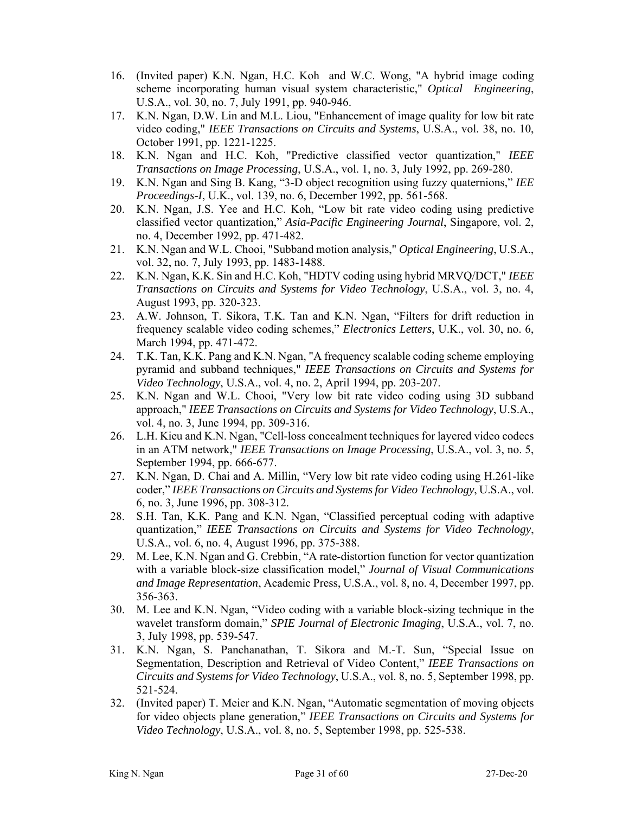- 16. (Invited paper) K.N. Ngan, H.C. Koh and W.C. Wong, "A hybrid image coding scheme incorporating human visual system characteristic," *Optical Engineering*, U.S.A., vol. 30, no. 7, July 1991, pp. 940-946.
- 17. K.N. Ngan, D.W. Lin and M.L. Liou, "Enhancement of image quality for low bit rate video coding," *IEEE Transactions on Circuits and Systems*, U.S.A., vol. 38, no. 10, October 1991, pp. 1221-1225.
- 18. K.N. Ngan and H.C. Koh, "Predictive classified vector quantization," *IEEE Transactions on Image Processing*, U.S.A., vol. 1, no. 3, July 1992, pp. 269-280.
- 19. K.N. Ngan and Sing B. Kang, "3-D object recognition using fuzzy quaternions," *IEE Proceedings-I*, U.K., vol. 139, no. 6, December 1992, pp. 561-568.
- 20. K.N. Ngan, J.S. Yee and H.C. Koh, "Low bit rate video coding using predictive classified vector quantization," *Asia-Pacific Engineering Journal*, Singapore, vol. 2, no. 4, December 1992, pp. 471-482.
- 21. K.N. Ngan and W.L. Chooi, "Subband motion analysis," *Optical Engineering*, U.S.A., vol. 32, no. 7, July 1993, pp. 1483-1488.
- 22. K.N. Ngan, K.K. Sin and H.C. Koh, "HDTV coding using hybrid MRVQ/DCT," *IEEE Transactions on Circuits and Systems for Video Technology*, U.S.A., vol. 3, no. 4, August 1993, pp. 320-323.
- 23. A.W. Johnson, T. Sikora, T.K. Tan and K.N. Ngan, "Filters for drift reduction in frequency scalable video coding schemes," *Electronics Letters*, U.K., vol. 30, no. 6, March 1994, pp. 471-472.
- 24. T.K. Tan, K.K. Pang and K.N. Ngan, "A frequency scalable coding scheme employing pyramid and subband techniques," *IEEE Transactions on Circuits and Systems for Video Technology*, U.S.A., vol. 4, no. 2, April 1994, pp. 203-207.
- 25. K.N. Ngan and W.L. Chooi, "Very low bit rate video coding using 3D subband approach," *IEEE Transactions on Circuits and Systems for Video Technology*, U.S.A., vol. 4, no. 3, June 1994, pp. 309-316.
- 26. L.H. Kieu and K.N. Ngan, "Cell-loss concealment techniques for layered video codecs in an ATM network," *IEEE Transactions on Image Processing*, U.S.A., vol. 3, no. 5, September 1994, pp. 666-677.
- 27. K.N. Ngan, D. Chai and A. Millin, "Very low bit rate video coding using H.261-like coder," *IEEE Transactions on Circuits and Systems for Video Technology*, U.S.A., vol. 6, no. 3, June 1996, pp. 308-312.
- 28. S.H. Tan, K.K. Pang and K.N. Ngan, "Classified perceptual coding with adaptive quantization," *IEEE Transactions on Circuits and Systems for Video Technology*, U.S.A., vol. 6, no. 4, August 1996, pp. 375-388.
- 29. M. Lee, K.N. Ngan and G. Crebbin, "A rate-distortion function for vector quantization with a variable block-size classification model," *Journal of Visual Communications and Image Representation*, Academic Press, U.S.A., vol. 8, no. 4, December 1997, pp. 356-363.
- 30. M. Lee and K.N. Ngan, "Video coding with a variable block-sizing technique in the wavelet transform domain," *SPIE Journal of Electronic Imaging*, U.S.A., vol. 7, no. 3, July 1998, pp. 539-547.
- 31. K.N. Ngan, S. Panchanathan, T. Sikora and M.-T. Sun, "Special Issue on Segmentation, Description and Retrieval of Video Content," *IEEE Transactions on Circuits and Systems for Video Technology*, U.S.A., vol. 8, no. 5, September 1998, pp. 521-524.
- 32. (Invited paper) T. Meier and K.N. Ngan, "Automatic segmentation of moving objects for video objects plane generation," *IEEE Transactions on Circuits and Systems for Video Technology*, U.S.A., vol. 8, no. 5, September 1998, pp. 525-538.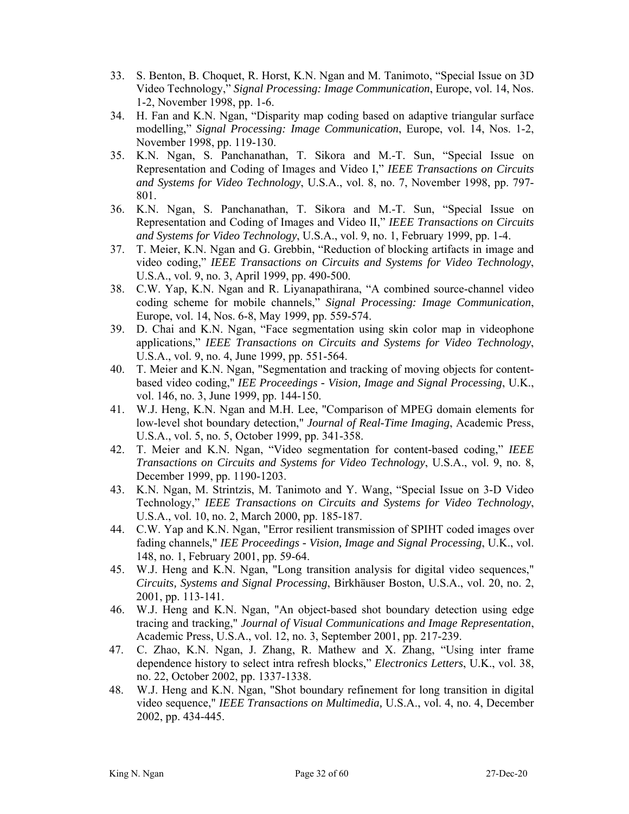- 33. S. Benton, B. Choquet, R. Horst, K.N. Ngan and M. Tanimoto, "Special Issue on 3D Video Technology," *Signal Processing: Image Communication*, Europe, vol. 14, Nos. 1-2, November 1998, pp. 1-6.
- 34. H. Fan and K.N. Ngan, "Disparity map coding based on adaptive triangular surface modelling," *Signal Processing: Image Communication*, Europe, vol. 14, Nos. 1-2, November 1998, pp. 119-130.
- 35. K.N. Ngan, S. Panchanathan, T. Sikora and M.-T. Sun, "Special Issue on Representation and Coding of Images and Video I," *IEEE Transactions on Circuits and Systems for Video Technology*, U.S.A., vol. 8, no. 7, November 1998, pp. 797- 801.
- 36. K.N. Ngan, S. Panchanathan, T. Sikora and M.-T. Sun, "Special Issue on Representation and Coding of Images and Video II," *IEEE Transactions on Circuits and Systems for Video Technology*, U.S.A., vol. 9, no. 1, February 1999, pp. 1-4.
- 37. T. Meier, K.N. Ngan and G. Grebbin, "Reduction of blocking artifacts in image and video coding," *IEEE Transactions on Circuits and Systems for Video Technology*, U.S.A., vol. 9, no. 3, April 1999, pp. 490-500.
- 38. C.W. Yap, K.N. Ngan and R. Liyanapathirana, "A combined source-channel video coding scheme for mobile channels," *Signal Processing: Image Communication*, Europe, vol. 14, Nos. 6-8, May 1999, pp. 559-574.
- 39. D. Chai and K.N. Ngan, "Face segmentation using skin color map in videophone applications," *IEEE Transactions on Circuits and Systems for Video Technology*, U.S.A., vol. 9, no. 4, June 1999, pp. 551-564.
- 40. T. Meier and K.N. Ngan, "Segmentation and tracking of moving objects for contentbased video coding," *IEE Proceedings - Vision, Image and Signal Processing*, U.K., vol. 146, no. 3, June 1999, pp. 144-150.
- 41. W.J. Heng, K.N. Ngan and M.H. Lee, "Comparison of MPEG domain elements for low-level shot boundary detection," *Journal of Real-Time Imaging*, Academic Press, U.S.A., vol. 5, no. 5, October 1999, pp. 341-358.
- 42. T. Meier and K.N. Ngan, "Video segmentation for content-based coding," *IEEE Transactions on Circuits and Systems for Video Technology*, U.S.A., vol. 9, no. 8, December 1999, pp. 1190-1203.
- 43. K.N. Ngan, M. Strintzis, M. Tanimoto and Y. Wang, "Special Issue on 3-D Video Technology," *IEEE Transactions on Circuits and Systems for Video Technology*, U.S.A., vol. 10, no. 2, March 2000, pp. 185-187.
- 44. C.W. Yap and K.N. Ngan, "Error resilient transmission of SPIHT coded images over fading channels," *IEE Proceedings - Vision, Image and Signal Processing*, U.K., vol. 148, no. 1, February 2001, pp. 59-64.
- 45. W.J. Heng and K.N. Ngan, "Long transition analysis for digital video sequences," *Circuits, Systems and Signal Processing*, Birkhäuser Boston, U.S.A., vol. 20, no. 2, 2001, pp. 113-141.
- 46. W.J. Heng and K.N. Ngan, "An object-based shot boundary detection using edge tracing and tracking," *Journal of Visual Communications and Image Representation*, Academic Press, U.S.A., vol. 12, no. 3, September 2001, pp. 217-239.
- 47. C. Zhao, K.N. Ngan, J. Zhang, R. Mathew and X. Zhang, "Using inter frame dependence history to select intra refresh blocks," *Electronics Letters*, U.K., vol. 38, no. 22, October 2002, pp. 1337-1338.
- 48. W.J. Heng and K.N. Ngan, "Shot boundary refinement for long transition in digital video sequence," *IEEE Transactions on Multimedia,* U.S.A., vol. 4, no. 4, December 2002, pp. 434-445.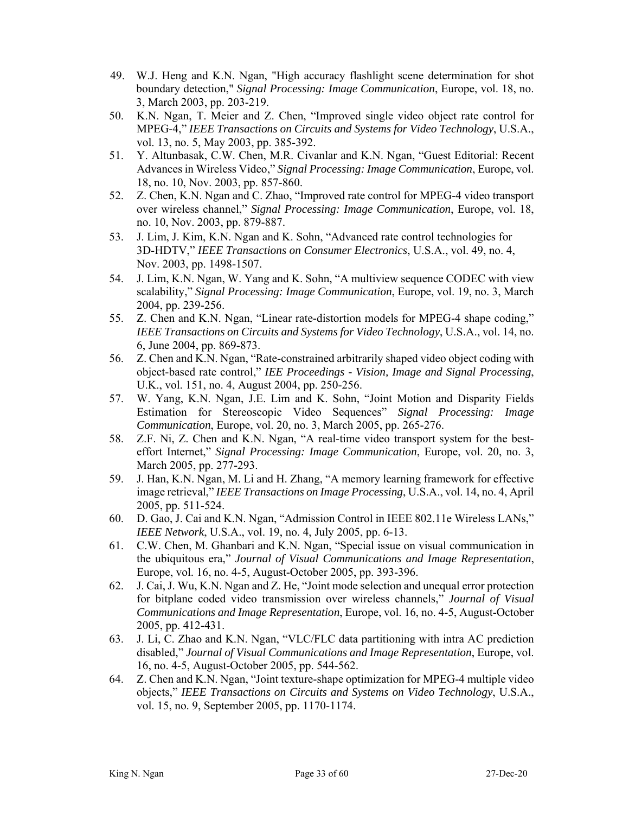- 49. W.J. Heng and K.N. Ngan, "High accuracy flashlight scene determination for shot boundary detection," *Signal Processing: Image Communication*, Europe, vol. 18, no. 3, March 2003, pp. 203-219.
- 50. K.N. Ngan, T. Meier and Z. Chen, "Improved single video object rate control for MPEG-4," *IEEE Transactions on Circuits and Systems for Video Technology*, U.S.A., vol. 13, no. 5, May 2003, pp. 385-392.
- 51. Y. Altunbasak, C.W. Chen, M.R. Civanlar and K.N. Ngan, "Guest Editorial: Recent Advances in Wireless Video," *Signal Processing: Image Communication*, Europe, vol. 18, no. 10, Nov. 2003, pp. 857-860.
- 52. Z. Chen, K.N. Ngan and C. Zhao, "Improved rate control for MPEG-4 video transport over wireless channel," *Signal Processing: Image Communication*, Europe, vol. 18, no. 10, Nov. 2003, pp. 879-887.
- 53. J. Lim, J. Kim, K.N. Ngan and K. Sohn, "Advanced rate control technologies for 3D-HDTV," *IEEE Transactions on Consumer Electronics*, U.S.A., vol. 49, no. 4, Nov. 2003, pp. 1498-1507.
- 54. J. Lim, K.N. Ngan, W. Yang and K. Sohn, "A multiview sequence CODEC with view scalability," *Signal Processing: Image Communication*, Europe, vol. 19, no. 3, March 2004, pp. 239-256.
- 55. Z. Chen and K.N. Ngan, "Linear rate-distortion models for MPEG-4 shape coding," *IEEE Transactions on Circuits and Systems for Video Technology*, U.S.A., vol. 14, no. 6, June 2004, pp. 869-873.
- 56. Z. Chen and K.N. Ngan, "Rate-constrained arbitrarily shaped video object coding with object-based rate control," *IEE Proceedings - Vision, Image and Signal Processing*, U.K., vol. 151, no. 4, August 2004, pp. 250-256.
- 57. W. Yang, K.N. Ngan, J.E. Lim and K. Sohn, "Joint Motion and Disparity Fields Estimation for Stereoscopic Video Sequences" *Signal Processing: Image Communication*, Europe, vol. 20, no. 3, March 2005, pp. 265-276.
- 58. Z.F. Ni, Z. Chen and K.N. Ngan, "A real-time video transport system for the besteffort Internet," *Signal Processing: Image Communication*, Europe, vol. 20, no. 3, March 2005, pp. 277-293.
- 59. J. Han, K.N. Ngan, M. Li and H. Zhang, "A memory learning framework for effective image retrieval," *IEEE Transactions on Image Processing*, U.S.A., vol. 14, no. 4, April 2005, pp. 511-524.
- 60. D. Gao, J. Cai and K.N. Ngan, "Admission Control in IEEE 802.11e Wireless LANs," *IEEE Network*, U.S.A., vol. 19, no. 4, July 2005, pp. 6-13.
- 61. C.W. Chen, M. Ghanbari and K.N. Ngan, "Special issue on visual communication in the ubiquitous era," *Journal of Visual Communications and Image Representation*, Europe, vol. 16, no. 4-5, August-October 2005, pp. 393-396.
- 62. J. Cai, J. Wu, K.N. Ngan and Z. He, "Joint mode selection and unequal error protection for bitplane coded video transmission over wireless channels," *Journal of Visual Communications and Image Representation*, Europe, vol. 16, no. 4-5, August-October 2005, pp. 412-431.
- 63. J. Li, C. Zhao and K.N. Ngan, "VLC/FLC data partitioning with intra AC prediction disabled," *Journal of Visual Communications and Image Representation*, Europe, vol. 16, no. 4-5, August-October 2005, pp. 544-562.
- 64. Z. Chen and K.N. Ngan, "Joint texture-shape optimization for MPEG-4 multiple video objects," *IEEE Transactions on Circuits and Systems on Video Technology*, U.S.A., vol. 15, no. 9, September 2005, pp. 1170-1174.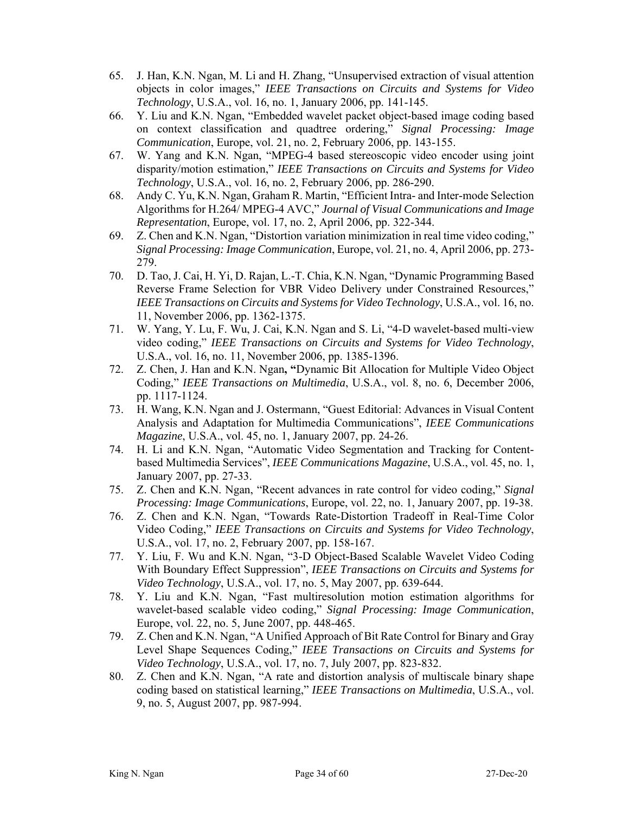- 65. J. Han, K.N. Ngan, M. Li and H. Zhang, "Unsupervised extraction of visual attention objects in color images," *IEEE Transactions on Circuits and Systems for Video Technology*, U.S.A., vol. 16, no. 1, January 2006, pp. 141-145.
- 66. Y. Liu and K.N. Ngan, "Embedded wavelet packet object-based image coding based on context classification and quadtree ordering," *Signal Processing: Image Communication*, Europe, vol. 21, no. 2, February 2006, pp. 143-155.
- 67. W. Yang and K.N. Ngan, "MPEG-4 based stereoscopic video encoder using joint disparity/motion estimation," *IEEE Transactions on Circuits and Systems for Video Technology*, U.S.A., vol. 16, no. 2, February 2006, pp. 286-290.
- 68. Andy C. Yu, K.N. Ngan, Graham R. Martin, "Efficient Intra- and Inter-mode Selection Algorithms for H.264/ MPEG-4 AVC," *Journal of Visual Communications and Image Representation*, Europe, vol. 17, no. 2, April 2006, pp. 322-344.
- 69. Z. Chen and K.N. Ngan, "Distortion variation minimization in real time video coding," *Signal Processing: Image Communication*, Europe, vol. 21, no. 4, April 2006, pp. 273- 279.
- 70. D. Tao, J. Cai, H. Yi, D. Rajan, L.-T. Chia, K.N. Ngan, "Dynamic Programming Based Reverse Frame Selection for VBR Video Delivery under Constrained Resources," *IEEE Transactions on Circuits and Systems for Video Technology*, U.S.A., vol. 16, no. 11, November 2006, pp. 1362-1375.
- 71. W. Yang, Y. Lu, F. Wu, J. Cai, K.N. Ngan and S. Li, "4-D wavelet-based multi-view video coding," *IEEE Transactions on Circuits and Systems for Video Technology*, U.S.A., vol. 16, no. 11, November 2006, pp. 1385-1396.
- 72. Z. Chen, J. Han and K.N. Ngan**, "**Dynamic Bit Allocation for Multiple Video Object Coding," *IEEE Transactions on Multimedia*, U.S.A., vol. 8, no. 6, December 2006, pp. 1117-1124.
- 73. H. Wang, K.N. Ngan and J. Ostermann, "Guest Editorial: Advances in Visual Content Analysis and Adaptation for Multimedia Communications", *IEEE Communications Magazine*, U.S.A., vol. 45, no. 1, January 2007, pp. 24-26.
- 74. H. Li and K.N. Ngan, "Automatic Video Segmentation and Tracking for Contentbased Multimedia Services", *IEEE Communications Magazine*, U.S.A., vol. 45, no. 1, January 2007, pp. 27-33.
- 75. Z. Chen and K.N. Ngan, "Recent advances in rate control for video coding," *Signal Processing: Image Communications*, Europe, vol. 22, no. 1, January 2007, pp. 19-38.
- 76. Z. Chen and K.N. Ngan, "Towards Rate-Distortion Tradeoff in Real-Time Color Video Coding," *IEEE Transactions on Circuits and Systems for Video Technology*, U.S.A., vol. 17, no. 2, February 2007, pp. 158-167.
- 77. Y. Liu, F. Wu and K.N. Ngan, "3-D Object-Based Scalable Wavelet Video Coding With Boundary Effect Suppression", *IEEE Transactions on Circuits and Systems for Video Technology*, U.S.A., vol. 17, no. 5, May 2007, pp. 639-644.
- 78. Y. Liu and K.N. Ngan, "Fast multiresolution motion estimation algorithms for wavelet-based scalable video coding," *Signal Processing: Image Communication*, Europe, vol. 22, no. 5, June 2007, pp. 448-465.
- 79. Z. Chen and K.N. Ngan, "A Unified Approach of Bit Rate Control for Binary and Gray Level Shape Sequences Coding," *IEEE Transactions on Circuits and Systems for Video Technology*, U.S.A., vol. 17, no. 7, July 2007, pp. 823-832.
- 80. Z. Chen and K.N. Ngan, "A rate and distortion analysis of multiscale binary shape coding based on statistical learning," *IEEE Transactions on Multimedia*, U.S.A., vol. 9, no. 5, August 2007, pp. 987-994.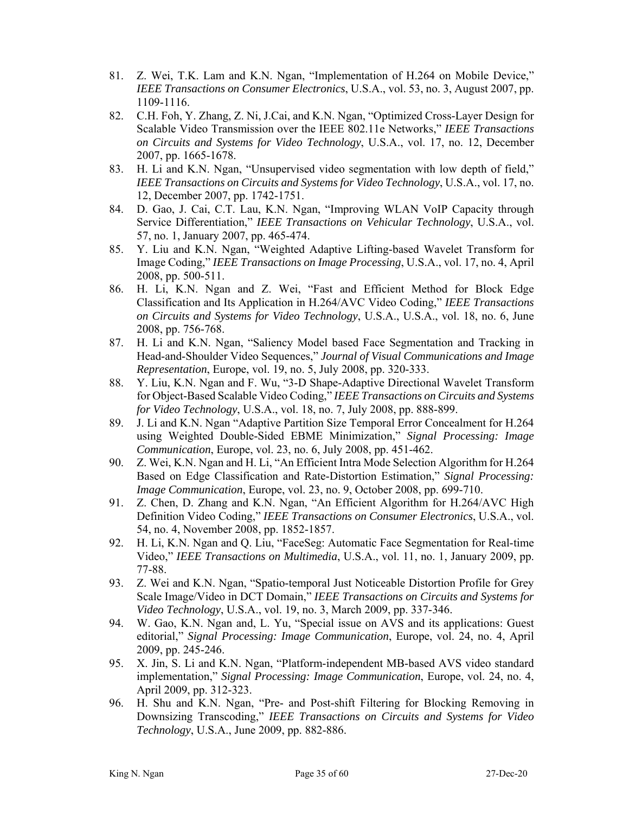- 81. Z. Wei, T.K. Lam and K.N. Ngan, "Implementation of H.264 on Mobile Device," *IEEE Transactions on Consumer Electronics*, U.S.A., vol. 53, no. 3, August 2007, pp. 1109-1116.
- 82. C.H. Foh, Y. Zhang, Z. Ni, J.Cai, and K.N. Ngan, "Optimized Cross-Layer Design for Scalable Video Transmission over the IEEE 802.11e Networks," *IEEE Transactions on Circuits and Systems for Video Technology*, U.S.A., vol. 17, no. 12, December 2007, pp. 1665-1678.
- 83. H. Li and K.N. Ngan, "Unsupervised video segmentation with low depth of field," *IEEE Transactions on Circuits and Systems for Video Technology*, U.S.A., vol. 17, no. 12, December 2007, pp. 1742-1751.
- 84. D. Gao, J. Cai, C.T. Lau, K.N. Ngan, "Improving WLAN VoIP Capacity through Service Differentiation," *IEEE Transactions on Vehicular Technology*, U.S.A., vol. 57, no. 1, January 2007, pp. 465-474.
- 85. Y. Liu and K.N. Ngan, "Weighted Adaptive Lifting-based Wavelet Transform for Image Coding," *IEEE Transactions on Image Processing*, U.S.A., vol. 17, no. 4, April 2008, pp. 500-511.
- 86. H. Li, K.N. Ngan and Z. Wei, "Fast and Efficient Method for Block Edge Classification and Its Application in H.264/AVC Video Coding," *IEEE Transactions on Circuits and Systems for Video Technology*, U.S.A., U.S.A., vol. 18, no. 6, June 2008, pp. 756-768.
- 87. H. Li and K.N. Ngan, "Saliency Model based Face Segmentation and Tracking in Head-and-Shoulder Video Sequences," *Journal of Visual Communications and Image Representation*, Europe, vol. 19, no. 5, July 2008, pp. 320-333.
- 88. Y. Liu, K.N. Ngan and F. Wu, "3-D Shape-Adaptive Directional Wavelet Transform for Object-Based Scalable Video Coding," *IEEE Transactions on Circuits and Systems for Video Technology*, U.S.A., vol. 18, no. 7, July 2008, pp. 888-899.
- 89. J. Li and K.N. Ngan "Adaptive Partition Size Temporal Error Concealment for H.264 using Weighted Double-Sided EBME Minimization," *Signal Processing: Image Communication*, Europe, vol. 23, no. 6, July 2008, pp. 451-462.
- 90. Z. Wei, K.N. Ngan and H. Li, "An Efficient Intra Mode Selection Algorithm for H.264 Based on Edge Classification and Rate-Distortion Estimation," *Signal Processing: Image Communication*, Europe, vol. 23, no. 9, October 2008, pp. 699-710.
- 91. Z. Chen, D. Zhang and K.N. Ngan, "An Efficient Algorithm for H.264/AVC High Definition Video Coding," *IEEE Transactions on Consumer Electronics*, U.S.A., vol. 54, no. 4, November 2008, pp. 1852-1857.
- 92. H. Li, K.N. Ngan and Q. Liu, "FaceSeg: Automatic Face Segmentation for Real-time Video," *IEEE Transactions on Multimedia*, U.S.A., vol. 11, no. 1, January 2009, pp. 77-88.
- 93. Z. Wei and K.N. Ngan, "Spatio-temporal Just Noticeable Distortion Profile for Grey Scale Image/Video in DCT Domain," *IEEE Transactions on Circuits and Systems for Video Technology*, U.S.A., vol. 19, no. 3, March 2009, pp. 337-346.
- 94. W. Gao, K.N. Ngan and, L. Yu, "Special issue on AVS and its applications: Guest editorial," *Signal Processing: Image Communication*, Europe, vol. 24, no. 4, April 2009, pp. 245-246.
- 95. X. Jin, S. Li and K.N. Ngan, "Platform-independent MB-based AVS video standard implementation," *Signal Processing: Image Communication*, Europe, vol. 24, no. 4, April 2009, pp. 312-323.
- 96. H. Shu and K.N. Ngan, "Pre- and Post-shift Filtering for Blocking Removing in Downsizing Transcoding," *IEEE Transactions on Circuits and Systems for Video Technology*, U.S.A., June 2009, pp. 882-886.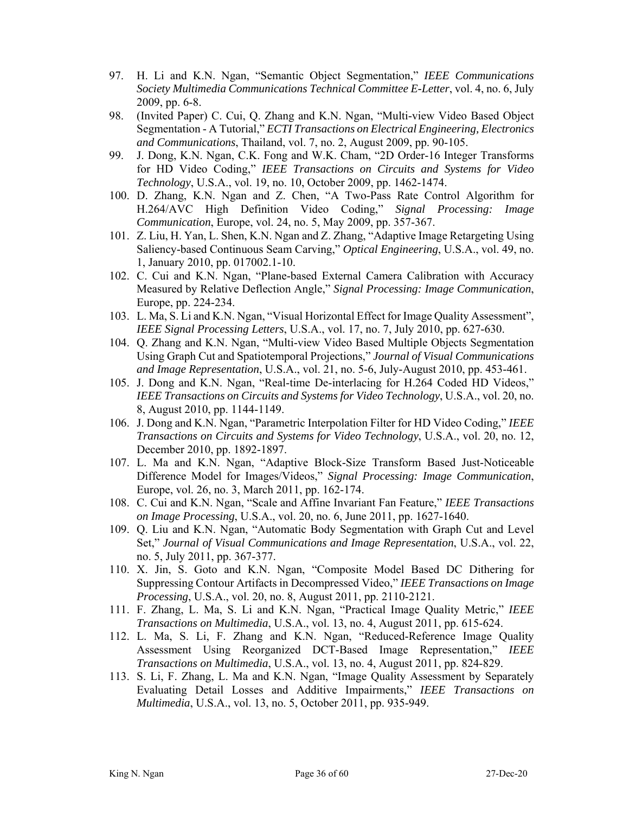- 97. H. Li and K.N. Ngan, "Semantic Object Segmentation," *IEEE Communications Society Multimedia Communications Technical Committee E-Letter*, vol. 4, no. 6, July 2009, pp. 6-8.
- 98. (Invited Paper) C. Cui, Q. Zhang and K.N. Ngan, "Multi-view Video Based Object Segmentation - A Tutorial," *ECTI Transactions on Electrical Engineering, Electronics and Communications*, Thailand, vol. 7, no. 2, August 2009, pp. 90-105.
- 99. J. Dong, K.N. Ngan, C.K. Fong and W.K. Cham, "2D Order-16 Integer Transforms for HD Video Coding," *IEEE Transactions on Circuits and Systems for Video Technology*, U.S.A., vol. 19, no. 10, October 2009, pp. 1462-1474.
- 100. D. Zhang, K.N. Ngan and Z. Chen, "A Two-Pass Rate Control Algorithm for H.264/AVC High Definition Video Coding," *Signal Processing: Image Communication*, Europe, vol. 24, no. 5, May 2009, pp. 357-367.
- 101. Z. Liu, H. Yan, L. Shen, K.N. Ngan and Z. Zhang, "Adaptive Image Retargeting Using Saliency-based Continuous Seam Carving," *Optical Engineering*, U.S.A., vol. 49, no. 1, January 2010, pp. 017002.1-10.
- 102. C. Cui and K.N. Ngan, "Plane-based External Camera Calibration with Accuracy Measured by Relative Deflection Angle," *Signal Processing: Image Communication*, Europe, pp. 224-234.
- 103. L. Ma, S. Li and K.N. Ngan, "Visual Horizontal Effect for Image Quality Assessment", *IEEE Signal Processing Letters*, U.S.A., vol. 17, no. 7, July 2010, pp. 627-630.
- 104. Q. Zhang and K.N. Ngan, "Multi-view Video Based Multiple Objects Segmentation Using Graph Cut and Spatiotemporal Projections," *Journal of Visual Communications and Image Representation*, U.S.A., vol. 21, no. 5-6, July-August 2010, pp. 453-461.
- 105. J. Dong and K.N. Ngan, "Real-time De-interlacing for H.264 Coded HD Videos," *IEEE Transactions on Circuits and Systems for Video Technology*, U.S.A., vol. 20, no. 8, August 2010, pp. 1144-1149.
- 106. J. Dong and K.N. Ngan, "Parametric Interpolation Filter for HD Video Coding," *IEEE Transactions on Circuits and Systems for Video Technology*, U.S.A., vol. 20, no. 12, December 2010, pp. 1892-1897.
- 107. L. Ma and K.N. Ngan, "Adaptive Block-Size Transform Based Just-Noticeable Difference Model for Images/Videos," *Signal Processing: Image Communication*, Europe, vol. 26, no. 3, March 2011, pp. 162-174.
- 108. C. Cui and K.N. Ngan, "Scale and Affine Invariant Fan Feature," *IEEE Transactions on Image Processing*, U.S.A., vol. 20, no. 6, June 2011, pp. 1627-1640.
- 109. Q. Liu and K.N. Ngan, "Automatic Body Segmentation with Graph Cut and Level Set," *Journal of Visual Communications and Image Representation*, U.S.A., vol. 22, no. 5, July 2011, pp. 367-377.
- 110. X. Jin, S. Goto and K.N. Ngan, "Composite Model Based DC Dithering for Suppressing Contour Artifacts in Decompressed Video," *IEEE Transactions on Image Processing*, U.S.A., vol. 20, no. 8, August 2011, pp. 2110-2121.
- 111. F. Zhang, L. Ma, S. Li and K.N. Ngan, "Practical Image Quality Metric," *IEEE Transactions on Multimedia*, U.S.A., vol. 13, no. 4, August 2011, pp. 615-624.
- 112. L. Ma, S. Li, F. Zhang and K.N. Ngan, "Reduced-Reference Image Quality Assessment Using Reorganized DCT-Based Image Representation," *IEEE Transactions on Multimedia*, U.S.A., vol. 13, no. 4, August 2011, pp. 824-829.
- 113. S. Li, F. Zhang, L. Ma and K.N. Ngan, "Image Quality Assessment by Separately Evaluating Detail Losses and Additive Impairments," *IEEE Transactions on Multimedia*, U.S.A., vol. 13, no. 5, October 2011, pp. 935-949.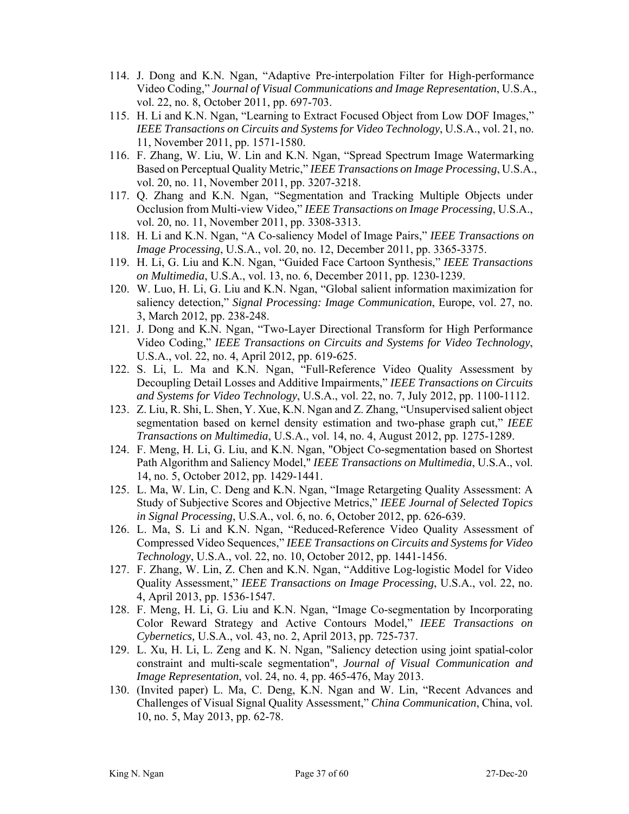- 114. J. Dong and K.N. Ngan, "Adaptive Pre-interpolation Filter for High-performance Video Coding," *Journal of Visual Communications and Image Representation*, U.S.A., vol. 22, no. 8, October 2011, pp. 697-703.
- 115. H. Li and K.N. Ngan, "Learning to Extract Focused Object from Low DOF Images," *IEEE Transactions on Circuits and Systems for Video Technology*, U.S.A., vol. 21, no. 11, November 2011, pp. 1571-1580.
- 116. F. Zhang, W. Liu, W. Lin and K.N. Ngan, "Spread Spectrum Image Watermarking Based on Perceptual Quality Metric," *IEEE Transactions on Image Processing*, U.S.A., vol. 20, no. 11, November 2011, pp. 3207-3218.
- 117. Q. Zhang and K.N. Ngan, "Segmentation and Tracking Multiple Objects under Occlusion from Multi-view Video," *IEEE Transactions on Image Processing*, U.S.A., vol. 20, no. 11, November 2011, pp. 3308-3313.
- 118. H. Li and K.N. Ngan, "A Co-saliency Model of Image Pairs," *IEEE Transactions on Image Processing*, U.S.A., vol. 20, no. 12, December 2011, pp. 3365-3375.
- 119. H. Li, G. Liu and K.N. Ngan, "Guided Face Cartoon Synthesis," *IEEE Transactions on Multimedia*, U.S.A., vol. 13, no. 6, December 2011, pp. 1230-1239.
- 120. W. Luo, H. Li, G. Liu and K.N. Ngan, "Global salient information maximization for saliency detection," *Signal Processing: Image Communication*, Europe, vol. 27, no. 3, March 2012, pp. 238-248.
- 121. J. Dong and K.N. Ngan, "Two-Layer Directional Transform for High Performance Video Coding," *IEEE Transactions on Circuits and Systems for Video Technology*, U.S.A., vol. 22, no. 4, April 2012, pp. 619-625.
- 122. S. Li, L. Ma and K.N. Ngan, "Full-Reference Video Quality Assessment by Decoupling Detail Losses and Additive Impairments," *IEEE Transactions on Circuits and Systems for Video Technology*, U.S.A., vol. 22, no. 7, July 2012, pp. 1100-1112.
- 123. Z. Liu, R. Shi, L. Shen, Y. Xue, K.N. Ngan and Z. Zhang, "Unsupervised salient object segmentation based on kernel density estimation and two-phase graph cut," *IEEE Transactions on Multimedia*, U.S.A., vol. 14, no. 4, August 2012, pp. 1275-1289.
- 124. F. Meng, H. Li, G. Liu, and K.N. Ngan, "Object Co-segmentation based on Shortest Path Algorithm and Saliency Model," *IEEE Transactions on Multimedia*, U.S.A., vol. 14, no. 5, October 2012, pp. 1429-1441.
- 125. L. Ma, W. Lin, C. Deng and K.N. Ngan, "Image Retargeting Quality Assessment: A Study of Subjective Scores and Objective Metrics," *IEEE Journal of Selected Topics in Signal Processing*, U.S.A., vol. 6, no. 6, October 2012, pp. 626-639.
- 126. L. Ma, S. Li and K.N. Ngan, "Reduced-Reference Video Quality Assessment of Compressed Video Sequences," *IEEE Transactions on Circuits and Systems for Video Technology*, U.S.A., vol. 22, no. 10, October 2012, pp. 1441-1456.
- 127. F. Zhang, W. Lin, Z. Chen and K.N. Ngan, "Additive Log-logistic Model for Video Quality Assessment," *IEEE Transactions on Image Processing*, U.S.A., vol. 22, no. 4, April 2013, pp. 1536-1547.
- 128. F. Meng, H. Li, G. Liu and K.N. Ngan, "Image Co-segmentation by Incorporating Color Reward Strategy and Active Contours Model," *IEEE Transactions on Cybernetics,* U.S.A., vol. 43, no. 2, April 2013, pp. 725-737.
- 129. L. Xu, H. Li, L. Zeng and K. N. Ngan, "Saliency detection using joint spatial-color constraint and multi-scale segmentation", *Journal of Visual Communication and Image Representation*, vol. 24, no. 4, pp. 465-476, May 2013.
- 130. (Invited paper) L. Ma, C. Deng, K.N. Ngan and W. Lin, "Recent Advances and Challenges of Visual Signal Quality Assessment," *China Communication*, China, vol. 10, no. 5, May 2013, pp. 62-78.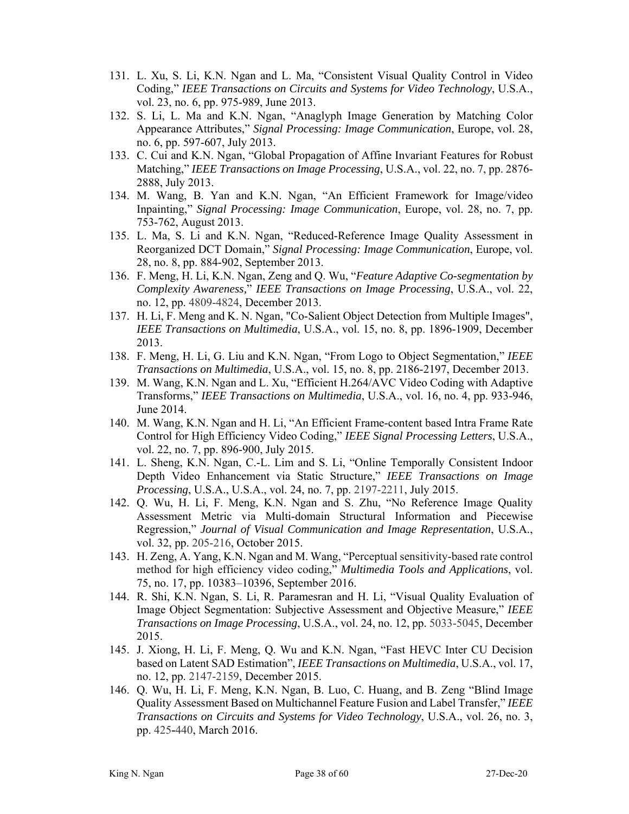- 131. L. Xu, S. Li, K.N. Ngan and L. Ma, "Consistent Visual Quality Control in Video Coding," *IEEE Transactions on Circuits and Systems for Video Technology*, U.S.A., vol. 23, no. 6, pp. 975-989, June 2013.
- 132. S. Li, L. Ma and K.N. Ngan, "Anaglyph Image Generation by Matching Color Appearance Attributes," *Signal Processing: Image Communication*, Europe, vol. 28, no. 6, pp. 597-607, July 2013.
- 133. C. Cui and K.N. Ngan, "Global Propagation of Affine Invariant Features for Robust Matching," *IEEE Transactions on Image Processing*, U.S.A., vol. 22, no. 7, pp. 2876- 2888, July 2013.
- 134. M. Wang, B. Yan and K.N. Ngan, "An Efficient Framework for Image/video Inpainting," *Signal Processing: Image Communication*, Europe, vol. 28, no. 7, pp. 753-762, August 2013.
- 135. L. Ma, S. Li and K.N. Ngan, "Reduced-Reference Image Quality Assessment in Reorganized DCT Domain," *Signal Processing: Image Communication*, Europe, vol. 28, no. 8, pp. 884-902, September 2013.
- 136. F. Meng, H. Li, K.N. Ngan, Zeng and Q. Wu, "*Feature Adaptive Co-segmentation by Complexity Awareness,*" *IEEE Transactions on Image Processing*, U.S.A., vol. 22, no. 12, pp. 4809-4824, December 2013.
- 137. H. Li, F. Meng and K. N. Ngan, "Co-Salient Object Detection from Multiple Images", *IEEE Transactions on Multimedia*, U.S.A., vol. 15, no. 8, pp. 1896-1909, December 2013.
- 138. F. Meng, H. Li, G. Liu and K.N. Ngan, "From Logo to Object Segmentation," *IEEE Transactions on Multimedia*, U.S.A., vol. 15, no. 8, pp. 2186-2197, December 2013.
- 139. M. Wang, K.N. Ngan and L. Xu, "Efficient H.264/AVC Video Coding with Adaptive Transforms," *IEEE Transactions on Multimedia*, U.S.A., vol. 16, no. 4, pp. 933-946, June 2014.
- 140. M. Wang, K.N. Ngan and H. Li, "An Efficient Frame-content based Intra Frame Rate Control for High Efficiency Video Coding," *IEEE Signal Processing Letters*, U.S.A., vol. 22, no. 7, pp. 896-900, July 2015.
- 141. L. Sheng, K.N. Ngan, C.-L. Lim and S. Li, "Online Temporally Consistent Indoor Depth Video Enhancement via Static Structure," *IEEE Transactions on Image Processing*, U.S.A., U.S.A., vol. 24, no. 7, pp. 2197-2211, July 2015.
- 142. Q. Wu, H. Li, F. Meng, K.N. Ngan and S. Zhu, "No Reference Image Quality Assessment Metric via Multi-domain Structural Information and Piecewise Regression," *Journal of Visual Communication and Image Representation*, U.S.A., vol. 32, pp. 205-216, October 2015.
- 143. H. Zeng, A. Yang, K.N. Ngan and M. Wang, "Perceptual sensitivity-based rate control method for high efficiency video coding," *Multimedia Tools and Applications*, vol. 75, no. 17, pp. 10383–10396, September 2016.
- 144. R. Shi, K.N. Ngan, S. Li, R. Paramesran and H. Li, "Visual Quality Evaluation of Image Object Segmentation: Subjective Assessment and Objective Measure," *IEEE Transactions on Image Processing*, U.S.A., vol. 24, no. 12, pp. 5033-5045, December 2015.
- 145. J. Xiong, H. Li, F. Meng, Q. Wu and K.N. Ngan, "Fast HEVC Inter CU Decision based on Latent SAD Estimation", *IEEE Transactions on Multimedia*, U.S.A., vol. 17, no. 12, pp. 2147-2159, December 2015.
- 146. Q. Wu, H. Li, F. Meng, K.N. Ngan, B. Luo, C. Huang, and B. Zeng "Blind Image Quality Assessment Based on Multichannel Feature Fusion and Label Transfer," *IEEE Transactions on Circuits and Systems for Video Technology*, U.S.A., vol. 26, no. 3, pp. 425**-**440, March 2016.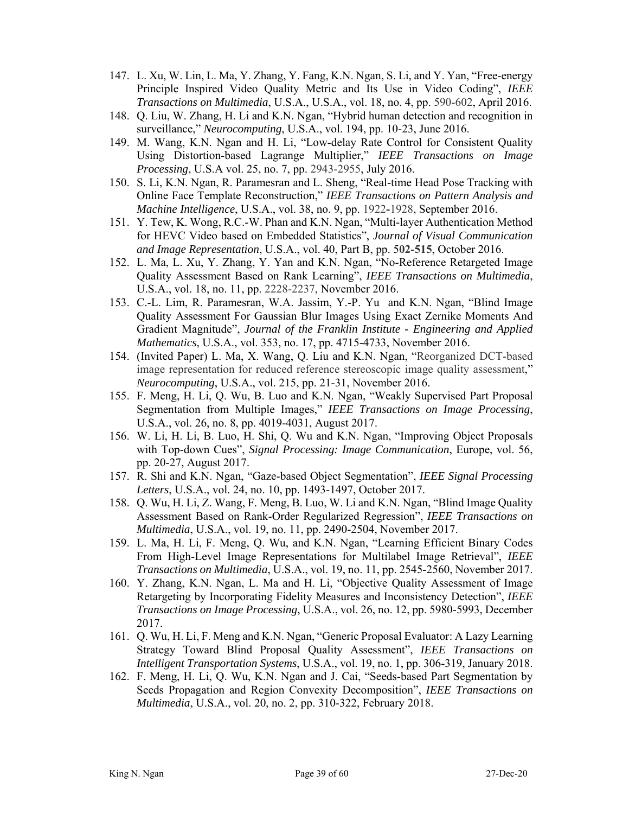- 147. L. Xu, W. Lin, L. Ma, Y. Zhang, Y. Fang, K.N. Ngan, S. Li, and Y. Yan, "Free-energy Principle Inspired Video Quality Metric and Its Use in Video Coding", *IEEE Transactions on Multimedia*, U.S.A., U.S.A., vol. 18, no. 4, pp. 590-602, April 2016.
- 148. Q. Liu, W. Zhang, H. Li and K.N. Ngan, "Hybrid human detection and recognition in surveillance," *Neurocomputing*, U.S.A., vol. 194, pp. 10-23, June 2016.
- 149. M. Wang, K.N. Ngan and H. Li, "Low-delay Rate Control for Consistent Quality Using Distortion-based Lagrange Multiplier," *IEEE Transactions on Image Processing*, U.S.A vol. 25, no. 7, pp. 2943-2955, July 2016.
- 150. S. Li, K.N. Ngan, R. Paramesran and L. Sheng, "Real-time Head Pose Tracking with Online Face Template Reconstruction," *IEEE Transactions on Pattern Analysis and Machine Intelligence*, U.S.A., vol. 38, no. 9, pp. 1922**-**1928, September 2016.
- 151. Y. Tew, K. Wong, R.C.-W. Phan and K.N. Ngan, "Multi-layer Authentication Method for HEVC Video based on Embedded Statistics", *Journal of Visual Communication and Image Representation*, U.S.A., vol. 40, Part B, pp. 5**02-515**, October 2016.
- 152. L. Ma, L. Xu, Y. Zhang, Y. Yan and K.N. Ngan, "No-Reference Retargeted Image Quality Assessment Based on Rank Learning", *IEEE Transactions on Multimedia*, U.S.A., vol. 18, no. 11, pp. 2228-2237, November 2016.
- 153. C.-L. Lim, R. Paramesran, W.A. Jassim, Y.-P. Yu and K.N. Ngan, "Blind Image Quality Assessment For Gaussian Blur Images Using Exact Zernike Moments And Gradient Magnitude", *Journal of the Franklin Institute - Engineering and Applied Mathematics*, U.S.A., vol. 353, no. 17, pp. 4715-4733, November 2016.
- 154. (Invited Paper) L. Ma, X. Wang, Q. Liu and K.N. Ngan, "Reorganized DCT-based image representation for reduced reference stereoscopic image quality assessment," *Neurocomputing*, U.S.A., vol. 215, pp. 21-31, November 2016.
- 155. F. Meng, H. Li, Q. Wu, B. Luo and K.N. Ngan, "Weakly Supervised Part Proposal Segmentation from Multiple Images," *IEEE Transactions on Image Processing*, U.S.A., vol. 26, no. 8, pp. 4019-4031, August 2017.
- 156. W. Li, H. Li, B. Luo, H. Shi, Q. Wu and K.N. Ngan, "Improving Object Proposals with Top-down Cues", *Signal Processing: Image Communication*, Europe, vol. 56, pp. 20-27, August 2017.
- 157. R. Shi and K.N. Ngan, "Gaze-based Object Segmentation", *IEEE Signal Processing Letters*, U.S.A., vol. 24, no. 10, pp. 1493-1497, October 2017.
- 158. Q. Wu, H. Li, Z. Wang, F. Meng, B. Luo, W. Li and K.N. Ngan, "Blind Image Quality Assessment Based on Rank-Order Regularized Regression", *IEEE Transactions on Multimedia*, U.S.A., vol. 19, no. 11, pp. 2490-2504, November 2017.
- 159. L. Ma, H. Li, F. Meng, Q. Wu, and K.N. Ngan, "Learning Efficient Binary Codes From High-Level Image Representations for Multilabel Image Retrieval", *IEEE Transactions on Multimedia*, U.S.A., vol. 19, no. 11, pp. 2545-2560, November 2017.
- 160. Y. Zhang, K.N. Ngan, L. Ma and H. Li, "Objective Quality Assessment of Image Retargeting by Incorporating Fidelity Measures and Inconsistency Detection", *IEEE Transactions on Image Processing*, U.S.A., vol. 26, no. 12, pp. 5980-5993, December 2017.
- 161. Q. Wu, H. Li, F. Meng and K.N. Ngan, "Generic Proposal Evaluator: A Lazy Learning Strategy Toward Blind Proposal Quality Assessment", *IEEE Transactions on Intelligent Transportation Systems*, U.S.A., vol. 19, no. 1, pp. 306-319, January 2018.
- 162. F. Meng, H. Li, Q. Wu, K.N. Ngan and J. Cai, "Seeds-based Part Segmentation by Seeds Propagation and Region Convexity Decomposition", *IEEE Transactions on Multimedia*, U.S.A., vol. 20, no. 2, pp. 310-322, February 2018.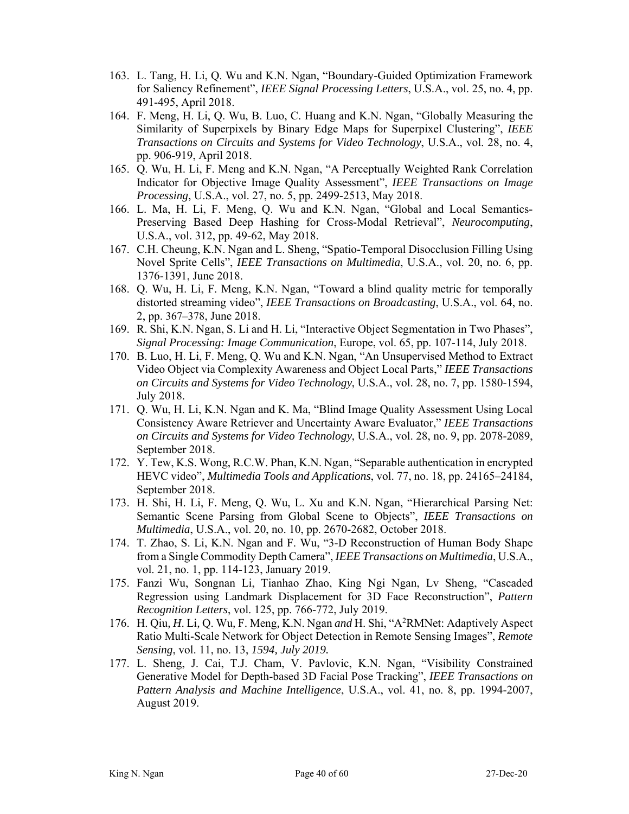- 163. L. Tang, H. Li, Q. Wu and K.N. Ngan, "Boundary-Guided Optimization Framework for Saliency Refinement", *IEEE Signal Processing Letters*, U.S.A., vol. 25, no. 4, pp. 491-495, April 2018.
- 164. F. Meng, H. Li, Q. Wu, B. Luo, C. Huang and K.N. Ngan, "Globally Measuring the Similarity of Superpixels by Binary Edge Maps for Superpixel Clustering", *IEEE Transactions on Circuits and Systems for Video Technology*, U.S.A., vol. 28, no. 4, pp. 906-919, April 2018.
- 165. Q. Wu, H. Li, F. Meng and K.N. Ngan, "A Perceptually Weighted Rank Correlation Indicator for Objective Image Quality Assessment", *IEEE Transactions on Image Processing*, U.S.A., vol. 27, no. 5, pp. 2499-2513, May 2018.
- 166. L. Ma, H. Li, F. Meng, Q. Wu and K.N. Ngan, "Global and Local Semantics-Preserving Based Deep Hashing for Cross-Modal Retrieval", *Neurocomputing*, U.S.A., vol. 312, pp. 49-62, May 2018.
- 167. C.H. Cheung, K.N. Ngan and L. Sheng, "Spatio-Temporal Disocclusion Filling Using Novel Sprite Cells", *IEEE Transactions on Multimedia*, U.S.A., vol. 20, no. 6, pp. 1376-1391, June 2018.
- 168. Q. Wu, H. Li, F. Meng, K.N. Ngan, "Toward a blind quality metric for temporally distorted streaming video", *IEEE Transactions on Broadcasting*, U.S.A., vol. 64, no. 2, pp. 367–378, June 2018.
- 169. R. Shi, K.N. Ngan, S. Li and H. Li, "Interactive Object Segmentation in Two Phases", *Signal Processing: Image Communication*, Europe, vol. 65, pp. 107-114, July 2018.
- 170. B. Luo, H. Li, F. Meng, Q. Wu and K.N. Ngan, "An Unsupervised Method to Extract Video Object via Complexity Awareness and Object Local Parts," *IEEE Transactions on Circuits and Systems for Video Technology*, U.S.A., vol. 28, no. 7, pp. 1580-1594, July 2018.
- 171. Q. Wu, H. Li, K.N. Ngan and K. Ma, "Blind Image Quality Assessment Using Local Consistency Aware Retriever and Uncertainty Aware Evaluator," *IEEE Transactions on Circuits and Systems for Video Technology*, U.S.A., vol. 28, no. 9, pp. 2078-2089, September 2018.
- 172. Y. Tew, K.S. Wong, R.C.W. Phan, K.N. Ngan, "Separable authentication in encrypted HEVC video", *Multimedia Tools and Applications*, vol. 77, no. 18, pp. 24165–24184, September 2018.
- 173. H. Shi, H. Li, F. Meng, Q. Wu, L. Xu and K.N. Ngan, "Hierarchical Parsing Net: Semantic Scene Parsing from Global Scene to Objects", *IEEE Transactions on Multimedia*, U.S.A., vol. 20, no. 10, pp. 2670-2682, October 2018.
- 174. T. Zhao, S. Li, K.N. Ngan and F. Wu, "3-D Reconstruction of Human Body Shape from a Single Commodity Depth Camera", *IEEE Transactions on Multimedia*, U.S.A., vol. 21, no. 1, pp. 114-123, January 2019.
- 175. Fanzi Wu, Songnan Li, Tianhao Zhao, King Ngi Ngan, Lv Sheng, "Cascaded Regression using Landmark Displacement for 3D Face Reconstruction", *Pattern Recognition Letters*, vol. 125, pp. 766-772, July 2019.
- 176. H. Qiu*, H*. Li*,* Q. Wu*,* F. Meng*,* K.N. Ngan *and* H. Shi, "A2RMNet: Adaptively Aspect Ratio Multi-Scale Network for Object Detection in Remote Sensing Images", *Remote Sensing*, vol. 11, no. 13, *1594, July 2019.*
- 177. L. Sheng, J. Cai, T.J. Cham, V. Pavlovic, K.N. Ngan, "Visibility Constrained Generative Model for Depth-based 3D Facial Pose Tracking", *IEEE Transactions on Pattern Analysis and Machine Intelligence*, U.S.A., vol. 41, no. 8, pp. 1994-2007, August 2019.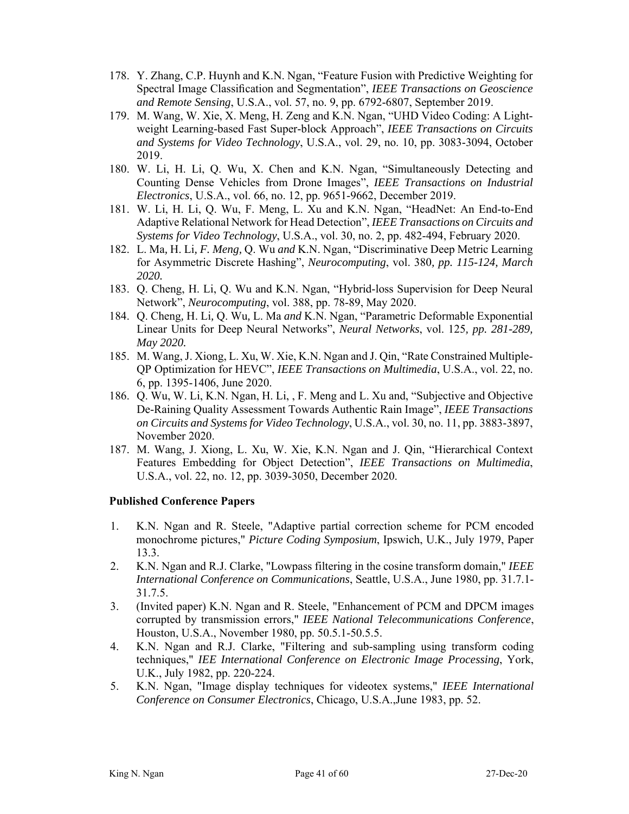- 178. Y. Zhang, C.P. Huynh and K.N. Ngan, "Feature Fusion with Predictive Weighting for Spectral Image Classification and Segmentation", *IEEE Transactions on Geoscience and Remote Sensing*, U.S.A., vol. 57, no. 9, pp. 6792-6807, September 2019.
- 179. M. Wang, W. Xie, X. Meng, H. Zeng and K.N. Ngan, "UHD Video Coding: A Lightweight Learning-based Fast Super-block Approach", *IEEE Transactions on Circuits and Systems for Video Technology*, U.S.A., vol. 29, no. 10, pp. 3083-3094, October 2019.
- 180. W. Li, H. Li, Q. Wu, X. Chen and K.N. Ngan, "Simultaneously Detecting and Counting Dense Vehicles from Drone Images", *IEEE Transactions on Industrial Electronics*, U.S.A., vol. 66, no. 12, pp. 9651-9662, December 2019.
- 181. W. Li, H. Li, Q. Wu, F. Meng, L. Xu and K.N. Ngan, "HeadNet: An End-to-End Adaptive Relational Network for Head Detection", *IEEE Transactions on Circuits and Systems for Video Technology*, U.S.A., vol. 30, no. 2, pp. 482-494, February 2020.
- 182. L. Ma*,* H. Li*, F. Meng,* Q. Wu *and* K.N. Ngan, "Discriminative Deep Metric Learning for Asymmetric Discrete Hashing", *Neurocomputing*, vol. 380*, pp. 115-124, March 2020.*
- 183. Q. Cheng, H. Li, Q. Wu and K.N. Ngan, "Hybrid-loss Supervision for Deep Neural Network", *Neurocomputing*, vol. 388, pp. 78-89, May 2020.
- 184. Q. Cheng*,* H. Li*,* Q. Wu*,* L. Ma *and* K.N. Ngan, "Parametric Deformable Exponential Linear Units for Deep Neural Networks", *Neural Networks*, vol. 125*, pp. 281-289, May 2020.*
- 185. M. Wang, J. Xiong, L. Xu, W. Xie, K.N. Ngan and J. Qin, "Rate Constrained Multiple-QP Optimization for HEVC", *IEEE Transactions on Multimedia*, U.S.A., vol. 22, no. 6, pp. 1395-1406, June 2020.
- 186. Q. Wu, W. Li, K.N. Ngan, H. Li, , F. Meng and L. Xu and, "Subjective and Objective De-Raining Quality Assessment Towards Authentic Rain Image", *IEEE Transactions on Circuits and Systems for Video Technology*, U.S.A., vol. 30, no. 11, pp. 3883-3897, November 2020.
- 187. M. Wang, J. Xiong, L. Xu, W. Xie, K.N. Ngan and J. Qin, "Hierarchical Context Features Embedding for Object Detection", *IEEE Transactions on Multimedia*, U.S.A., vol. 22, no. 12, pp. 3039-3050, December 2020.

#### **Published Conference Papers**

- 1. K.N. Ngan and R. Steele, "Adaptive partial correction scheme for PCM encoded monochrome pictures," *Picture Coding Symposium*, Ipswich, U.K., July 1979, Paper 13.3.
- 2. K.N. Ngan and R.J. Clarke, "Lowpass filtering in the cosine transform domain," *IEEE International Conference on Communications*, Seattle, U.S.A., June 1980, pp. 31.7.1- 31.7.5.
- 3. (Invited paper) K.N. Ngan and R. Steele, "Enhancement of PCM and DPCM images corrupted by transmission errors," *IEEE National Telecommunications Conference*, Houston, U.S.A., November 1980, pp. 50.5.1-50.5.5.
- 4. K.N. Ngan and R.J. Clarke, "Filtering and sub-sampling using transform coding techniques," *IEE International Conference on Electronic Image Processing*, York, U.K., July 1982, pp. 220-224.
- 5. K.N. Ngan, "Image display techniques for videotex systems," *IEEE International Conference on Consumer Electronics*, Chicago, U.S.A.,June 1983, pp. 52.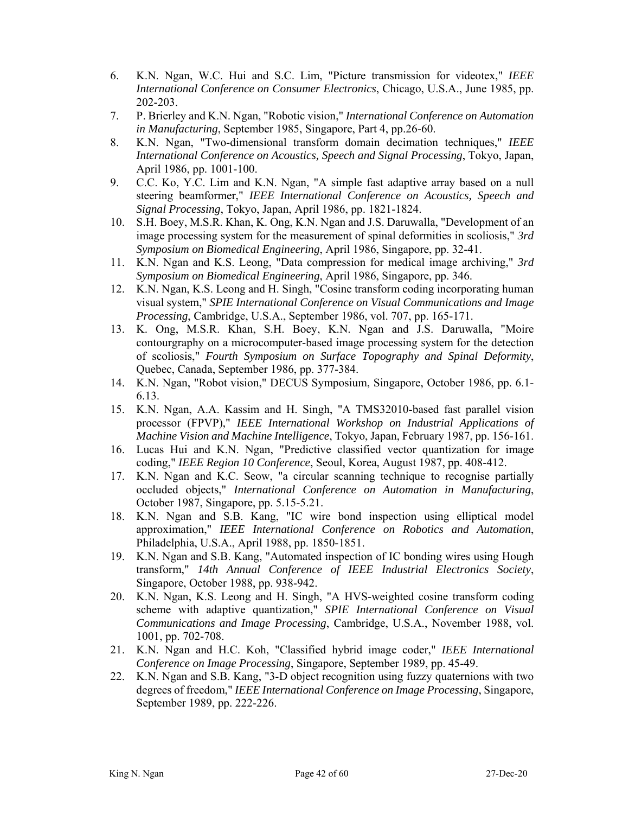- 6. K.N. Ngan, W.C. Hui and S.C. Lim, "Picture transmission for videotex," *IEEE International Conference on Consumer Electronics*, Chicago, U.S.A., June 1985, pp. 202-203.
- 7. P. Brierley and K.N. Ngan, "Robotic vision," *International Conference on Automation in Manufacturing*, September 1985, Singapore, Part 4, pp.26-60.
- 8. K.N. Ngan, "Two-dimensional transform domain decimation techniques," *IEEE International Conference on Acoustics, Speech and Signal Processing*, Tokyo, Japan, April 1986, pp. 1001-100.
- 9. C.C. Ko, Y.C. Lim and K.N. Ngan, "A simple fast adaptive array based on a null steering beamformer," *IEEE International Conference on Acoustics, Speech and Signal Processing*, Tokyo, Japan, April 1986, pp. 1821-1824.
- 10. S.H. Boey, M.S.R. Khan, K. Ong, K.N. Ngan and J.S. Daruwalla, "Development of an image processing system for the measurement of spinal deformities in scoliosis," *3rd Symposium on Biomedical Engineering*, April 1986, Singapore, pp. 32-41.
- 11. K.N. Ngan and K.S. Leong, "Data compression for medical image archiving," *3rd Symposium on Biomedical Engineering*, April 1986, Singapore, pp. 346.
- 12. K.N. Ngan, K.S. Leong and H. Singh, "Cosine transform coding incorporating human visual system," *SPIE International Conference on Visual Communications and Image Processing*, Cambridge, U.S.A., September 1986, vol. 707, pp. 165-171.
- 13. K. Ong, M.S.R. Khan, S.H. Boey, K.N. Ngan and J.S. Daruwalla, "Moire contourgraphy on a microcomputer-based image processing system for the detection of scoliosis," *Fourth Symposium on Surface Topography and Spinal Deformity*, Quebec, Canada, September 1986, pp. 377-384.
- 14. K.N. Ngan, "Robot vision," DECUS Symposium, Singapore, October 1986, pp. 6.1- 6.13.
- 15. K.N. Ngan, A.A. Kassim and H. Singh, "A TMS32010-based fast parallel vision processor (FPVP)," *IEEE International Workshop on Industrial Applications of Machine Vision and Machine Intelligence*, Tokyo, Japan, February 1987, pp. 156-161.
- 16. Lucas Hui and K.N. Ngan, "Predictive classified vector quantization for image coding," *IEEE Region 10 Conference*, Seoul, Korea, August 1987, pp. 408-412.
- 17. K.N. Ngan and K.C. Seow, "a circular scanning technique to recognise partially occluded objects," *International Conference on Automation in Manufacturing*, October 1987, Singapore, pp. 5.15-5.21.
- 18. K.N. Ngan and S.B. Kang, "IC wire bond inspection using elliptical model approximation," *IEEE International Conference on Robotics and Automation*, Philadelphia, U.S.A., April 1988, pp. 1850-1851.
- 19. K.N. Ngan and S.B. Kang, "Automated inspection of IC bonding wires using Hough transform," *14th Annual Conference of IEEE Industrial Electronics Society*, Singapore, October 1988, pp. 938-942.
- 20. K.N. Ngan, K.S. Leong and H. Singh, "A HVS-weighted cosine transform coding scheme with adaptive quantization," *SPIE International Conference on Visual Communications and Image Processing*, Cambridge, U.S.A., November 1988, vol. 1001, pp. 702-708.
- 21. K.N. Ngan and H.C. Koh, "Classified hybrid image coder," *IEEE International Conference on Image Processing*, Singapore, September 1989, pp. 45-49.
- 22. K.N. Ngan and S.B. Kang, "3-D object recognition using fuzzy quaternions with two degrees of freedom," *IEEE International Conference on Image Processing*, Singapore, September 1989, pp. 222-226.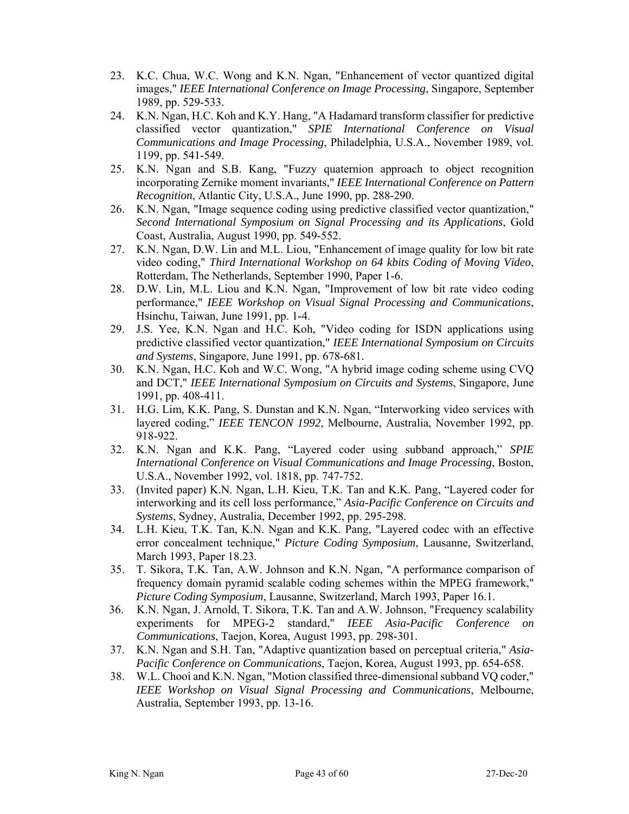- 23. K.C. Chua, W.C. Wong and K.N. Ngan, "Enhancement of vector quantized digital images," *IEEE International Conference on Image Processing*, Singapore, September 1989, pp. 529-533.
- 24. K.N. Ngan, H.C. Koh and K.Y. Hang, "A Hadamard transform classifier for predictive classified vector quantization," *SPIE International Conference on Visual Communications and Image Processing*, Philadelphia, U.S.A., November 1989, vol. 1199, pp. 541-549.
- 25. K.N. Ngan and S.B. Kang, "Fuzzy quaternion approach to object recognition incorporating Zernike moment invariants," *IEEE International Conference on Pattern Recognition*, Atlantic City, U.S.A., June 1990, pp. 288-290.
- 26. K.N. Ngan, "Image sequence coding using predictive classified vector quantization," *Second International Symposium on Signal Processing and its Applications*, Gold Coast, Australia, August 1990, pp. 549-552.
- 27. K.N. Ngan, D.W. Lin and M.L. Liou, "Enhancement of image quality for low bit rate video coding," *Third International Workshop on 64 kbits Coding of Moving Video*, Rotterdam, The Netherlands, September 1990, Paper 1-6.
- 28. D.W. Lin, M.L. Liou and K.N. Ngan, "Improvement of low bit rate video coding performance," *IEEE Workshop on Visual Signal Processing and Communications*, Hsinchu, Taiwan, June 1991, pp. 1-4.
- 29. J.S. Yee, K.N. Ngan and H.C. Koh, "Video coding for ISDN applications using predictive classified vector quantization," *IEEE International Symposium on Circuits and Systems*, Singapore, June 1991, pp. 678-681.
- 30. K.N. Ngan, H.C. Koh and W.C. Wong, "A hybrid image coding scheme using CVQ and DCT," *IEEE International Symposium on Circuits and Systems*, Singapore, June 1991, pp. 408-411.
- 31. H.G. Lim, K.K. Pang, S. Dunstan and K.N. Ngan, "Interworking video services with layered coding," *IEEE TENCON 1992*, Melbourne, Australia, November 1992, pp. 918-922.
- 32. K.N. Ngan and K.K. Pang, "Layered coder using subband approach," *SPIE International Conference on Visual Communications and Image Processing*, Boston, U.S.A., November 1992, vol. 1818, pp. 747-752.
- 33. (Invited paper) K.N. Ngan, L.H. Kieu, T.K. Tan and K.K. Pang, "Layered coder for interworking and its cell loss performance," *Asia-Pacific Conference on Circuits and Systems*, Sydney, Australia, December 1992, pp. 295-298.
- 34. L.H. Kieu, T.K. Tan, K.N. Ngan and K.K. Pang, "Layered codec with an effective error concealment technique," *Picture Coding Symposium*, Lausanne, Switzerland, March 1993, Paper 18.23.
- 35. T. Sikora, T.K. Tan, A.W. Johnson and K.N. Ngan, "A performance comparison of frequency domain pyramid scalable coding schemes within the MPEG framework," *Picture Coding Symposium*, Lausanne, Switzerland, March 1993, Paper 16.1.
- 36. K.N. Ngan, J. Arnold, T. Sikora, T.K. Tan and A.W. Johnson, "Frequency scalability experiments for MPEG-2 standard," *IEEE Asia-Pacific Conference on Communications*, Taejon, Korea, August 1993, pp. 298-301.
- 37. K.N. Ngan and S.H. Tan, "Adaptive quantization based on perceptual criteria," *Asia-Pacific Conference on Communications*, Taejon, Korea, August 1993, pp. 654-658.
- 38. W.L. Chooi and K.N. Ngan, "Motion classified three-dimensional subband VQ coder," *IEEE Workshop on Visual Signal Processing and Communications*, Melbourne, Australia, September 1993, pp. 13-16.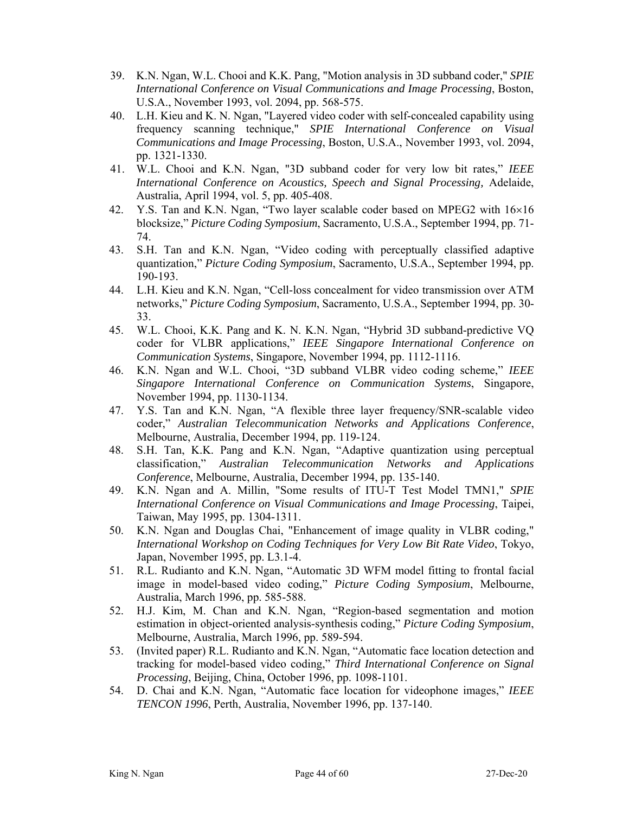- 39. K.N. Ngan, W.L. Chooi and K.K. Pang, "Motion analysis in 3D subband coder," *SPIE International Conference on Visual Communications and Image Processing*, Boston, U.S.A., November 1993, vol. 2094, pp. 568-575.
- 40. L.H. Kieu and K. N. Ngan, "Layered video coder with self-concealed capability using frequency scanning technique," *SPIE International Conference on Visual Communications and Image Processing*, Boston, U.S.A., November 1993, vol. 2094, pp. 1321-1330.
- 41. W.L. Chooi and K.N. Ngan, "3D subband coder for very low bit rates," *IEEE International Conference on Acoustics, Speech and Signal Processing,* Adelaide, Australia, April 1994, vol. 5, pp. 405-408.
- 42. Y.S. Tan and K.N. Ngan, "Two layer scalable coder based on MPEG2 with  $16\times16$ blocksize," *Picture Coding Symposium*, Sacramento, U.S.A., September 1994, pp. 71- 74.
- 43. S.H. Tan and K.N. Ngan, "Video coding with perceptually classified adaptive quantization," *Picture Coding Symposium*, Sacramento, U.S.A., September 1994, pp. 190-193.
- 44. L.H. Kieu and K.N. Ngan, "Cell-loss concealment for video transmission over ATM networks," *Picture Coding Symposium*, Sacramento, U.S.A., September 1994, pp. 30- 33.
- 45. W.L. Chooi, K.K. Pang and K. N. K.N. Ngan, "Hybrid 3D subband-predictive VQ coder for VLBR applications," *IEEE Singapore International Conference on Communication Systems*, Singapore, November 1994, pp. 1112-1116.
- 46. K.N. Ngan and W.L. Chooi, "3D subband VLBR video coding scheme," *IEEE Singapore International Conference on Communication Systems*, Singapore, November 1994, pp. 1130-1134.
- 47. Y.S. Tan and K.N. Ngan, "A flexible three layer frequency/SNR-scalable video coder," *Australian Telecommunication Networks and Applications Conference*, Melbourne, Australia, December 1994, pp. 119-124.
- 48. S.H. Tan, K.K. Pang and K.N. Ngan, "Adaptive quantization using perceptual classification," *Australian Telecommunication Networks and Applications Conference*, Melbourne, Australia, December 1994, pp. 135-140.
- 49. K.N. Ngan and A. Millin, "Some results of ITU-T Test Model TMN1," *SPIE International Conference on Visual Communications and Image Processing*, Taipei, Taiwan, May 1995, pp. 1304-1311.
- 50. K.N. Ngan and Douglas Chai, "Enhancement of image quality in VLBR coding," *International Workshop on Coding Techniques for Very Low Bit Rate Video*, Tokyo, Japan, November 1995, pp. L3.1-4.
- 51. R.L. Rudianto and K.N. Ngan, "Automatic 3D WFM model fitting to frontal facial image in model-based video coding," *Picture Coding Symposium*, Melbourne, Australia, March 1996, pp. 585-588.
- 52. H.J. Kim, M. Chan and K.N. Ngan, "Region-based segmentation and motion estimation in object-oriented analysis-synthesis coding," *Picture Coding Symposium*, Melbourne, Australia, March 1996, pp. 589-594.
- 53. (Invited paper) R.L. Rudianto and K.N. Ngan, "Automatic face location detection and tracking for model-based video coding," *Third International Conference on Signal Processing*, Beijing, China, October 1996, pp. 1098-1101.
- 54. D. Chai and K.N. Ngan, "Automatic face location for videophone images," *IEEE TENCON 1996*, Perth, Australia, November 1996, pp. 137-140.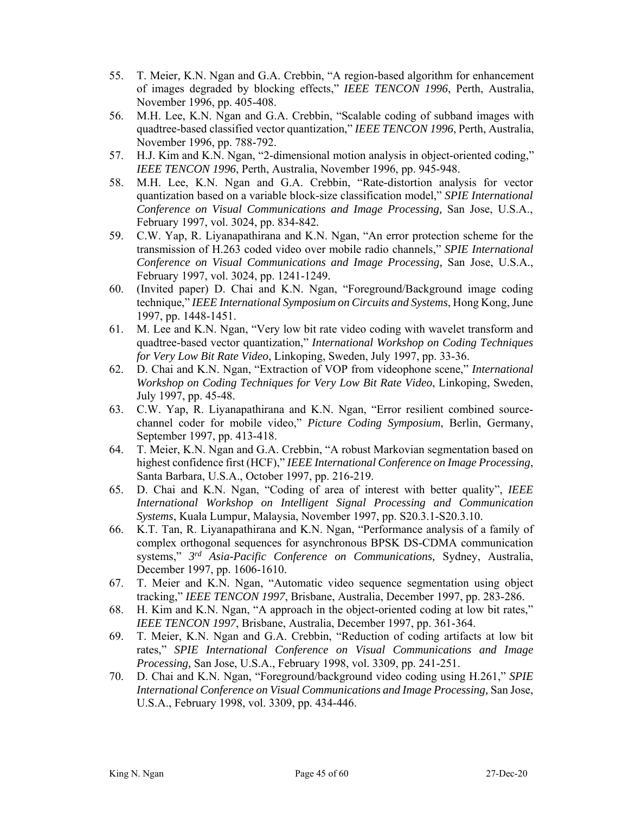- 55. T. Meier, K.N. Ngan and G.A. Crebbin, "A region-based algorithm for enhancement of images degraded by blocking effects," *IEEE TENCON 1996*, Perth, Australia, November 1996, pp. 405-408.
- 56. M.H. Lee, K.N. Ngan and G.A. Crebbin, "Scalable coding of subband images with quadtree-based classified vector quantization," *IEEE TENCON 1996*, Perth, Australia, November 1996, pp. 788-792.
- 57. H.J. Kim and K.N. Ngan, "2-dimensional motion analysis in object-oriented coding," *IEEE TENCON 1996*, Perth, Australia, November 1996, pp. 945-948.
- 58. M.H. Lee, K.N. Ngan and G.A. Crebbin, "Rate-distortion analysis for vector quantization based on a variable block-size classification model," *SPIE International Conference on Visual Communications and Image Processing,* San Jose, U.S.A., February 1997, vol. 3024, pp. 834-842*.*
- 59. C.W. Yap, R. Liyanapathirana and K.N. Ngan, "An error protection scheme for the transmission of H.263 coded video over mobile radio channels," *SPIE International Conference on Visual Communications and Image Processing,* San Jose, U.S.A., February 1997, vol. 3024, pp. 1241-1249*.*
- 60. (Invited paper) D. Chai and K.N. Ngan, "Foreground/Background image coding technique," *IEEE International Symposium on Circuits and Systems*, Hong Kong, June 1997, pp. 1448-1451.
- 61. M. Lee and K.N. Ngan, "Very low bit rate video coding with wavelet transform and quadtree-based vector quantization," *International Workshop on Coding Techniques for Very Low Bit Rate Video*, Linkoping, Sweden, July 1997, pp. 33-36.
- 62. D. Chai and K.N. Ngan, "Extraction of VOP from videophone scene," *International Workshop on Coding Techniques for Very Low Bit Rate Video*, Linkoping, Sweden, July 1997, pp. 45-48.
- 63. C.W. Yap, R. Liyanapathirana and K.N. Ngan, "Error resilient combined sourcechannel coder for mobile video," *Picture Coding Symposium*, Berlin, Germany, September 1997, pp. 413-418.
- 64. T. Meier, K.N. Ngan and G.A. Crebbin, "A robust Markovian segmentation based on highest confidence first (HCF)," *IEEE International Conference on Image Processing*, Santa Barbara, U.S.A., October 1997, pp. 216-219.
- 65. D. Chai and K.N. Ngan, "Coding of area of interest with better quality", *IEEE International Workshop on Intelligent Signal Processing and Communication Systems*, Kuala Lumpur, Malaysia, November 1997, pp. S20.3.1-S20.3.10.
- 66. K.T. Tan, R. Liyanapathirana and K.N. Ngan, "Performance analysis of a family of complex orthogonal sequences for asynchronous BPSK DS-CDMA communication systems," *3rd Asia-Pacific Conference on Communications,* Sydney, Australia, December 1997, pp. 1606-1610.
- 67. T. Meier and K.N. Ngan, "Automatic video sequence segmentation using object tracking," *IEEE TENCON 1997*, Brisbane, Australia, December 1997, pp. 283-286.
- 68. H. Kim and K.N. Ngan, "A approach in the object-oriented coding at low bit rates," *IEEE TENCON 1997*, Brisbane, Australia, December 1997, pp. 361-364.
- 69. T. Meier, K.N. Ngan and G.A. Crebbin, "Reduction of coding artifacts at low bit rates," *SPIE International Conference on Visual Communications and Image Processing,* San Jose, U.S.A., February 1998, vol. 3309, pp. 241-251.
- 70. D. Chai and K.N. Ngan, "Foreground/background video coding using H.261," *SPIE International Conference on Visual Communications and Image Processing,* San Jose, U.S.A., February 1998, vol. 3309, pp. 434-446.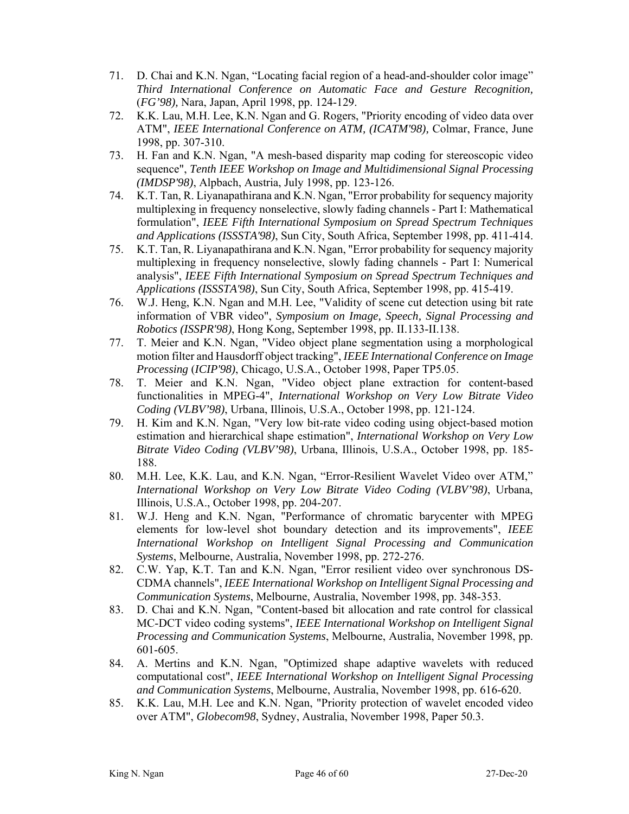- 71. D. Chai and K.N. Ngan, "Locating facial region of a head-and-shoulder color image" *Third International Conference on Automatic Face and Gesture Recognition,* (*FG'98),* Nara, Japan, April 1998, pp. 124-129.
- 72. K.K. Lau, M.H. Lee, K.N. Ngan and G. Rogers, "Priority encoding of video data over ATM", *IEEE International Conference on ATM, (ICATM'98),* Colmar, France, June 1998, pp. 307-310.
- 73. H. Fan and K.N. Ngan, "A mesh-based disparity map coding for stereoscopic video sequence", *Tenth IEEE Workshop on Image and Multidimensional Signal Processing (IMDSP'98)*, Alpbach, Austria, July 1998, pp. 123-126.
- 74. K.T. Tan, R. Liyanapathirana and K.N. Ngan, "Error probability for sequency majority multiplexing in frequency nonselective, slowly fading channels - Part I: Mathematical formulation", *IEEE Fifth International Symposium on Spread Spectrum Techniques and Applications (ISSSTA'98)*, Sun City, South Africa, September 1998, pp. 411-414.
- 75. K.T. Tan, R. Liyanapathirana and K.N. Ngan, "Error probability for sequency majority multiplexing in frequency nonselective, slowly fading channels - Part I: Numerical analysis", *IEEE Fifth International Symposium on Spread Spectrum Techniques and Applications (ISSSTA'98)*, Sun City, South Africa, September 1998, pp. 415-419.
- 76. W.J. Heng, K.N. Ngan and M.H. Lee, "Validity of scene cut detection using bit rate information of VBR video", *Symposium on Image, Speech, Signal Processing and Robotics (ISSPR'98)*, Hong Kong, September 1998, pp. II.133-II.138.
- 77. T. Meier and K.N. Ngan, "Video object plane segmentation using a morphological motion filter and Hausdorff object tracking", *IEEE International Conference on Image Processing* (*ICIP'98)*, Chicago, U.S.A., October 1998, Paper TP5.05.
- 78. T. Meier and K.N. Ngan, "Video object plane extraction for content-based functionalities in MPEG-4", *International Workshop on Very Low Bitrate Video Coding (VLBV'98)*, Urbana, Illinois, U.S.A., October 1998, pp. 121-124.
- 79. H. Kim and K.N. Ngan, "Very low bit-rate video coding using object-based motion estimation and hierarchical shape estimation", *International Workshop on Very Low Bitrate Video Coding (VLBV'98)*, Urbana, Illinois, U.S.A., October 1998, pp. 185- 188.
- 80. M.H. Lee, K.K. Lau, and K.N. Ngan, "Error-Resilient Wavelet Video over ATM," *International Workshop on Very Low Bitrate Video Coding (VLBV'98)*, Urbana, Illinois, U.S.A., October 1998, pp. 204-207.
- 81. W.J. Heng and K.N. Ngan, "Performance of chromatic barycenter with MPEG elements for low-level shot boundary detection and its improvements", *IEEE International Workshop on Intelligent Signal Processing and Communication Systems*, Melbourne, Australia, November 1998, pp. 272-276.
- 82. C.W. Yap, K.T. Tan and K.N. Ngan, "Error resilient video over synchronous DS-CDMA channels", *IEEE International Workshop on Intelligent Signal Processing and Communication Systems*, Melbourne, Australia, November 1998, pp. 348-353.
- 83. D. Chai and K.N. Ngan, "Content-based bit allocation and rate control for classical MC-DCT video coding systems", *IEEE International Workshop on Intelligent Signal Processing and Communication Systems*, Melbourne, Australia, November 1998, pp. 601-605.
- 84. A. Mertins and K.N. Ngan, "Optimized shape adaptive wavelets with reduced computational cost", *IEEE International Workshop on Intelligent Signal Processing and Communication Systems*, Melbourne, Australia, November 1998, pp. 616-620.
- 85. K.K. Lau, M.H. Lee and K.N. Ngan, "Priority protection of wavelet encoded video over ATM", *Globecom98*, Sydney, Australia, November 1998, Paper 50.3.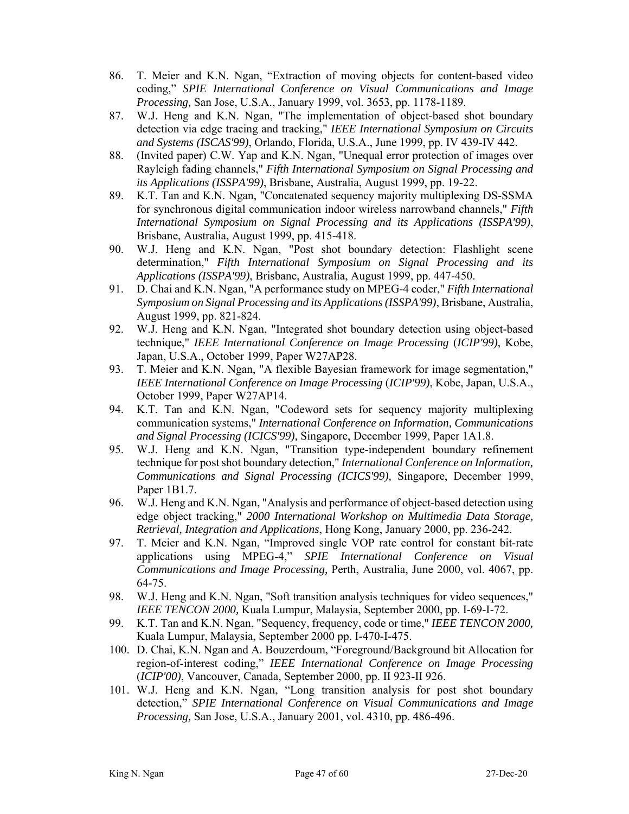- 86. T. Meier and K.N. Ngan, "Extraction of moving objects for content-based video coding," *SPIE International Conference on Visual Communications and Image Processing,* San Jose, U.S.A., January 1999, vol. 3653, pp. 1178-1189.
- 87. W.J. Heng and K.N. Ngan, "The implementation of object-based shot boundary detection via edge tracing and tracking," *IEEE International Symposium on Circuits and Systems (ISCAS'99)*, Orlando, Florida, U.S.A., June 1999, pp. IV 439-IV 442.
- 88. (Invited paper) C.W. Yap and K.N. Ngan, "Unequal error protection of images over Rayleigh fading channels," *Fifth International Symposium on Signal Processing and its Applications (ISSPA'99)*, Brisbane, Australia, August 1999, pp. 19-22.
- 89. K.T. Tan and K.N. Ngan, "Concatenated sequency majority multiplexing DS-SSMA for synchronous digital communication indoor wireless narrowband channels," *Fifth International Symposium on Signal Processing and its Applications (ISSPA'99)*, Brisbane, Australia, August 1999, pp. 415-418.
- 90. W.J. Heng and K.N. Ngan, "Post shot boundary detection: Flashlight scene determination," *Fifth International Symposium on Signal Processing and its Applications (ISSPA'99)*, Brisbane, Australia, August 1999, pp. 447-450.
- 91. D. Chai and K.N. Ngan, "A performance study on MPEG-4 coder," *Fifth International Symposium on Signal Processing and its Applications (ISSPA'99)*, Brisbane, Australia, August 1999, pp. 821-824.
- 92. W.J. Heng and K.N. Ngan, "Integrated shot boundary detection using object-based technique," *IEEE International Conference on Image Processing* (*ICIP'99)*, Kobe, Japan, U.S.A., October 1999, Paper W27AP28.
- 93. T. Meier and K.N. Ngan, "A flexible Bayesian framework for image segmentation," *IEEE International Conference on Image Processing* (*ICIP'99)*, Kobe, Japan, U.S.A., October 1999, Paper W27AP14.
- 94. K.T. Tan and K.N. Ngan, "Codeword sets for sequency majority multiplexing communication systems," *International Conference on Information, Communications and Signal Processing (ICICS'99),* Singapore, December 1999, Paper 1A1.8.
- 95. W.J. Heng and K.N. Ngan, "Transition type-independent boundary refinement technique for post shot boundary detection," *International Conference on Information, Communications and Signal Processing (ICICS'99),* Singapore, December 1999, Paper 1B1.7.
- 96. W.J. Heng and K.N. Ngan, "Analysis and performance of object-based detection using edge object tracking," *2000 International Workshop on Multimedia Data Storage, Retrieval, Integration and Applications*, Hong Kong, January 2000, pp. 236-242.
- 97. T. Meier and K.N. Ngan, "Improved single VOP rate control for constant bit-rate applications using MPEG-4," *SPIE International Conference on Visual Communications and Image Processing,* Perth, Australia, June 2000, vol. 4067, pp. 64-75.
- 98. W.J. Heng and K.N. Ngan, "Soft transition analysis techniques for video sequences," *IEEE TENCON 2000,* Kuala Lumpur, Malaysia, September 2000, pp. I-69-I-72.
- 99. K.T. Tan and K.N. Ngan, "Sequency, frequency, code or time," *IEEE TENCON 2000,* Kuala Lumpur, Malaysia, September 2000 pp. I-470-I-475.
- 100. D. Chai, K.N. Ngan and A. Bouzerdoum, "Foreground/Background bit Allocation for region-of-interest coding," *IEEE International Conference on Image Processing* (*ICIP'00)*, Vancouver, Canada, September 2000, pp. II 923-II 926.
- 101. W.J. Heng and K.N. Ngan, "Long transition analysis for post shot boundary detection," *SPIE International Conference on Visual Communications and Image Processing,* San Jose, U.S.A., January 2001, vol. 4310, pp. 486-496.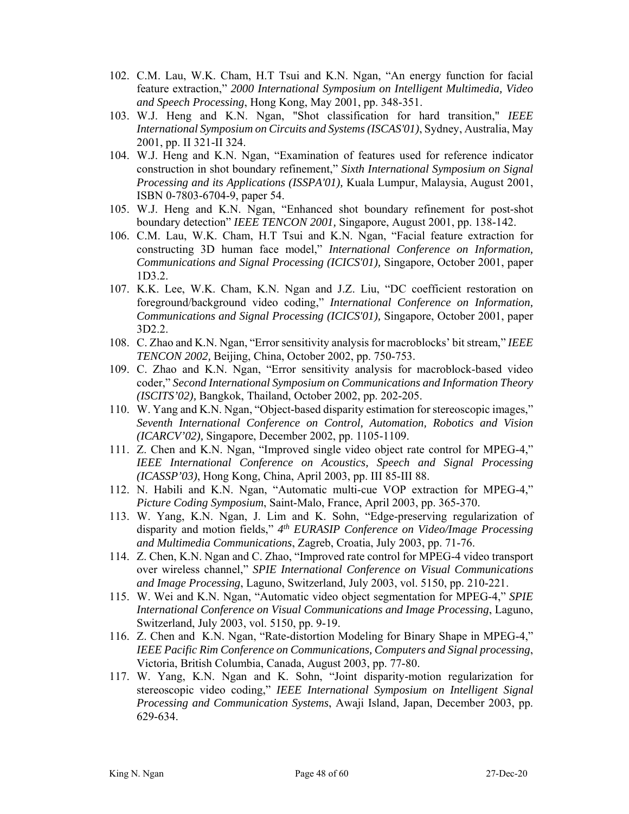- 102. C.M. Lau, W.K. Cham, H.T Tsui and K.N. Ngan, "An energy function for facial feature extraction," *2000 International Symposium on Intelligent Multimedia, Video and Speech Processing*, Hong Kong, May 2001, pp. 348-351.
- 103. W.J. Heng and K.N. Ngan, "Shot classification for hard transition," *IEEE International Symposium on Circuits and Systems (ISCAS'01)*, Sydney, Australia, May 2001, pp. II 321-II 324.
- 104. W.J. Heng and K.N. Ngan, "Examination of features used for reference indicator construction in shot boundary refinement," *Sixth International Symposium on Signal Processing and its Applications (ISSPA'01),* Kuala Lumpur, Malaysia, August 2001, ISBN 0-7803-6704-9, paper 54.
- 105. W.J. Heng and K.N. Ngan, "Enhanced shot boundary refinement for post-shot boundary detection" *IEEE TENCON 2001,* Singapore, August 2001, pp. 138-142.
- 106. C.M. Lau, W.K. Cham, H.T Tsui and K.N. Ngan, "Facial feature extraction for constructing 3D human face model," *International Conference on Information, Communications and Signal Processing (ICICS'01),* Singapore, October 2001, paper 1D3.2.
- 107. K.K. Lee, W.K. Cham, K.N. Ngan and J.Z. Liu, "DC coefficient restoration on foreground/background video coding," *International Conference on Information, Communications and Signal Processing (ICICS'01),* Singapore, October 2001, paper 3D2.2.
- 108. C. Zhao and K.N. Ngan, "Error sensitivity analysis for macroblocks' bit stream," *IEEE TENCON 2002,* Beijing, China, October 2002, pp. 750-753.
- 109. C. Zhao and K.N. Ngan, "Error sensitivity analysis for macroblock-based video coder," *Second International Symposium on Communications and Information Theory (ISCITS'02),* Bangkok, Thailand, October 2002, pp. 202-205.
- 110. W. Yang and K.N. Ngan, "Object-based disparity estimation for stereoscopic images," *Seventh International Conference on Control, Automation, Robotics and Vision (ICARCV'02),* Singapore, December 2002, pp. 1105-1109.
- 111. Z. Chen and K.N. Ngan, "Improved single video object rate control for MPEG-4," *IEEE International Conference on Acoustics, Speech and Signal Processing (ICASSP'03)*, Hong Kong, China, April 2003, pp. III 85-III 88.
- 112. N. Habili and K.N. Ngan, "Automatic multi-cue VOP extraction for MPEG-4," *Picture Coding Symposium*, Saint-Malo, France, April 2003, pp. 365-370.
- 113. W. Yang, K.N. Ngan, J. Lim and K. Sohn, "Edge-preserving regularization of disparity and motion fields," *4th EURASIP Conference on Video/Image Processing and Multimedia Communications*, Zagreb, Croatia, July 2003, pp. 71-76.
- 114. Z. Chen, K.N. Ngan and C. Zhao, "Improved rate control for MPEG-4 video transport over wireless channel," *SPIE International Conference on Visual Communications and Image Processing*, Laguno, Switzerland, July 2003, vol. 5150, pp. 210-221.
- 115. W. Wei and K.N. Ngan, "Automatic video object segmentation for MPEG-4," *SPIE International Conference on Visual Communications and Image Processing*, Laguno, Switzerland, July 2003, vol. 5150, pp. 9-19.
- 116. Z. Chen and K.N. Ngan, "Rate-distortion Modeling for Binary Shape in MPEG-4," *IEEE Pacific Rim Conference on Communications, Computers and Signal processing*, Victoria, British Columbia, Canada, August 2003, pp. 77-80.
- 117. W. Yang, K.N. Ngan and K. Sohn, "Joint disparity-motion regularization for stereoscopic video coding," *IEEE International Symposium on Intelligent Signal Processing and Communication Systems*, Awaji Island, Japan, December 2003, pp. 629-634.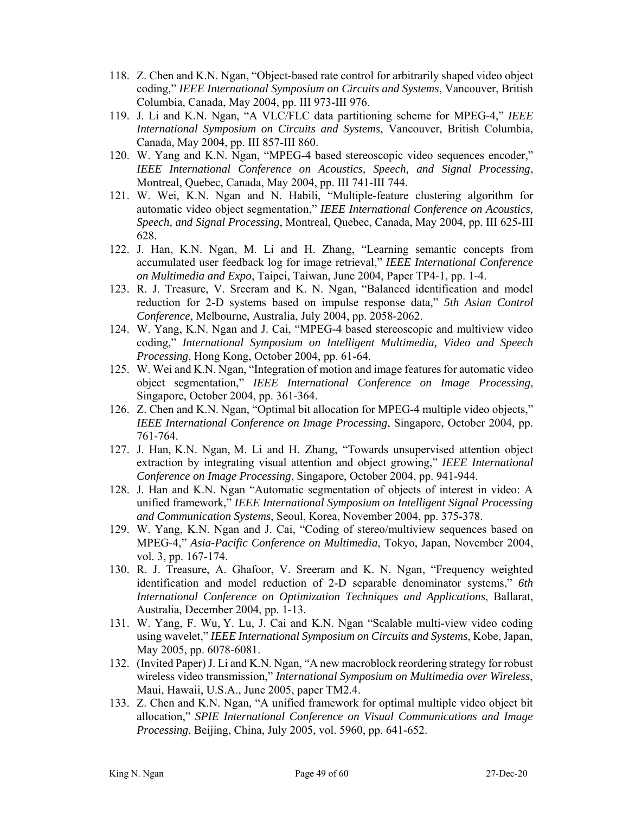- 118. Z. Chen and K.N. Ngan, "Object-based rate control for arbitrarily shaped video object coding," *IEEE International Symposium on Circuits and Systems*, Vancouver, British Columbia, Canada, May 2004, pp. III 973-III 976.
- 119. J. Li and K.N. Ngan, "A VLC/FLC data partitioning scheme for MPEG-4," *IEEE International Symposium on Circuits and Systems*, Vancouver, British Columbia, Canada, May 2004, pp. III 857-III 860.
- 120. W. Yang and K.N. Ngan, "MPEG-4 based stereoscopic video sequences encoder," *IEEE International Conference on Acoustics, Speech, and Signal Processing*, Montreal, Quebec, Canada, May 2004, pp. III 741-III 744.
- 121. W. Wei, K.N. Ngan and N. Habili, "Multiple-feature clustering algorithm for automatic video object segmentation," *IEEE International Conference on Acoustics, Speech, and Signal Processing*, Montreal, Quebec, Canada, May 2004, pp. III 625-III 628.
- 122. J. Han, K.N. Ngan, M. Li and H. Zhang, "Learning semantic concepts from accumulated user feedback log for image retrieval," *IEEE International Conference on Multimedia and Expo*, Taipei, Taiwan, June 2004, Paper TP4-1, pp. 1-4.
- 123. R. J. Treasure, V. Sreeram and K. N. Ngan, "Balanced identification and model reduction for 2-D systems based on impulse response data," *5th Asian Control Conference*, Melbourne, Australia, July 2004, pp. 2058-2062.
- 124. W. Yang, K.N. Ngan and J. Cai, "MPEG-4 based stereoscopic and multiview video coding," *International Symposium on Intelligent Multimedia, Video and Speech Processing*, Hong Kong, October 2004, pp. 61-64.
- 125. W. Wei and K.N. Ngan, "Integration of motion and image features for automatic video object segmentation," *IEEE International Conference on Image Processing*, Singapore, October 2004, pp. 361-364.
- 126. Z. Chen and K.N. Ngan, "Optimal bit allocation for MPEG-4 multiple video objects," *IEEE International Conference on Image Processing*, Singapore, October 2004, pp. 761-764.
- 127. J. Han, K.N. Ngan, M. Li and H. Zhang, "Towards unsupervised attention object extraction by integrating visual attention and object growing," *IEEE International Conference on Image Processing*, Singapore, October 2004, pp. 941-944.
- 128. J. Han and K.N. Ngan "Automatic segmentation of objects of interest in video: A unified framework," *IEEE International Symposium on Intelligent Signal Processing and Communication Systems*, Seoul, Korea, November 2004, pp. 375-378.
- 129. W. Yang, K.N. Ngan and J. Cai, "Coding of stereo/multiview sequences based on MPEG-4," *Asia-Pacific Conference on Multimedia*, Tokyo, Japan, November 2004, vol. 3, pp. 167-174.
- 130. R. J. Treasure, A. Ghafoor, V. Sreeram and K. N. Ngan, "Frequency weighted identification and model reduction of 2-D separable denominator systems," *6th International Conference on Optimization Techniques and Applications*, Ballarat, Australia, December 2004, pp. 1-13.
- 131. W. Yang, F. Wu, Y. Lu, J. Cai and K.N. Ngan "Scalable multi-view video coding using wavelet," *IEEE International Symposium on Circuits and Systems*, Kobe, Japan, May 2005, pp. 6078-6081.
- 132. (Invited Paper) J. Li and K.N. Ngan, "A new macroblock reordering strategy for robust wireless video transmission," *International Symposium on Multimedia over Wireless*, Maui, Hawaii, U.S.A., June 2005, paper TM2.4.
- 133. Z. Chen and K.N. Ngan, "A unified framework for optimal multiple video object bit allocation," *SPIE International Conference on Visual Communications and Image Processing*, Beijing, China, July 2005, vol. 5960, pp. 641-652.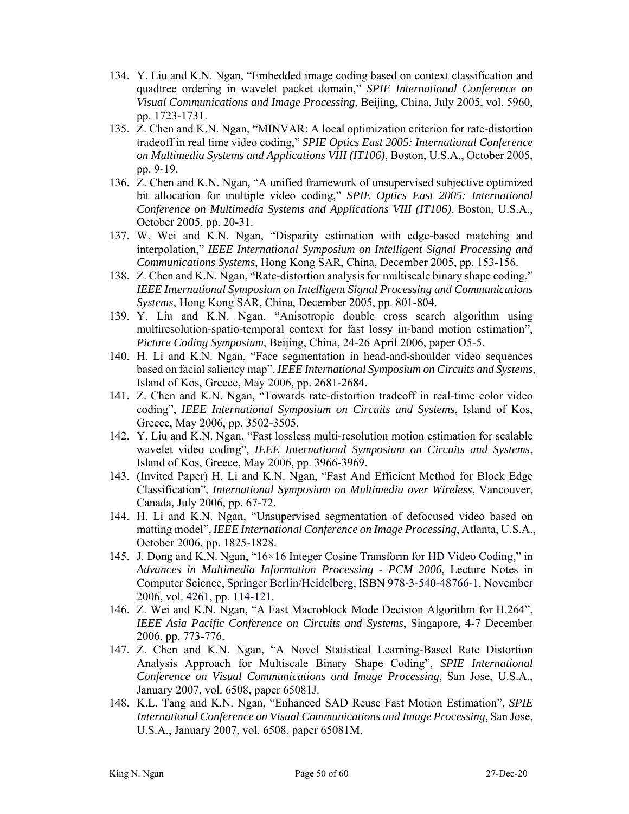- 134. Y. Liu and K.N. Ngan, "Embedded image coding based on context classification and quadtree ordering in wavelet packet domain," *SPIE International Conference on Visual Communications and Image Processing*, Beijing, China, July 2005, vol. 5960, pp. 1723-1731.
- 135. Z. Chen and K.N. Ngan, "MINVAR: A local optimization criterion for rate-distortion tradeoff in real time video coding," *SPIE Optics East 2005: International Conference on Multimedia Systems and Applications VIII (IT106)*, Boston, U.S.A., October 2005, pp. 9-19.
- 136. Z. Chen and K.N. Ngan, "A unified framework of unsupervised subjective optimized bit allocation for multiple video coding," *SPIE Optics East 2005: International Conference on Multimedia Systems and Applications VIII (IT106)*, Boston, U.S.A., October 2005, pp. 20-31.
- 137. W. Wei and K.N. Ngan, "Disparity estimation with edge-based matching and interpolation," *IEEE International Symposium on Intelligent Signal Processing and Communications Systems*, Hong Kong SAR, China, December 2005, pp. 153-156.
- 138. Z. Chen and K.N. Ngan, "Rate-distortion analysis for multiscale binary shape coding," *IEEE International Symposium on Intelligent Signal Processing and Communications Systems*, Hong Kong SAR, China, December 2005, pp. 801-804.
- 139. Y. Liu and K.N. Ngan, "Anisotropic double cross search algorithm using multiresolution-spatio-temporal context for fast lossy in-band motion estimation", *Picture Coding Symposium*, Beijing, China, 24-26 April 2006, paper O5-5.
- 140. H. Li and K.N. Ngan, "Face segmentation in head-and-shoulder video sequences based on facial saliency map", *IEEE International Symposium on Circuits and Systems*, Island of Kos, Greece, May 2006, pp. 2681-2684.
- 141. Z. Chen and K.N. Ngan, "Towards rate-distortion tradeoff in real-time color video coding", *IEEE International Symposium on Circuits and Systems*, Island of Kos, Greece, May 2006, pp. 3502-3505.
- 142. Y. Liu and K.N. Ngan, "Fast lossless multi-resolution motion estimation for scalable wavelet video coding", *IEEE International Symposium on Circuits and Systems*, Island of Kos, Greece, May 2006, pp. 3966-3969.
- 143. (Invited Paper) H. Li and K.N. Ngan, "Fast And Efficient Method for Block Edge Classification", *International Symposium on Multimedia over Wireless*, Vancouver, Canada, July 2006, pp. 67-72.
- 144. H. Li and K.N. Ngan, "Unsupervised segmentation of defocused video based on matting model", *IEEE International Conference on Image Processing*, Atlanta, U.S.A., October 2006, pp. 1825-1828.
- 145. J. Dong and K.N. Ngan, "16×16 Integer Cosine Transform for HD Video Coding," in *Advances in Multimedia Information Processing - PCM 2006*, Lecture Notes in Computer Science, Springer Berlin/Heidelberg, ISBN 978-3-540-48766-1, November 2006, vol. 4261, pp. 114-121.
- 146. Z. Wei and K.N. Ngan, "A Fast Macroblock Mode Decision Algorithm for H.264", *IEEE Asia Pacific Conference on Circuits and Systems*, Singapore, 4-7 December 2006, pp. 773-776.
- 147. Z. Chen and K.N. Ngan, "A Novel Statistical Learning-Based Rate Distortion Analysis Approach for Multiscale Binary Shape Coding", *SPIE International Conference on Visual Communications and Image Processing*, San Jose, U.S.A., January 2007, vol. 6508, paper 65081J.
- 148. K.L. Tang and K.N. Ngan, "Enhanced SAD Reuse Fast Motion Estimation", *SPIE International Conference on Visual Communications and Image Processing*, San Jose, U.S.A., January 2007, vol. 6508, paper 65081M.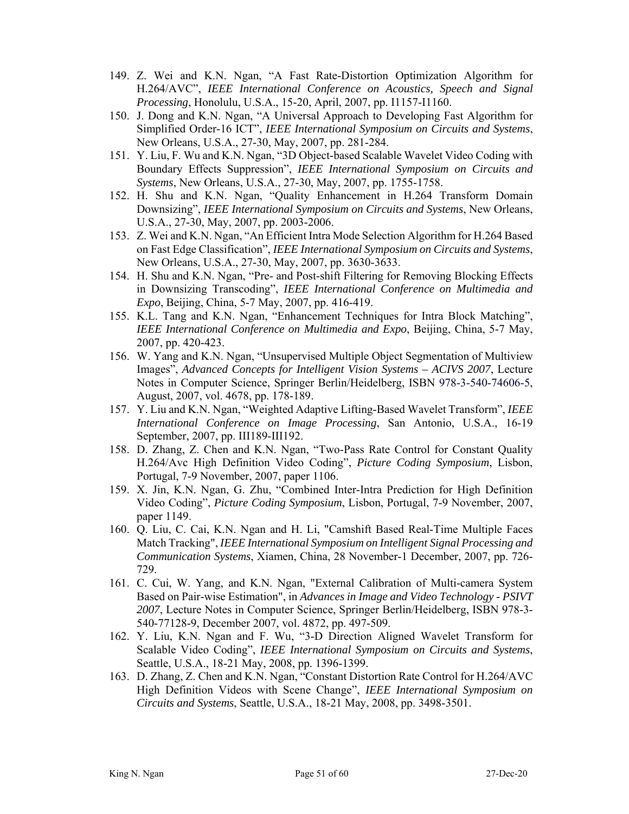- 149. Z. Wei and K.N. Ngan, "A Fast Rate-Distortion Optimization Algorithm for H.264/AVC", *IEEE International Conference on Acoustics, Speech and Signal Processing*, Honolulu, U.S.A., 15-20, April, 2007, pp. I1157-I1160.
- 150. J. Dong and K.N. Ngan, "A Universal Approach to Developing Fast Algorithm for Simplified Order-16 ICT", *IEEE International Symposium on Circuits and Systems*, New Orleans, U.S.A., 27-30, May, 2007, pp. 281-284.
- 151. Y. Liu, F. Wu and K.N. Ngan, "3D Object-based Scalable Wavelet Video Coding with Boundary Effects Suppression", *IEEE International Symposium on Circuits and Systems*, New Orleans, U.S.A., 27-30, May, 2007, pp. 1755-1758.
- 152. H. Shu and K.N. Ngan, "Quality Enhancement in H.264 Transform Domain Downsizing", *IEEE International Symposium on Circuits and Systems*, New Orleans, U.S.A., 27-30, May, 2007, pp. 2003-2006.
- 153. Z. Wei and K.N. Ngan, "An Efficient Intra Mode Selection Algorithm for H.264 Based on Fast Edge Classification", *IEEE International Symposium on Circuits and Systems*, New Orleans, U.S.A., 27-30, May, 2007, pp. 3630-3633.
- 154. H. Shu and K.N. Ngan, "Pre- and Post-shift Filtering for Removing Blocking Effects in Downsizing Transcoding", *IEEE International Conference on Multimedia and Expo*, Beijing, China, 5-7 May, 2007, pp. 416-419.
- 155. K.L. Tang and K.N. Ngan, "Enhancement Techniques for Intra Block Matching", *IEEE International Conference on Multimedia and Expo*, Beijing, China, 5-7 May, 2007, pp. 420-423.
- 156. W. Yang and K.N. Ngan, "Unsupervised Multiple Object Segmentation of Multiview Images", *Advanced Concepts for Intelligent Vision Systems – ACIVS 2007*, Lecture Notes in Computer Science, Springer Berlin/Heidelberg, ISBN 978-3-540-74606-5, August, 2007, vol. 4678, pp. 178-189.
- 157. Y. Liu and K.N. Ngan, "Weighted Adaptive Lifting-Based Wavelet Transform", *IEEE International Conference on Image Processing*, San Antonio, U.S.A., 16-19 September, 2007, pp. III189-III192.
- 158. D. Zhang, Z. Chen and K.N. Ngan, "Two-Pass Rate Control for Constant Quality H.264/Avc High Definition Video Coding", *Picture Coding Symposium*, Lisbon, Portugal, 7-9 November, 2007, paper 1106.
- 159. X. Jin, K.N. Ngan, G. Zhu, "Combined Inter-Intra Prediction for High Definition Video Coding", *Picture Coding Symposium*, Lisbon, Portugal, 7-9 November, 2007, paper 1149.
- 160. Q. Liu, C. Cai, K.N. Ngan and H. Li, "Camshift Based Real-Time Multiple Faces Match Tracking", *IEEE International Symposium on Intelligent Signal Processing and Communication Systems*, Xiamen, China, 28 November-1 December, 2007, pp. 726- 729.
- 161. C. Cui, W. Yang, and K.N. Ngan, "External Calibration of Multi-camera System Based on Pair-wise Estimation", in *Advances in Image and Video Technology - PSIVT 2007*, Lecture Notes in Computer Science, Springer Berlin/Heidelberg, ISBN 978-3- 540-77128-9, December 2007, vol. 4872, pp. 497-509.
- 162. Y. Liu, K.N. Ngan and F. Wu, "3-D Direction Aligned Wavelet Transform for Scalable Video Coding", *IEEE International Symposium on Circuits and Systems*, Seattle, U.S.A., 18-21 May, 2008, pp. 1396-1399.
- 163. D. Zhang, Z. Chen and K.N. Ngan, "Constant Distortion Rate Control for H.264/AVC High Definition Videos with Scene Change", *IEEE International Symposium on Circuits and Systems*, Seattle, U.S.A., 18-21 May, 2008, pp. 3498-3501.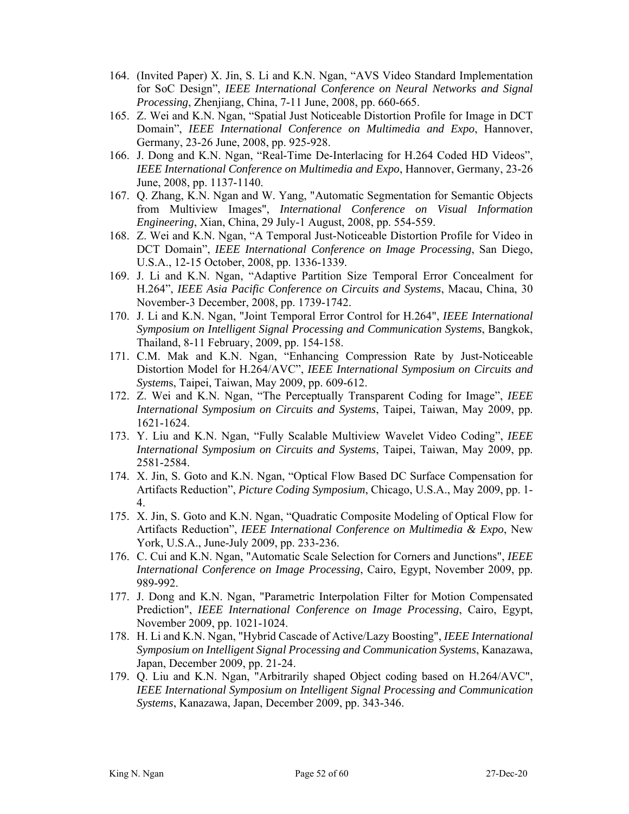- 164. (Invited Paper) X. Jin, S. Li and K.N. Ngan, "AVS Video Standard Implementation for SoC Design", *IEEE International Conference on Neural Networks and Signal Processing*, Zhenjiang, China, 7-11 June, 2008, pp. 660-665.
- 165. Z. Wei and K.N. Ngan, "Spatial Just Noticeable Distortion Profile for Image in DCT Domain", *IEEE International Conference on Multimedia and Expo*, Hannover, Germany, 23-26 June, 2008, pp. 925-928.
- 166. J. Dong and K.N. Ngan, "Real-Time De-Interlacing for H.264 Coded HD Videos", *IEEE International Conference on Multimedia and Expo*, Hannover, Germany, 23-26 June, 2008, pp. 1137-1140.
- 167. Q. Zhang, K.N. Ngan and W. Yang, "Automatic Segmentation for Semantic Objects from Multiview Images", *International Conference on Visual Information Engineering*, Xian, China, 29 July-1 August, 2008, pp. 554-559.
- 168. Z. Wei and K.N. Ngan, "A Temporal Just-Noticeable Distortion Profile for Video in DCT Domain", *IEEE International Conference on Image Processing*, San Diego, U.S.A., 12-15 October, 2008, pp. 1336-1339.
- 169. J. Li and K.N. Ngan, "Adaptive Partition Size Temporal Error Concealment for H.264", *IEEE Asia Pacific Conference on Circuits and Systems*, Macau, China, 30 November-3 December, 2008, pp. 1739-1742.
- 170. J. Li and K.N. Ngan, "Joint Temporal Error Control for H.264", *IEEE International Symposium on Intelligent Signal Processing and Communication Systems*, Bangkok, Thailand, 8-11 February, 2009, pp. 154-158.
- 171. C.M. Mak and K.N. Ngan, "Enhancing Compression Rate by Just-Noticeable Distortion Model for H.264/AVC", *IEEE International Symposium on Circuits and System*s, Taipei, Taiwan, May 2009, pp. 609-612.
- 172. Z. Wei and K.N. Ngan, "The Perceptually Transparent Coding for Image", *IEEE International Symposium on Circuits and Systems*, Taipei, Taiwan, May 2009, pp. 1621-1624.
- 173. Y. Liu and K.N. Ngan, "Fully Scalable Multiview Wavelet Video Coding", *IEEE International Symposium on Circuits and Systems*, Taipei, Taiwan, May 2009, pp. 2581-2584.
- 174. X. Jin, S. Goto and K.N. Ngan, "Optical Flow Based DC Surface Compensation for Artifacts Reduction", *Picture Coding Symposium*, Chicago, U.S.A., May 2009, pp. 1- 4.
- 175. X. Jin, S. Goto and K.N. Ngan, "Quadratic Composite Modeling of Optical Flow for Artifacts Reduction", *IEEE International Conference on Multimedia & Expo*, New York, U.S.A., June-July 2009, pp. 233-236.
- 176. C. Cui and K.N. Ngan, "Automatic Scale Selection for Corners and Junctions", *IEEE International Conference on Image Processing*, Cairo, Egypt, November 2009, pp. 989-992.
- 177. J. Dong and K.N. Ngan, "Parametric Interpolation Filter for Motion Compensated Prediction", *IEEE International Conference on Image Processing*, Cairo, Egypt, November 2009, pp. 1021-1024.
- 178. H. Li and K.N. Ngan, "Hybrid Cascade of Active/Lazy Boosting", *IEEE International Symposium on Intelligent Signal Processing and Communication Systems*, Kanazawa, Japan, December 2009, pp. 21-24.
- 179. Q. Liu and K.N. Ngan, "Arbitrarily shaped Object coding based on H.264/AVC", *IEEE International Symposium on Intelligent Signal Processing and Communication Systems*, Kanazawa, Japan, December 2009, pp. 343-346.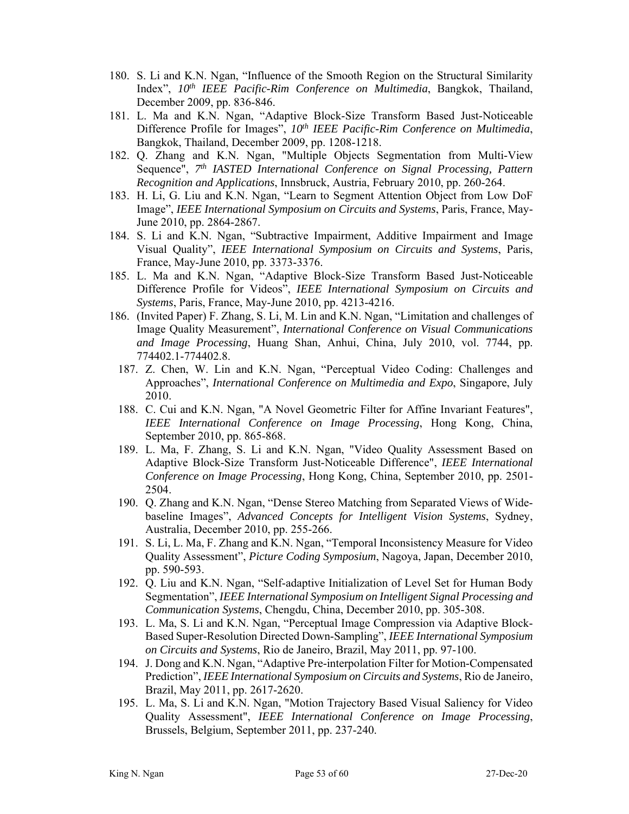- 180. S. Li and K.N. Ngan, "Influence of the Smooth Region on the Structural Similarity Index", *10th IEEE Pacific-Rim Conference on Multimedia*, Bangkok, Thailand, December 2009, pp. 836-846.
- 181. L. Ma and K.N. Ngan, "Adaptive Block-Size Transform Based Just-Noticeable Difference Profile for Images",  $10<sup>th</sup> IEEE Pacific-Rim Conference on Multimedia$ , Bangkok, Thailand, December 2009, pp. 1208-1218.
- 182. Q. Zhang and K.N. Ngan, "Multiple Objects Segmentation from Multi-View Sequence", *7th IASTED International Conference on Signal Processing, Pattern Recognition and Applications*, Innsbruck, Austria, February 2010, pp. 260-264.
- 183. H. Li, G. Liu and K.N. Ngan, "Learn to Segment Attention Object from Low DoF Image", *IEEE International Symposium on Circuits and Systems*, Paris, France, May-June 2010, pp. 2864-2867.
- 184. S. Li and K.N. Ngan, "Subtractive Impairment, Additive Impairment and Image Visual Quality", *IEEE International Symposium on Circuits and Systems*, Paris, France, May-June 2010, pp. 3373-3376.
- 185. L. Ma and K.N. Ngan, "Adaptive Block-Size Transform Based Just-Noticeable Difference Profile for Videos", *IEEE International Symposium on Circuits and Systems*, Paris, France, May-June 2010, pp. 4213-4216.
- 186. (Invited Paper) F. Zhang, S. Li, M. Lin and K.N. Ngan, "Limitation and challenges of Image Quality Measurement", *International Conference on Visual Communications and Image Processing*, Huang Shan, Anhui, China, July 2010, vol. 7744, pp. 774402.1-774402.8.
	- 187. Z. Chen, W. Lin and K.N. Ngan, "Perceptual Video Coding: Challenges and Approaches", *International Conference on Multimedia and Expo*, Singapore, July 2010.
	- 188. C. Cui and K.N. Ngan, "A Novel Geometric Filter for Affine Invariant Features", *IEEE International Conference on Image Processing*, Hong Kong, China, September 2010, pp. 865-868.
	- 189. L. Ma, F. Zhang, S. Li and K.N. Ngan, "Video Quality Assessment Based on Adaptive Block-Size Transform Just-Noticeable Difference", *IEEE International Conference on Image Processing*, Hong Kong, China, September 2010, pp. 2501- 2504.
	- 190. Q. Zhang and K.N. Ngan, "Dense Stereo Matching from Separated Views of Widebaseline Images", *Advanced Concepts for Intelligent Vision Systems*, Sydney, Australia, December 2010, pp. 255-266.
	- 191. S. Li, L. Ma, F. Zhang and K.N. Ngan, "Temporal Inconsistency Measure for Video Quality Assessment", *Picture Coding Symposium*, Nagoya, Japan, December 2010, pp. 590-593.
	- 192. Q. Liu and K.N. Ngan, "Self-adaptive Initialization of Level Set for Human Body Segmentation", *IEEE International Symposium on Intelligent Signal Processing and Communication Systems*, Chengdu, China, December 2010, pp. 305-308.
	- 193. L. Ma, S. Li and K.N. Ngan, "Perceptual Image Compression via Adaptive Block-Based Super-Resolution Directed Down-Sampling", *IEEE International Symposium on Circuits and Systems*, Rio de Janeiro, Brazil, May 2011, pp. 97-100.
	- 194. J. Dong and K.N. Ngan, "Adaptive Pre-interpolation Filter for Motion-Compensated Prediction", *IEEE International Symposium on Circuits and Systems*, Rio de Janeiro, Brazil, May 2011, pp. 2617-2620.
	- 195. L. Ma, S. Li and K.N. Ngan, "Motion Trajectory Based Visual Saliency for Video Quality Assessment", *IEEE International Conference on Image Processing*, Brussels, Belgium, September 2011, pp. 237-240.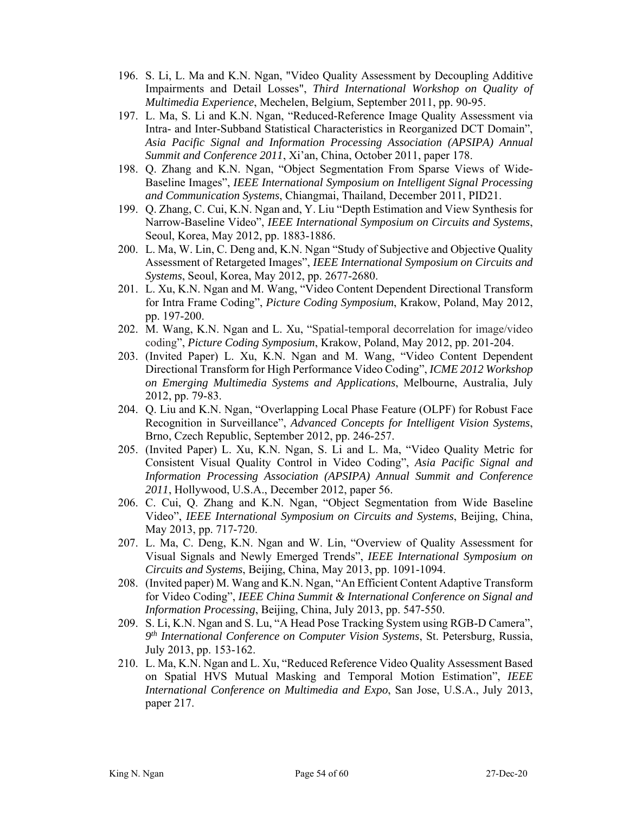- 196. S. Li, L. Ma and K.N. Ngan, "Video Quality Assessment by Decoupling Additive Impairments and Detail Losses", *Third International Workshop on Quality of Multimedia Experience*, Mechelen, Belgium, September 2011, pp. 90-95.
- 197. L. Ma, S. Li and K.N. Ngan, "Reduced-Reference Image Quality Assessment via Intra- and Inter-Subband Statistical Characteristics in Reorganized DCT Domain", *Asia Pacific Signal and Information Processing Association (APSIPA) Annual Summit and Conference 2011*, Xi'an, China, October 2011, paper 178.
- 198. Q. Zhang and K.N. Ngan, "Object Segmentation From Sparse Views of Wide-Baseline Images", *IEEE International Symposium on Intelligent Signal Processing and Communication Systems*, Chiangmai, Thailand, December 2011, PID21.
- 199. Q. Zhang, C. Cui, K.N. Ngan and, Y. Liu "Depth Estimation and View Synthesis for Narrow-Baseline Video", *IEEE International Symposium on Circuits and Systems*, Seoul, Korea, May 2012, pp. 1883-1886.
- 200. L. Ma, W. Lin, C. Deng and, K.N. Ngan "Study of Subjective and Objective Quality Assessment of Retargeted Images", *IEEE International Symposium on Circuits and Systems*, Seoul, Korea, May 2012, pp. 2677-2680.
- 201. L. Xu, K.N. Ngan and M. Wang, "Video Content Dependent Directional Transform for Intra Frame Coding", *Picture Coding Symposium*, Krakow, Poland, May 2012, pp. 197-200.
- 202. M. Wang, K.N. Ngan and L. Xu, "Spatial-temporal decorrelation for image/video coding", *Picture Coding Symposium*, Krakow, Poland, May 2012, pp. 201-204.
- 203. (Invited Paper) L. Xu, K.N. Ngan and M. Wang, "Video Content Dependent Directional Transform for High Performance Video Coding", *ICME 2012 Workshop on Emerging Multimedia Systems and Applications*, Melbourne, Australia, July 2012, pp. 79-83.
- 204. Q. Liu and K.N. Ngan, "Overlapping Local Phase Feature (OLPF) for Robust Face Recognition in Surveillance", *Advanced Concepts for Intelligent Vision Systems*, Brno, Czech Republic, September 2012, pp. 246-257.
- 205. (Invited Paper) L. Xu, K.N. Ngan, S. Li and L. Ma, "Video Quality Metric for Consistent Visual Quality Control in Video Coding", *Asia Pacific Signal and Information Processing Association (APSIPA) Annual Summit and Conference 2011*, Hollywood, U.S.A., December 2012, paper 56.
- 206. C. Cui, Q. Zhang and K.N. Ngan, "Object Segmentation from Wide Baseline Video", *IEEE International Symposium on Circuits and Systems*, Beijing, China, May 2013, pp. 717-720.
- 207. L. Ma, C. Deng, K.N. Ngan and W. Lin, "Overview of Quality Assessment for Visual Signals and Newly Emerged Trends", *IEEE International Symposium on Circuits and Systems*, Beijing, China, May 2013, pp. 1091-1094.
- 208. (Invited paper) M. Wang and K.N. Ngan, "An Efficient Content Adaptive Transform for Video Coding", *IEEE China Summit & International Conference on Signal and Information Processing*, Beijing, China, July 2013, pp. 547-550.
- 209. S. Li, K.N. Ngan and S. Lu, "A Head Pose Tracking System using RGB-D Camera", *9th International Conference on Computer Vision Systems*, St. Petersburg, Russia, July 2013, pp. 153-162.
- 210. L. Ma, K.N. Ngan and L. Xu, "Reduced Reference Video Quality Assessment Based on Spatial HVS Mutual Masking and Temporal Motion Estimation", *IEEE International Conference on Multimedia and Expo*, San Jose, U.S.A., July 2013, paper 217.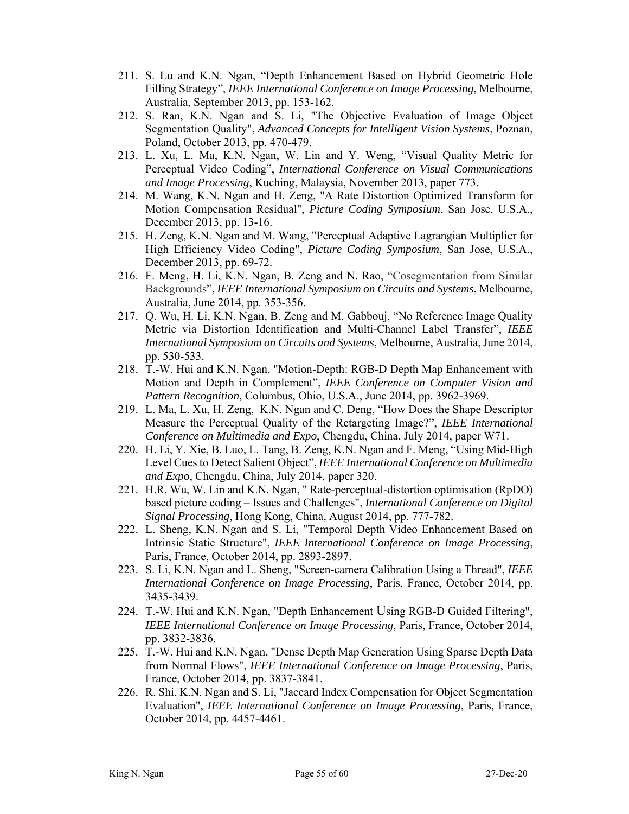- 211. S. Lu and K.N. Ngan, "Depth Enhancement Based on Hybrid Geometric Hole Filling Strategy", *IEEE International Conference on Image Processing*, Melbourne, Australia, September 2013, pp. 153-162.
- 212. S. Ran, K.N. Ngan and S. Li, "The Objective Evaluation of Image Object Segmentation Quality", *Advanced Concepts for Intelligent Vision Systems*, Poznan, Poland, October 2013, pp. 470-479.
- 213. L. Xu, L. Ma, K.N. Ngan, W. Lin and Y. Weng, "Visual Quality Metric for Perceptual Video Coding", *International Conference on Visual Communications and Image Processing*, Kuching, Malaysia, November 2013, paper 773.
- 214. M. Wang, K.N. Ngan and H. Zeng, "A Rate Distortion Optimized Transform for Motion Compensation Residual", *Picture Coding Symposium*, San Jose, U.S.A., December 2013, pp. 13-16.
- 215. H. Zeng, K.N. Ngan and M. Wang, "Perceptual Adaptive Lagrangian Multiplier for High Efficiency Video Coding", *Picture Coding Symposium*, San Jose, U.S.A., December 2013, pp. 69-72.
- 216. F. Meng, H. Li, K.N. Ngan, B. Zeng and N. Rao, "Cosegmentation from Similar Backgrounds", *IEEE International Symposium on Circuits and Systems*, Melbourne, Australia, June 2014, pp. 353-356.
- 217. Q. Wu, H. Li, K.N. Ngan, B. Zeng and M. Gabbouj, "No Reference Image Quality Metric via Distortion Identification and Multi-Channel Label Transfer", *IEEE International Symposium on Circuits and Systems*, Melbourne, Australia, June 2014, pp. 530-533.
- 218. T.-W. Hui and K.N. Ngan, "Motion-Depth: RGB-D Depth Map Enhancement with Motion and Depth in Complement", *IEEE Conference on Computer Vision and Pattern Recognition*, Columbus, Ohio, U.S.A., June 2014, pp. 3962-3969.
- 219. L. Ma, L. Xu, H. Zeng, K.N. Ngan and C. Deng, "How Does the Shape Descriptor Measure the Perceptual Quality of the Retargeting Image?", *IEEE International Conference on Multimedia and Expo*, Chengdu, China, July 2014, paper W71.
- 220. H. Li, Y. Xie, B. Luo, L. Tang, B. Zeng, K.N. Ngan and F. Meng, "Using Mid-High Level Cues to Detect Salient Object", *IEEE International Conference on Multimedia and Expo*, Chengdu, China, July 2014, paper 320.
- 221. H.R. Wu, W. Lin and K.N. Ngan, " Rate-perceptual-distortion optimisation (RpDO) based picture coding – Issues and Challenges", *International Conference on Digital Signal Processing*, Hong Kong, China, August 2014, pp. 777-782.
- 222. L. Sheng, K.N. Ngan and S. Li, "Temporal Depth Video Enhancement Based on Intrinsic Static Structure", *IEEE International Conference on Image Processing*, Paris, France, October 2014, pp. 2893-2897.
- 223. S. Li, K.N. Ngan and L. Sheng, "Screen-camera Calibration Using a Thread", *IEEE International Conference on Image Processing*, Paris, France, October 2014, pp. 3435-3439.
- 224. T.-W. Hui and K.N. Ngan, "Depth Enhancement Using RGB-D Guided Filtering", *IEEE International Conference on Image Processing*, Paris, France, October 2014, pp. 3832-3836.
- 225. T.-W. Hui and K.N. Ngan, "Dense Depth Map Generation Using Sparse Depth Data from Normal Flows", *IEEE International Conference on Image Processing*, Paris, France, October 2014, pp. 3837-3841.
- 226. R. Shi, K.N. Ngan and S. Li, "Jaccard Index Compensation for Object Segmentation Evaluation", *IEEE International Conference on Image Processing*, Paris, France, October 2014, pp. 4457-4461.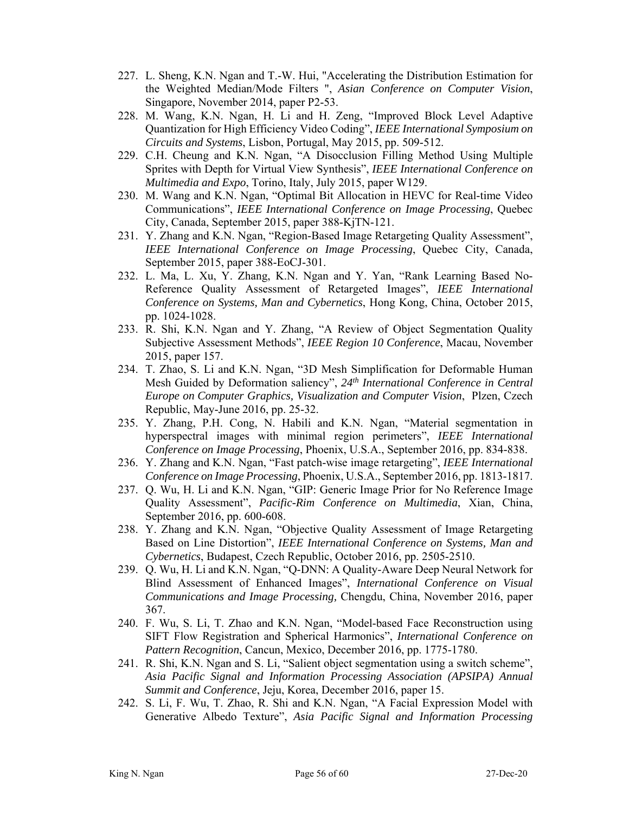- 227. L. Sheng, K.N. Ngan and T.-W. Hui, "Accelerating the Distribution Estimation for the Weighted Median/Mode Filters ", *Asian Conference on Computer Vision*, Singapore, November 2014, paper P2-53.
- 228. M. Wang, K.N. Ngan, H. Li and H. Zeng, "Improved Block Level Adaptive Quantization for High Efficiency Video Coding", *IEEE International Symposium on Circuits and Systems*, Lisbon, Portugal, May 2015, pp. 509-512.
- 229. C.H. Cheung and K.N. Ngan, "A Disocclusion Filling Method Using Multiple Sprites with Depth for Virtual View Synthesis", *IEEE International Conference on Multimedia and Expo*, Torino, Italy, July 2015, paper W129.
- 230. M. Wang and K.N. Ngan, "Optimal Bit Allocation in HEVC for Real-time Video Communications", *IEEE International Conference on Image Processing*, Quebec City, Canada, September 2015, paper 388-KjTN-121.
- 231. Y. Zhang and K.N. Ngan, "Region-Based Image Retargeting Quality Assessment", *IEEE International Conference on Image Processing*, Quebec City, Canada, September 2015, paper 388-EoCJ-301.
- 232. L. Ma, L. Xu, Y. Zhang, K.N. Ngan and Y. Yan, "Rank Learning Based No-Reference Quality Assessment of Retargeted Images", *IEEE International Conference on Systems, Man and Cybernetics*, Hong Kong, China, October 2015, pp. 1024-1028.
- 233. R. Shi, K.N. Ngan and Y. Zhang, "A Review of Object Segmentation Quality Subjective Assessment Methods", *IEEE Region 10 Conference*, Macau, November 2015, paper 157.
- 234. T. Zhao, S. Li and K.N. Ngan, "3D Mesh Simplification for Deformable Human Mesh Guided by Deformation saliency", *24th International Conference in Central Europe on Computer Graphics, Visualization and Computer Vision*, Plzen, Czech Republic, May-June 2016, pp. 25-32.
- 235. Y. Zhang, P.H. Cong, N. Habili and K.N. Ngan, "Material segmentation in hyperspectral images with minimal region perimeters", *IEEE International Conference on Image Processing*, Phoenix, U.S.A., September 2016, pp. 834-838.
- 236. Y. Zhang and K.N. Ngan, "Fast patch-wise image retargeting", *IEEE International Conference on Image Processing*, Phoenix, U.S.A., September 2016, pp. 1813-1817.
- 237. Q. Wu, H. Li and K.N. Ngan, "GIP: Generic Image Prior for No Reference Image Quality Assessment", *Pacific-Rim Conference on Multimedia*, Xian, China, September 2016, pp. 600-608.
- 238. Y. Zhang and K.N. Ngan, "Objective Quality Assessment of Image Retargeting Based on Line Distortion", *IEEE International Conference on Systems, Man and Cybernetics*, Budapest, Czech Republic, October 2016, pp. 2505-2510.
- 239. Q. Wu, H. Li and K.N. Ngan, "Q-DNN: A Quality-Aware Deep Neural Network for Blind Assessment of Enhanced Images", *International Conference on Visual Communications and Image Processing,* Chengdu, China, November 2016, paper 367.
- 240. F. Wu, S. Li, T. Zhao and K.N. Ngan, "Model-based Face Reconstruction using SIFT Flow Registration and Spherical Harmonics", *International Conference on Pattern Recognition*, Cancun, Mexico, December 2016, pp. 1775-1780.
- 241. R. Shi, K.N. Ngan and S. Li, "Salient object segmentation using a switch scheme", *Asia Pacific Signal and Information Processing Association (APSIPA) Annual Summit and Conference*, Jeju, Korea, December 2016, paper 15.
- 242. S. Li, F. Wu, T. Zhao, R. Shi and K.N. Ngan, "A Facial Expression Model with Generative Albedo Texture", *Asia Pacific Signal and Information Processing*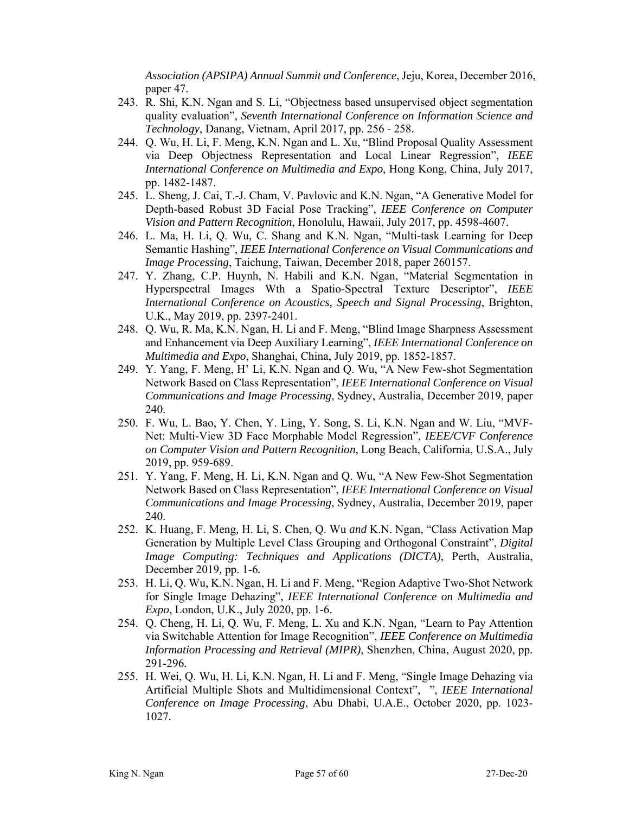*Association (APSIPA) Annual Summit and Conference*, Jeju, Korea, December 2016, paper 47.

- 243. R. Shi, K.N. Ngan and S. Li, "Objectness based unsupervised object segmentation quality evaluation", *Seventh International Conference on Information Science and Technology*, Danang, Vietnam, April 2017, pp. 256 - 258.
- 244. Q. Wu, H. Li, F. Meng, K.N. Ngan and L. Xu, "Blind Proposal Quality Assessment via Deep Objectness Representation and Local Linear Regression", *IEEE International Conference on Multimedia and Expo*, Hong Kong, China, July 2017, pp. 1482-1487.
- 245. L. Sheng, J. Cai, T.-J. Cham, V. Pavlovic and K.N. Ngan, "A Generative Model for Depth-based Robust 3D Facial Pose Tracking", *IEEE Conference on Computer Vision and Pattern Recognition*, Honolulu, Hawaii, July 2017, pp. 4598-4607.
- 246. L. Ma, H. Li, Q. Wu, C. Shang and K.N. Ngan, "Multi-task Learning for Deep Semantic Hashing", *IEEE International Conference on Visual Communications and Image Processing*, Taichung, Taiwan, December 2018, paper 260157.
- 247. Y. Zhang, C.P. Huynh, N. Habili and K.N. Ngan, "Material Segmentation in Hyperspectral Images Wth a Spatio-Spectral Texture Descriptor", *IEEE International Conference on Acoustics, Speech and Signal Processing*, Brighton, U.K., May 2019, pp. 2397-2401.
- 248. Q. Wu, R. Ma, K.N. Ngan, H. Li and F. Meng, "Blind Image Sharpness Assessment and Enhancement via Deep Auxiliary Learning", *IEEE International Conference on Multimedia and Expo*, Shanghai, China, July 2019, pp. 1852-1857.
- 249. Y. Yang, F. Meng, H' Li, K.N. Ngan and Q. Wu, "A New Few-shot Segmentation Network Based on Class Representation", *IEEE International Conference on Visual Communications and Image Processing*, Sydney, Australia, December 2019, paper 240.
- 250. F. Wu, L. Bao, Y. Chen, Y. Ling, Y. Song, S. Li, K.N. Ngan and W. Liu, "MVF-Net: Multi-View 3D Face Morphable Model Regression", *IEEE/CVF Conference on Computer Vision and Pattern Recognition*, Long Beach, California, U.S.A., July 2019, pp. 959-689.
- 251. Y. Yang, F. Meng, H. Li, K.N. Ngan and Q. Wu, "A New Few-Shot Segmentation Network Based on Class Representation", *IEEE International Conference on Visual Communications and Image Processing*, Sydney, Australia, December 2019, paper 240.
- 252. K. Huang*,* F. Meng*,* H. Li*,* S. Chen*,* Q. Wu *and* K.N. Ngan, "Class Activation Map Generation by Multiple Level Class Grouping and Orthogonal Constraint", *Digital Image Computing: Techniques and Applications (DICTA)*, Perth, Australia, December 2019*,* pp. 1-6*.*
- 253. H. Li, Q. Wu, K.N. Ngan, H. Li and F. Meng, "Region Adaptive Two-Shot Network for Single Image Dehazing", *IEEE International Conference on Multimedia and Expo*, London, U.K., July 2020, pp. 1-6.
- 254. Q. Cheng*,* H. Li*,* Q. Wu*,* F. Meng, L. Xu and K.N. Ngan*,* "Learn to Pay Attention via Switchable Attention for Image Recognition", *IEEE Conference on Multimedia Information Processing and Retrieval (MIPR)*, Shenzhen, China, August 2020, pp. 291-296*.*
- 255. H. Wei, Q. Wu, H. Li*,* K.N. Ngan*,* H. Li and F. Meng, "Single Image Dehazing via Artificial Multiple Shots and Multidimensional Context", ", *IEEE International Conference on Image Processing*, Abu Dhabi, U.A.E., October 2020, pp. 1023- 1027*.*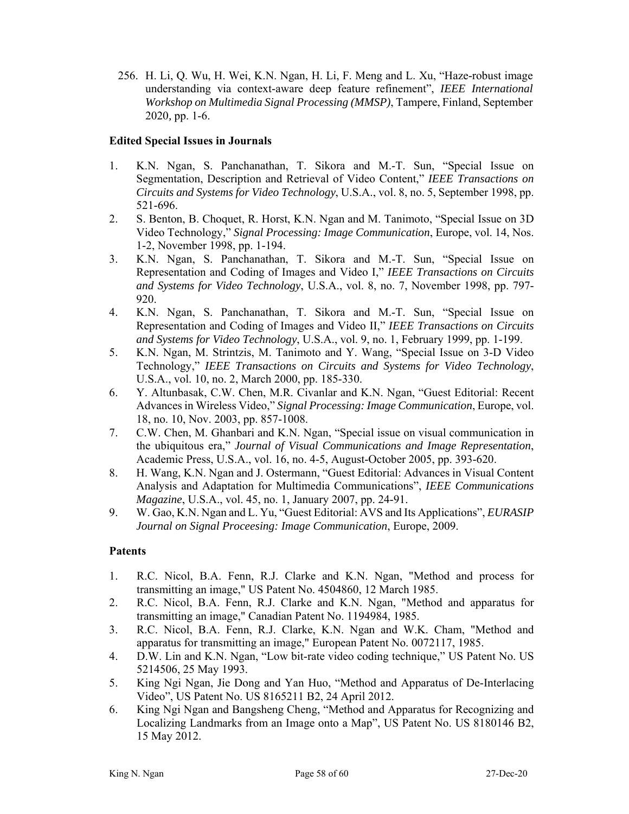256. H. Li, Q. Wu, H. Wei, K.N. Ngan, H. Li, F. Meng and L. Xu, "Haze-robust image understanding via context-aware deep feature refinement", *IEEE International Workshop on Multimedia Signal Processing (MMSP)*, Tampere, Finland, September 2020*,* pp. 1-6.

#### **Edited Special Issues in Journals**

- 1. K.N. Ngan, S. Panchanathan, T. Sikora and M.-T. Sun, "Special Issue on Segmentation, Description and Retrieval of Video Content," *IEEE Transactions on Circuits and Systems for Video Technology*, U.S.A., vol. 8, no. 5, September 1998, pp. 521-696.
- 2. S. Benton, B. Choquet, R. Horst, K.N. Ngan and M. Tanimoto, "Special Issue on 3D Video Technology," *Signal Processing: Image Communication*, Europe, vol. 14, Nos. 1-2, November 1998, pp. 1-194.
- 3. K.N. Ngan, S. Panchanathan, T. Sikora and M.-T. Sun, "Special Issue on Representation and Coding of Images and Video I," *IEEE Transactions on Circuits and Systems for Video Technology*, U.S.A., vol. 8, no. 7, November 1998, pp. 797- 920.
- 4. K.N. Ngan, S. Panchanathan, T. Sikora and M.-T. Sun, "Special Issue on Representation and Coding of Images and Video II," *IEEE Transactions on Circuits and Systems for Video Technology*, U.S.A., vol. 9, no. 1, February 1999, pp. 1-199.
- 5. K.N. Ngan, M. Strintzis, M. Tanimoto and Y. Wang, "Special Issue on 3-D Video Technology," *IEEE Transactions on Circuits and Systems for Video Technology*, U.S.A., vol. 10, no. 2, March 2000, pp. 185-330.
- 6. Y. Altunbasak, C.W. Chen, M.R. Civanlar and K.N. Ngan, "Guest Editorial: Recent Advances in Wireless Video," *Signal Processing: Image Communication*, Europe, vol. 18, no. 10, Nov. 2003, pp. 857-1008.
- 7. C.W. Chen, M. Ghanbari and K.N. Ngan, "Special issue on visual communication in the ubiquitous era," *Journal of Visual Communications and Image Representation*, Academic Press, U.S.A., vol. 16, no. 4-5, August-October 2005, pp. 393-620.
- 8. H. Wang, K.N. Ngan and J. Ostermann, "Guest Editorial: Advances in Visual Content Analysis and Adaptation for Multimedia Communications", *IEEE Communications Magazine*, U.S.A., vol. 45, no. 1, January 2007, pp. 24-91.
- 9. W. Gao, K.N. Ngan and L. Yu, "Guest Editorial: AVS and Its Applications", *EURASIP Journal on Signal Proceesing: Image Communication*, Europe, 2009.

#### **Patents**

- 1. R.C. Nicol, B.A. Fenn, R.J. Clarke and K.N. Ngan, "Method and process for transmitting an image," US Patent No. 4504860, 12 March 1985.
- 2. R.C. Nicol, B.A. Fenn, R.J. Clarke and K.N. Ngan, "Method and apparatus for transmitting an image," Canadian Patent No. 1194984, 1985.
- 3. R.C. Nicol, B.A. Fenn, R.J. Clarke, K.N. Ngan and W.K. Cham, "Method and apparatus for transmitting an image," European Patent No. 0072117, 1985.
- 4. D.W. Lin and K.N. Ngan, "Low bit-rate video coding technique," US Patent No. US 5214506, 25 May 1993.
- 5. King Ngi Ngan, Jie Dong and Yan Huo, "Method and Apparatus of De-Interlacing Video", US Patent No. US 8165211 B2, 24 April 2012.
- 6. King Ngi Ngan and Bangsheng Cheng, "Method and Apparatus for Recognizing and Localizing Landmarks from an Image onto a Map", US Patent No. US 8180146 B2, 15 May 2012.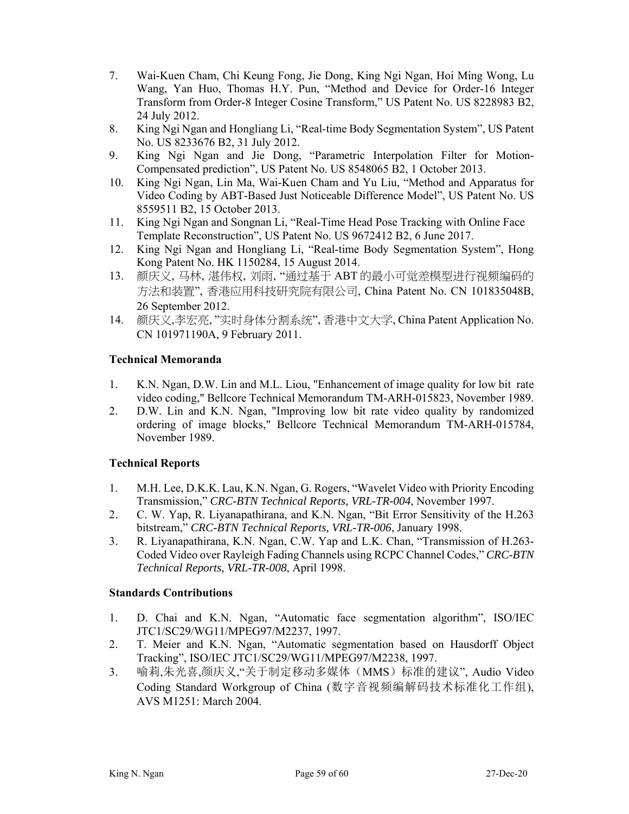- 7. Wai-Kuen Cham, Chi Keung Fong, Jie Dong, King Ngi Ngan, Hoi Ming Wong, Lu Wang, Yan Huo, Thomas H.Y. Pun, "Method and Device for Order-16 Integer Transform from Order-8 Integer Cosine Transform," US Patent No. US 8228983 B2, 24 July 2012.
- 8. King Ngi Ngan and Hongliang Li, "Real-time Body Segmentation System", US Patent No. US 8233676 B2, 31 July 2012.
- 9. King Ngi Ngan and Jie Dong, "Parametric Interpolation Filter for Motion-Compensated prediction", US Patent No. US 8548065 B2, 1 October 2013.
- 10. King Ngi Ngan, Lin Ma, Wai-Kuen Cham and Yu Liu, "Method and Apparatus for Video Coding by ABT-Based Just Noticeable Difference Model", US Patent No. US 8559511 B2, 15 October 2013.
- 11. King Ngi Ngan and Songnan Li, "Real-Time Head Pose Tracking with Online Face Template Reconstruction", US Patent No. US 9672412 B2, 6 June 2017.
- 12. King Ngi Ngan and Hongliang Li, "Real-time Body Segmentation System", Hong Kong Patent No. HK 1150284, 15 August 2014.
- 13. 颜庆义, 马林, 湛伟权, 刘雨, "通过基于 ABT 的最小可觉差模型进行视频编码的 方法和装置", 香港应用科技研究院有限公司, China Patent No. CN 101835048B, 26 September 2012.
- 14. 颜庆义,李宏亮, "实时身体分割系统", 香港中文大学, China Patent Application No. CN 101971190A, 9 February 2011.

#### **Technical Memoranda**

- 1. K.N. Ngan, D.W. Lin and M.L. Liou, "Enhancement of image quality for low bit rate video coding," Bellcore Technical Memorandum TM-ARH-015823, November 1989.
- 2. D.W. Lin and K.N. Ngan, "Improving low bit rate video quality by randomized ordering of image blocks," Bellcore Technical Memorandum TM-ARH-015784, November 1989.

### **Technical Reports**

- 1. M.H. Lee, D.K.K. Lau, K.N. Ngan, G. Rogers, "Wavelet Video with Priority Encoding Transmission," *CRC-BTN Technical Reports, VRL-TR-004*, November 1997.
- 2. C. W. Yap, R. Liyanapathirana, and K.N. Ngan, "Bit Error Sensitivity of the H.263 bitstream," *CRC-BTN Technical Reports, VRL-TR-006*, January 1998.
- 3. R. Liyanapathirana, K.N. Ngan, C.W. Yap and L.K. Chan, "Transmission of H.263- Coded Video over Rayleigh Fading Channels using RCPC Channel Codes," *CRC-BTN Technical Reports, VRL-TR-008*, April 1998.

#### **Standards Contributions**

- 1. D. Chai and K.N. Ngan, "Automatic face segmentation algorithm", ISO/IEC JTC1/SC29/WG11/MPEG97/M2237, 1997.
- 2. T. Meier and K.N. Ngan, "Automatic segmentation based on Hausdorff Object Tracking", ISO/IEC JTC1/SC29/WG11/MPEG97/M2238, 1997.
- 3. 喻莉,朱光喜,颜庆义,"关于制定移动多媒体(MMS)标准的建议", Audio Video Coding Standard Workgroup of China (数字音视频编解码技术标准化工作组), AVS M1251: March 2004.